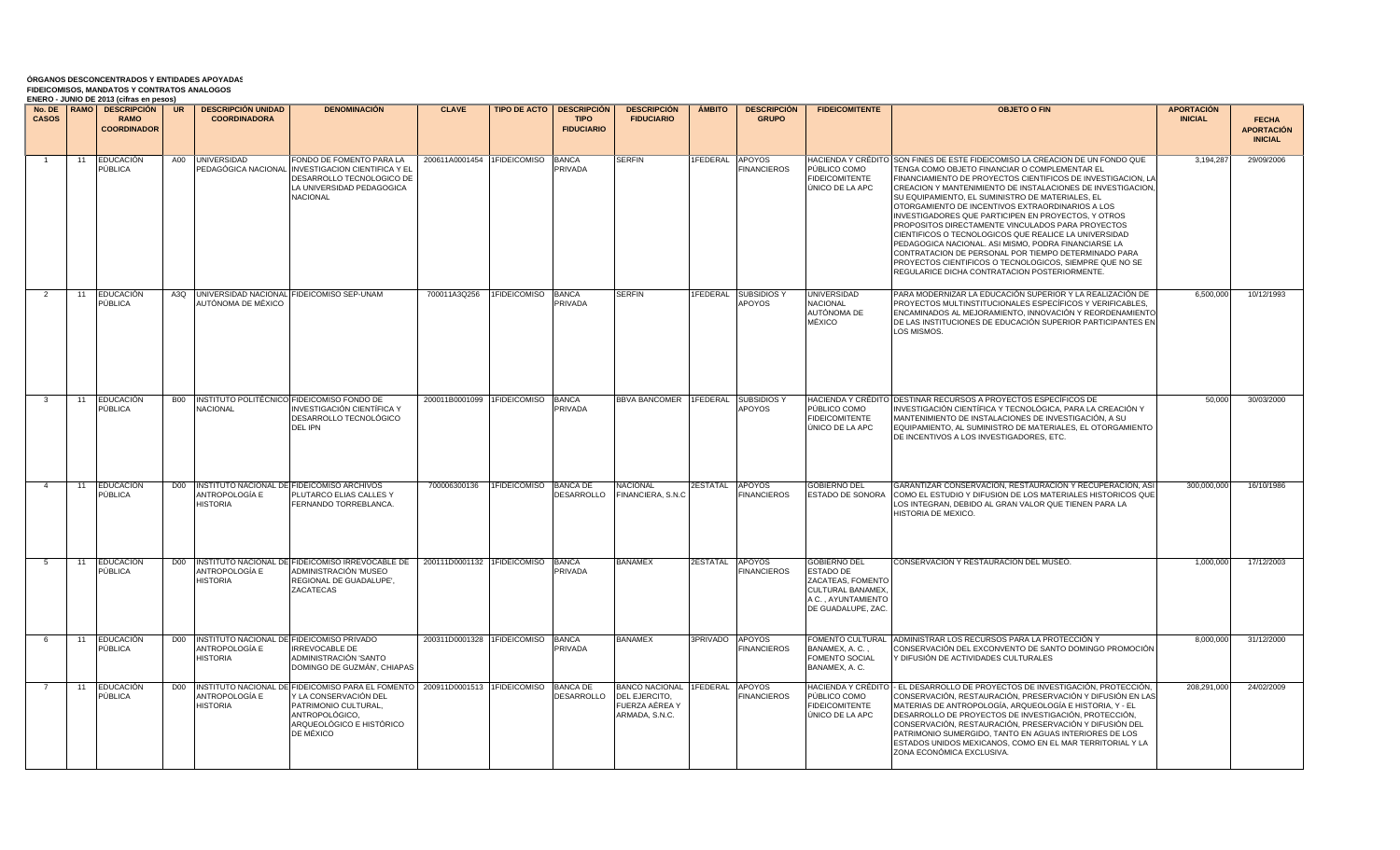| <b>CASOS</b>   |    | LINLING - JONNO DE ZUTJ (CIITAS EN DESOS)<br>No. DE I RAMO I DESCRIPCIÓN I UR<br><b>RAMO</b> |                 | <b>DESCRIPCIÓN UNIDAD</b><br><b>COORDINADORA</b> | <b>DENOMINACIÓN</b>                                                                                                                                               | <b>CLAVE</b>                      |                            | <b>TIPO DE ACTO   DESCRIPCIÓN</b><br><b>TIPO</b> | <b>DESCRIPCIÓN</b><br><b>FIDUCIARIO</b>                                      | <b>AMBITO</b>   | <b>DESCRIPCIÓN</b><br><b>GRUPO</b>  | <b>FIDEICOMITENTE</b>                                                                                                  | <b>OBJETO O FIN</b>                                                                                                                                                                                                                                                                                                                                                                                                                                                                                                                                                                                                                                                                                                                                                    | <b>APORTACIÓN</b><br><b>INICIAL</b> |                                   |
|----------------|----|----------------------------------------------------------------------------------------------|-----------------|--------------------------------------------------|-------------------------------------------------------------------------------------------------------------------------------------------------------------------|-----------------------------------|----------------------------|--------------------------------------------------|------------------------------------------------------------------------------|-----------------|-------------------------------------|------------------------------------------------------------------------------------------------------------------------|------------------------------------------------------------------------------------------------------------------------------------------------------------------------------------------------------------------------------------------------------------------------------------------------------------------------------------------------------------------------------------------------------------------------------------------------------------------------------------------------------------------------------------------------------------------------------------------------------------------------------------------------------------------------------------------------------------------------------------------------------------------------|-------------------------------------|-----------------------------------|
|                |    | <b>COORDINADOR</b>                                                                           |                 |                                                  |                                                                                                                                                                   |                                   |                            | <b>FIDUCIARIO</b>                                |                                                                              |                 |                                     |                                                                                                                        |                                                                                                                                                                                                                                                                                                                                                                                                                                                                                                                                                                                                                                                                                                                                                                        |                                     | <b>FECHA</b><br><b>APORTACIÓN</b> |
|                |    |                                                                                              |                 |                                                  |                                                                                                                                                                   |                                   |                            |                                                  |                                                                              |                 |                                     |                                                                                                                        |                                                                                                                                                                                                                                                                                                                                                                                                                                                                                                                                                                                                                                                                                                                                                                        |                                     | <b>INICIAL</b>                    |
| $\overline{1}$ | 11 | <b>EDUCACIÓN</b><br>PÚBLICA                                                                  |                 | A00 <b>UNIVERSIDAD</b><br>PEDAGÓGICA NACIONAI    | FONDO DE FOMENTO PARA LA<br>INVESTIGACION CIENTIFICA Y EL<br>DESARROLLO TECNOLOGICO DE<br>LA UNIVERSIDAD PEDAGOGICA<br><b>NACIONAL</b>                            | 200611A0001454 ITIDEICOMISO BANCA |                            | PRIVADA                                          | <b>SERFIN</b>                                                                | 1FEDERAL        | <b>APOYOS</b><br><b>FINANCIEROS</b> | PÚBLICO COMO<br><b>FIDEICOMITENTE</b><br>ÚNICO DE LA APC                                                               | HACIENDA Y CRÉDITO ISON FINES DE ESTE FIDEICOMISO LA CREACIÓN DE UN FONDO QUE<br>TENGA COMO OBJETO FINANCIAR O COMPLEMENTAR EL<br>FINANCIAMIENTO DE PROYECTOS CIENTIFICOS DE INVESTIGACION. LA<br>CREACION Y MANTENIMIENTO DE INSTALACIONES DE INVESTIGACION,<br>SU EQUIPAMIENTO, EL SUMINISTRO DE MATERIALES, EL<br>OTORGAMIENTO DE INCENTIVOS EXTRAORDINARIOS A LOS<br>INVESTIGADORES QUE PARTICIPEN EN PROYECTOS. Y OTROS<br>PROPOSITOS DIRECTAMENTE VINCULADOS PARA PROYECTOS<br>CIENTIFICOS O TECNOLOGICOS QUE REALICE LA UNIVERSIDAD<br>PEDAGOGICA NACIONAL. ASI MISMO, PODRA FINANCIARSE LA<br>CONTRATACION DE PERSONAL POR TIEMPO DETERMINADO PARA<br>PROYECTOS CIENTIFICOS O TECNOLOGICOS, SIEMPRE QUE NO SE<br>REGULARICE DICHA CONTRATACION POSTERIORMENTE. | 3.194.28                            | 29/09/2006                        |
| $\overline{2}$ | 11 | <b>EDUCACIÓN</b><br>PÚBLICA                                                                  |                 | AUTÓNOMA DE MÉXICO                               | A3Q UNIVERSIDAD NACIONAL FIDEICOMISO SEP-UNAM                                                                                                                     | 700011A3Q256                      | <b>I1FIDEICOMISO BANCA</b> | PRIVADA                                          | <b>SERFIN</b>                                                                | 1FEDERAL        | <b>SUBSIDIOS Y</b><br><b>APOYOS</b> | <b>UNIVERSIDAD</b><br>NACIONAL<br>AUTÓNOMA DE<br>MÉXICO                                                                | PARA MODERNIZAR LA EDUCACIÓN SUPERIOR Y LA REALIZACIÓN DE<br>PROYECTOS MULTINSTITUCIONALES ESPECÍFICOS Y VERIFICABLES.<br>ENCAMINADOS AL MEJORAMIENTO, INNOVACIÓN Y REORDENAMIENTO<br>DE LAS INSTITUCIONES DE EDUCACIÓN SUPERIOR PARTICIPANTES EN<br>LOS MISMOS.                                                                                                                                                                                                                                                                                                                                                                                                                                                                                                       | 6.500.000                           | 10/12/1993                        |
| - 3            | 11 | <b>EDUCACIÓN</b><br>PÚBLICA                                                                  | <b>B00</b>      | NACIONAL                                         | INSTITUTO POLITÉCNICO FIDEICOMISO FONDO DE<br>INVESTIGACIÓN CIENTÍFICA Y<br>DESARROLLO TECNOLÓGICO<br>DEL IPN                                                     | 200011B0001099 1FIDEICOMISO BANCA |                            | PRIVADA                                          | <b>BBVA BANCOMER</b>                                                         | 1FEDERAL        | <b>SUBSIDIOS Y</b><br>APOYOS        | PÚBLICO COMO<br><b>FIDEICOMITENTE</b><br>ÚNICO DE LA APC                                                               | HACIENDA Y CRÉDITO DESTINAR RECURSOS A PROYECTOS ESPECÍFICOS DE<br>INVESTIGACIÓN CIENTÍFICA Y TECNOLÓGICA, PARA LA CREACIÓN Y<br>MANTENIMIENTO DE INSTALACIONES DE INVESTIGACIÓN, A SU<br>EQUIPAMIENTO, AL SUMINISTRO DE MATERIALES, EL OTORGAMIENTO<br>DE INCENTIVOS A LOS INVESTIGADORES, ETC.                                                                                                                                                                                                                                                                                                                                                                                                                                                                       | 50,000                              | 30/03/2000                        |
|                | 11 | <b>EDUCACIÓN</b><br>PÚBLICA                                                                  | D <sub>00</sub> | ANTROPOLOGÍA E<br><b>HISTORIA</b>                | INSTITUTO NACIONAL DE FIDEICOMISO ARCHIVOS<br>PLUTARCO ELIAS CALLES Y<br>FERNANDO TORREBLANCA.                                                                    | 700006300136                      | 1FIDEICOMISO               | <b>BANCA DE</b><br><b>JESARROLLO</b>             | <b>NACIONAL</b><br>FINANCIERA, S.N.C                                         | <b>2ESTATAL</b> | <b>APOYOS</b><br><b>FINANCIEROS</b> | <b>GOBIERNO DEL</b><br><b>ESTADO DE SONORA</b>                                                                         | GARANTIZAR CONSERVACION, RESTAURACION Y RECUPERACION, ASI<br>COMO EL ESTUDIO Y DIFUSION DE LOS MATERIALES HISTORICOS QUE<br>LOS INTEGRAN, DEBIDO AL GRAN VALOR QUE TIENEN PARA LA<br>HISTORIA DE MEXICO.                                                                                                                                                                                                                                                                                                                                                                                                                                                                                                                                                               | 300.000.000                         | 16/10/1986                        |
| 5              | 11 | EDUCACIÓN<br>PÚBLICA                                                                         |                 | ANTROPOLOGÍA E<br><b>HISTORIA</b>                | D00 INSTITUTO NACIONAL DE FIDEICOMISO IRREVOCABLE DE<br>ADMINISTRACIÓN 'MUSEO<br>REGIONAL DE GUADALUPE'.<br>ZACATECAS                                             | 200111D0001132 1FIDEICOMISO       |                            | <b>BANCA</b><br><b>PRIVADA</b>                   | <b>BANAMEX</b>                                                               | 2ESTATAL        | <b>APOYOS</b><br><b>INANCIEROS</b>  | <b>GOBIERNO DEL</b><br>ESTADO DE<br>ZACATEAS, FOMENTO<br>CULTURAL BANAMEX.<br>A C., AYUNTAMIENTO<br>DE GUADALUPE, ZAC. | CONSERVACIÓN Y RESTAURACIÓN DEL MUSEO.                                                                                                                                                                                                                                                                                                                                                                                                                                                                                                                                                                                                                                                                                                                                 | 1,000,000                           | 17/12/2003                        |
| 6              | 11 | <b>EDUCACIÓN</b><br>PÚBLICA                                                                  |                 | ANTROPOLOGÍA E<br><b>HISTORIA</b>                | D00 INSTITUTO NACIONAL DE FIDEICOMISO PRIVADO<br><b>IRREVOCABLE DE</b><br>ADMINISTRACIÓN 'SANTO<br>DOMINGO DE GUZMÁN', CHIAPAS                                    | 200311D0001328 1FIDEICOMISO BANCA |                            | PRIVADA                                          | <b>BANAMEX</b>                                                               | 3PRIVADO APOYOS | <b>FINANCIEROS</b>                  | BANAMEX, A. C.,<br><b>FOMENTO SOCIAL</b><br>BANAMEX, A. C.                                                             | FOMENTO CULTURAL ADMINISTRAR LOS RECURSOS PARA LA PROTECCIÓN Y<br>CONSERVACIÓN DEL EXCONVENTO DE SANTO DOMINGO PROMOCIÓN<br>/ DIFUSIÓN DE ACTIVIDADES CULTURALES                                                                                                                                                                                                                                                                                                                                                                                                                                                                                                                                                                                                       | 8,000,000                           | 31/12/2000                        |
|                | 11 | EDUCACIÓN<br>PÚBLICA                                                                         |                 | ANTROPOLOGÍA E<br><b>HISTORIA</b>                | D00 INSTITUTO NACIONAL DE FIDEICOMISO PARA EL FOMENTO<br>Y LA CONSERVACIÓN DEL<br>PATRIMONIO CULTURAL,<br>ANTROPOLÓGICO.<br>ARQUEOLÓGICO E HISTÓRICO<br>DE MÉXICO | 200911D0001513 1FIDEICOMISO       |                            | <b>BANCA DE</b><br>DESARROLLO                    | BANCO NACIONAL 1FEDERAL<br>DEL EJERCITO,<br>FUERZA AÉREA Y<br>ARMADA, S.N.C. |                 | <b>APOYOS</b><br><b>FINANCIEROS</b> | PÚBLICO COMO<br><b>IDEICOMITENTE</b><br>ÚNICO DE LA APC                                                                | HACIENDA Y CRÉDITO   - EL DESARROLLO DE PROYECTOS DE INVESTIGACIÓN, PROTECCIÓN,<br>CONSERVACIÓN, RESTAURACIÓN, PRESERVACIÓN Y DIFUSIÓN EN LAS<br>MATERIAS DE ANTROPOLOGÍA, ARQUEOLOGÍA E HISTORIA, Y - EL<br>DESARROLLO DE PROYECTOS DE INVESTIGACIÓN, PROTECCIÓN,<br>CONSERVACIÓN. RESTAURACIÓN. PRESERVACIÓN Y DIFUSIÓN DEL<br>PATRIMONIO SUMERGIDO, TANTO EN AGUAS INTERIORES DE LOS<br>ESTADOS UNIDOS MEXICANOS, COMO EN EL MAR TERRITORIAL Y LA<br>ZONA ECONÓMICA EXCLUSIVA.                                                                                                                                                                                                                                                                                      | 208,291,000                         | 24/02/2009                        |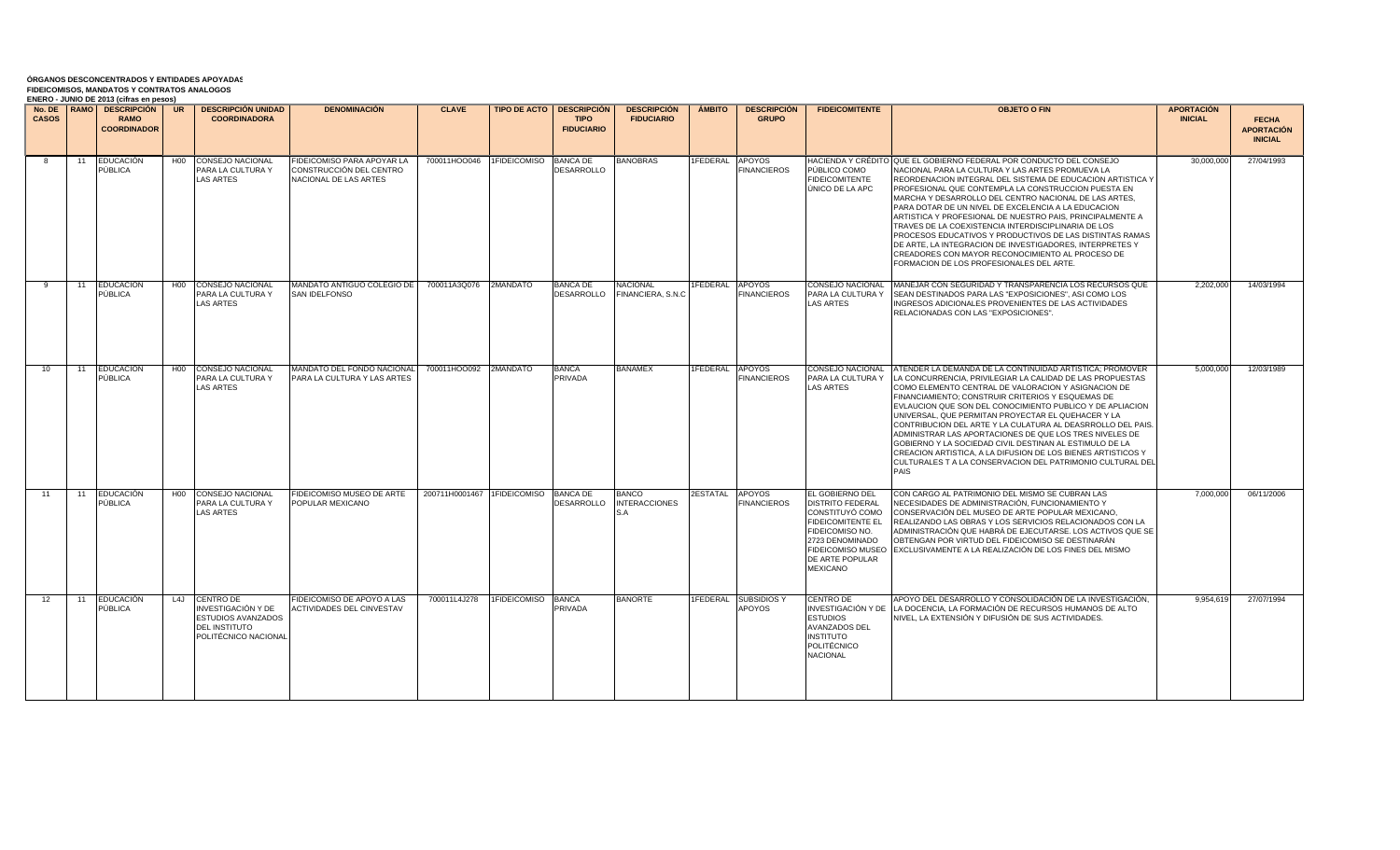| <b>CASOS</b>    |    | <b>ENERO - JUNIO DE 2013 (CIITAS EN DESOS)</b><br>No. DE RAMO DESCRIPCIÓN<br><b>RAMO</b><br><b>COORDINADOR</b> | UR              | <b>DESCRIPCIÓN UNIDAD</b><br><b>COORDINADORA</b>                                                                 | <b>DENOMINACIÓN</b>                                                            | <b>CLAVE</b>                         |                    | <b>TIPO DE ACTO   DESCRIPCIÓN</b><br><b>TIPO</b><br><b>FIDUCIARIO</b> | <b>DESCRIPCIÓN</b><br><b>FIDUCIARIO</b>     | <b>AMBITO</b>          | <b>DESCRIPCIÓN</b><br><b>GRUPO</b>    | <b>FIDEICOMITENTE</b>                                                                                                                                                        | <b>OBJETO O FIN</b>                                                                                                                                                                                                                                                                                                                                                                                                                                                                                                                                                                                                                                                                                       | <b>APORTACIÓN</b><br><b>INICIAL</b> | <b>FECHA</b><br><b>APORTACIÓN</b><br><b>INICIAL</b> |
|-----------------|----|----------------------------------------------------------------------------------------------------------------|-----------------|------------------------------------------------------------------------------------------------------------------|--------------------------------------------------------------------------------|--------------------------------------|--------------------|-----------------------------------------------------------------------|---------------------------------------------|------------------------|---------------------------------------|------------------------------------------------------------------------------------------------------------------------------------------------------------------------------|-----------------------------------------------------------------------------------------------------------------------------------------------------------------------------------------------------------------------------------------------------------------------------------------------------------------------------------------------------------------------------------------------------------------------------------------------------------------------------------------------------------------------------------------------------------------------------------------------------------------------------------------------------------------------------------------------------------|-------------------------------------|-----------------------------------------------------|
|                 | 11 | <b>EDUCACIÓN</b><br>PÚBLICA                                                                                    | H <sub>00</sub> | <b>CONSEJO NACIONAL</b><br>PARA LA CULTURA Y<br><b>LAS ARTES</b>                                                 | FIDEICOMISO PARA APOYAR LA<br>CONSTRUCCIÓN DEL CENTRO<br>NACIONAL DE LAS ARTES | 700011HOO046 1FIDEICOMISO            |                    | <b>BANCA DE</b><br>DESARROLLO                                         | <b>BANOBRAS</b>                             | 1FEDERAL               | APOYOS<br><b>FINANCIEROS</b>          | PÚBLICO COMO<br><b>FIDEICOMITENTE</b><br>ÚNICO DE LA APC                                                                                                                     | HACIENDA Y CRÉDITO IQUE EL GOBIERNO FEDERAL POR CONDUCTO DEL CONSEJO<br>NACIONAL PARA LA CULTURA Y LAS ARTES PROMUEVA LA<br>REORDENACION INTEGRAL DEL SISTEMA DE EDUCACION ARTISTICA Y<br>PROFESIONAL QUE CONTEMPLA LA CONSTRUCCION PUESTA EN<br>MARCHA Y DESARROLLO DEL CENTRO NACIONAL DE LAS ARTES.<br>PARA DOTAR DE UN NIVEL DE EXCELENCIA A LA EDUCACION<br>ARTISTICA Y PROFESIONAL DE NUESTRO PAIS, PRINCIPALMENTE A<br>TRAVES DE LA COEXISTENCIA INTERDISCIPLINARIA DE LOS<br>PROCESOS EDUCATIVOS Y PRODUCTIVOS DE LAS DISTINTAS RAMAS<br>DE ARTE, LA INTEGRACION DE INVESTIGADORES, INTERPRETES Y<br>CREADORES CON MAYOR RECONOCIMIENTO AL PROCESO DE<br>FORMACION DE LOS PROFESIONALES DEL ARTE. | 30,000,000                          | 27/04/1993                                          |
| $\mathbf{q}$    | 11 | EDUCACIÓN<br>PÚBLICA                                                                                           | H <sub>0</sub>  | <b>CONSEJO NACIONAL</b><br>PARA LA CULTURA Y<br><b>LAS ARTES</b>                                                 | MANDATO ANTIGUO COLEGIO DE I<br>SAN IDELFONSO                                  | 700011A3Q076 2MANDATO                |                    | <b>BANCA DE</b><br>DESARROLLO                                         | <b>NACIONAL</b><br>FINANCIERA, S.N.C        | <b>IFEDERAL APOYOS</b> | <b>FINANCIEROS</b>                    | CONSEJO NACIONAL<br>PARA LA CULTURA Y<br><b>LAS ARTES</b>                                                                                                                    | MANEJAR CON SEGURIDAD Y TRANSPARENCIA LOS RECURSOS QUE<br>SEAN DESTINADOS PARA LAS "EXPOSICIONES", ASI COMO LOS<br>INGRESOS ADICIONALES PROVENIENTES DE LAS ACTIVIDADES<br>RELACIONADAS CON LAS "EXPOSICIONES".                                                                                                                                                                                                                                                                                                                                                                                                                                                                                           | 2,202,000                           | 14/03/1994                                          |
| 10 <sup>1</sup> | 11 | <b>EDUCACIÓN</b><br>PÚBLICA                                                                                    | H <sub>0</sub>  | <b>CONSEJO NACIONAL</b><br>PARA LA CULTURA Y<br>LAS ARTES                                                        | MANDATO DEL FONDO NACIONAL<br>PARA LA CULTURA Y LAS ARTES                      | 700011HOO092 2MANDATO                |                    | <b>BANCA</b><br>PRIVADA                                               | <b>BANAMEX</b>                              | 1FEDERAL               | APOYOS<br><b>FINANCIEROS</b>          | CONSEJO NACIONAL<br>PARA LA CULTURA Y<br><b>LAS ARTES</b>                                                                                                                    | ATENDER LA DEMANDA DE LA CONTINUIDAD ARTISTICA: PROMOVER<br>LA CONCURRENCIA. PRIVILEGIAR LA CALIDAD DE LAS PROPUESTAS<br>COMO ELEMENTO CENTRAL DE VALORACION Y ASIGNACION DE<br>FINANCIAMIENTO: CONSTRUIR CRITERIOS Y ESQUEMAS DE<br>EVLAUCION QUE SON DEL CONOCIMIENTO PUBLICO Y DE APLIACION<br>UNIVERSAL, QUE PERMITAN PROYECTAR EL QUEHACER Y LA<br>CONTRIBUCION DEL ARTE Y LA CULATURA AL DEASRROLLO DEL PAIS.<br>ADMINISTRAR LAS APORTACIONES DE QUE LOS TRES NIVELES DE<br>GOBIERNO Y LA SOCIEDAD CIVIL DESTINAN AL ESTIMULO DE LA<br>CREACION ARTISTICA. A LA DIFUSION DE LOS BIENES ARTISTICOS Y<br>CULTURALES T A LA CONSERVACION DEL PATRIMONIO CULTURAL DEI<br><b>PAIS</b>                    | 5.000.000                           | 12/03/1989                                          |
| 11              | 11 | <b>EDUCACIÓN</b><br>PÚBLICA                                                                                    | H <sub>00</sub> | <b>CONSEJO NACIONAL</b><br>PARA LA CULTURA Y<br>LAS ARTES                                                        | <b>IDEICOMISO MUSEO DE ARTE</b><br>POPULAR MEXICANO                            | 200711H0001467 1FIDEICOMISO BANCA DE |                    | DESARROLLO                                                            | <b>BANCO</b><br><b>INTERACCIONES</b><br>S.A | <b>2ESTATAL</b>        | APOYOS<br><b>FINANCIEROS</b>          | EL GOBIERNO DEL<br>DISTRITO FEDERAL<br>CONSTITUYÓ COMO<br>FIDEICOMITENTE EL<br>FIDEICOMISO NO.<br>2723 DENOMINADO<br>FIDEICOMISO MUSEO<br>DE ARTE POPULAR<br><b>MEXICANO</b> | CON CARGO AL PATRIMONIO DEL MISMO SE CUBRAN LAS<br>NECESIDADES DE ADMINISTRACIÓN, FUNCIONAMIENTO Y<br>CONSERVACIÓN DEL MUSEO DE ARTE POPULAR MEXICANO,<br>REALIZANDO LAS OBRAS Y LOS SERVICIOS RELACIONADOS CON LA<br>ADMINISTRACIÓN QUE HABRÁ DE EJECUTARSE. LOS ACTIVOS QUE SE<br>OBTENGAN POR VIRTUD DEL FIDEICOMISO SE DESTINARÁN<br>EXCLUSIVAMENTE A LA REALIZACIÓN DE LOS FINES DEL MISMO                                                                                                                                                                                                                                                                                                           | 7,000,000                           | 06/11/2006                                          |
| 12              | 11 | <b>EDUCACIÓN</b><br>PÚBLICA                                                                                    |                 | L4J CENTRO DE<br>INVESTIGACIÓN Y DE<br><b>ESTUDIOS AVANZADOS</b><br><b>DEL INSTITUTO</b><br>POLITÉCNICO NACIONAL | IDEICOMISO DE APOYO A LAS<br><b>ACTIVIDADES DEL CINVESTAV</b>                  | 700011L4J278                         | 1FIDEICOMISO BANCA | PRIVADA                                                               | <b>BANORTE</b>                              |                        | 1FEDERAL SUBSIDIOS Y<br><b>APOYOS</b> | CENTRO DE<br>INVESTIGACIÓN Y DE<br><b>ESTUDIOS</b><br>AVANZADOS DEL<br><b>INSTITUTO</b><br>POLITÉCNICO<br>NACIONAL                                                           | APOYO DEL DESARROLLO Y CONSOLIDACIÓN DE LA INVESTIGACIÓN.<br>LA DOCENCIA. LA FORMACIÓN DE RECURSOS HUMANOS DE ALTO<br>NIVEL. LA EXTENSIÓN Y DIFUSIÓN DE SUS ACTIVIDADES.                                                                                                                                                                                                                                                                                                                                                                                                                                                                                                                                  | 9.954.619                           | 27/07/1994                                          |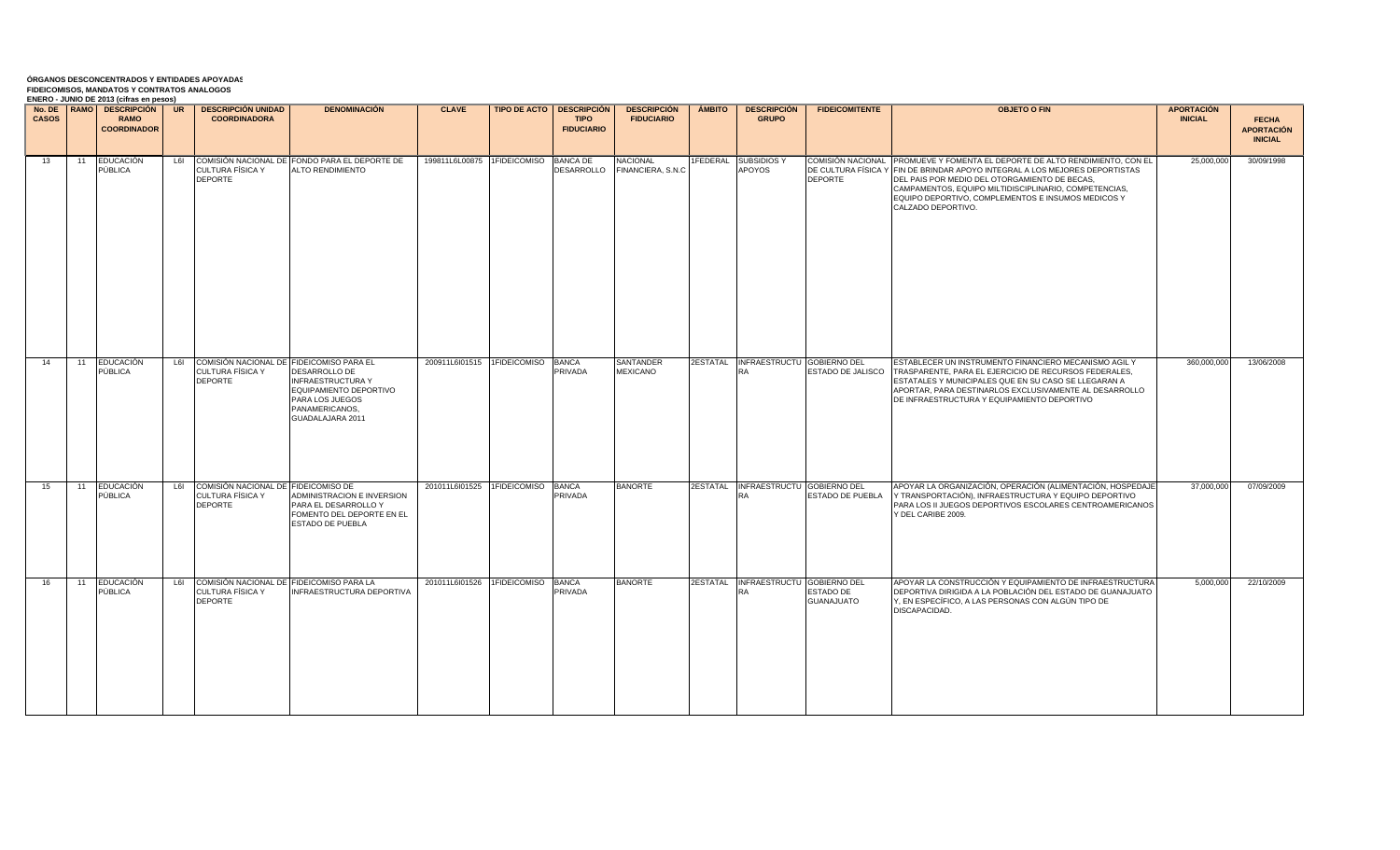| <b>CASOS</b> |       | ENERO - JUNIO DE 2013 (CIITAS EN DESOS)<br>No. DE IRAMO   DESCRIPCIÓN   UR<br><b>RAMO</b><br><b>COORDINADOR</b> |     | <b>DESCRIPCIÓN UNIDAD</b><br><b>COORDINADORA</b>                                   | <b>DENOMINACIÓN</b>                                                                                                                 | <b>CLAVE</b>                         | <b>TIPO DE ACTO   DESCRIPCIÓN  </b><br><b>TIPO</b><br><b>FIDUCIARIO</b> | DESCRIPCIÓN   AMBITO   DESCRIPCIÓN<br><b>FIDUCIARIO</b> | <b>GRUPO</b>                                     | <b>FIDEICOMITENTE</b>   | <b>OBJETO O FIN</b>                                                                                                                                                                                                                                                                                                                              | <b>APORTACIÓN</b><br><b>INICIAL</b> | <b>FECHA</b><br><b>APORTACIÓN</b><br><b>INICIAL</b> |
|--------------|-------|-----------------------------------------------------------------------------------------------------------------|-----|------------------------------------------------------------------------------------|-------------------------------------------------------------------------------------------------------------------------------------|--------------------------------------|-------------------------------------------------------------------------|---------------------------------------------------------|--------------------------------------------------|-------------------------|--------------------------------------------------------------------------------------------------------------------------------------------------------------------------------------------------------------------------------------------------------------------------------------------------------------------------------------------------|-------------------------------------|-----------------------------------------------------|
| 13           | 11    | EDUCACIÓN<br>PÚBLICA                                                                                            |     | CULTURA FÍSICA Y<br><b>DEPORTE</b>                                                 | L6I COMISIÓN NACIONAL DE FONDO PARA EL DEPORTE DE<br><b>ALTO RENDIMIENTO</b>                                                        | 199811L6L00875 1FIDEICOMISO BANCA DE | DESARROLLO                                                              | <b>NACIONAL</b><br>FINANCIERA, S.N.C.                   | 1FEDERAL SUBSIDIOS Y<br>APOYOS                   | <b>DEPORTE</b>          | COMISIÓN NACIONAL PROMUEVE Y FOMENTA EL DEPORTE DE ALTO RENDIMIENTO, CON EL<br>DE CULTURA FÍSICA Y FIN DE BRINDAR APOYO INTEGRAL A LOS MEJORES DEPORTISTAS<br>DEL PAIS POR MEDIO DEL OTORGAMIENTO DE BECAS.<br>CAMPAMENTOS, EQUIPO MILTIDISCIPLINARIO, COMPETENCIAS,<br>EQUIPO DEPORTIVO, COMPLEMENTOS E INSUMOS MEDICOS Y<br>CALZADO DEPORTIVO. | 25,000,000                          | 30/09/1998                                          |
| 14           | 11    | <b>EDUCACIÓN</b><br>PÚBLICA                                                                                     | L6I | COMISIÓN NACIONAL DE FIDEICOMISO PARA EL<br>CULTURA FÍSICA Y<br><b>DEPORTE</b>     | <b>DESARROLLO DE</b><br><b>INFRAESTRUCTURA Y</b><br>EQUIPAMIENTO DEPORTIVO<br>PARA LOS JUEGOS<br>PANAMERICANOS,<br>GUADALAJARA 2011 | 200911L6l01515 1FIDEICOMISO BANCA    | PRIVADA                                                                 | <b>SANTANDER</b><br><b>MEXICANO</b>                     | 2ESTATAL INFRAESTRUCTU GOBIERNO DEL<br><b>RA</b> | ESTADO DE JALISCO       | ESTABLECER UN INSTRUMENTO FINANCIERO MECANISMO AGIL Y<br>TRASPARENTE, PARA EL EJERCICIO DE RECURSOS FEDERALES,<br>ESTATALES Y MUNICIPALES QUE EN SU CASO SE LLEGARAN A<br>APORTAR, PARA DESTINARLOS EXCLUSIVAMENTE AL DESARROLLO<br>DE INFRAESTRUCTURA Y EQUIPAMIENTO DEPORTIVO                                                                  | 360,000,000                         | 13/06/2008                                          |
| 15           | 11    | EDUCACIÓN<br>PÚBLICA                                                                                            |     | L6I COMISIÓN NACIONAL DE FIDEICOMISO DE<br>CULTURA FÍSICA Y<br><b>DEPORTE</b>      | ADMINISTRACION E INVERSION<br>PARA EL DESARROLLO Y<br>FOMENTO DEL DEPORTE EN EL<br><b>ESTADO DE PUEBLA</b>                          | 201011L6l01525 1FIDEICOMISO BANCA    | PRIVADA                                                                 | <b>BANORTE</b>                                          | 2ESTATAL INFRAESTRUCTU GOBIERNO DEL<br><b>RA</b> | ESTADO DE PUEBLA        | APOYAR LA ORGANIZACIÓN, OPERACIÓN (ALIMENTACIÓN, HOSPEDAJE<br>Y TRANSPORTACIÓN), INFRAESTRUCTURA Y EQUIPO DEPORTIVO<br>PARA LOS II JUEGOS DEPORTIVOS ESCOLARES CENTROAMERICANOS<br>Y DEL CARIBE 2009.                                                                                                                                            | 37,000,000                          | 07/09/2009                                          |
| 16           | $-11$ | EDUCACIÓN<br>PÚBLICA                                                                                            |     | L6I COMISIÓN NACIONAL DE FIDEICOMISO PARA LA<br>CULTURA FÍSICA Y<br><b>DEPORTE</b> | <b>INFRAESTRUCTURA DEPORTIVA</b>                                                                                                    | 201011L6l01526 1FIDEICOMISO BANCA    | PRIVADA                                                                 | <b>BANORTE</b>                                          | 2ESTATAL INFRAESTRUCTU GOBIERNO DEL              | ESTADO DE<br>GUANAJUATO | APOYAR LA CONSTRUCCIÓN Y EQUIPAMIENTO DE INFRAESTRUCTURA<br>DEPORTIVA DIRIGIDA A LA POBLACIÓN DEL ESTADO DE GUANAJUATO<br>Y, EN ESPECÍFICO, A LAS PERSONAS CON ALGÚN TIPO DE<br>DISCAPACIDAD.                                                                                                                                                    | 5,000,000                           | 22/10/2009                                          |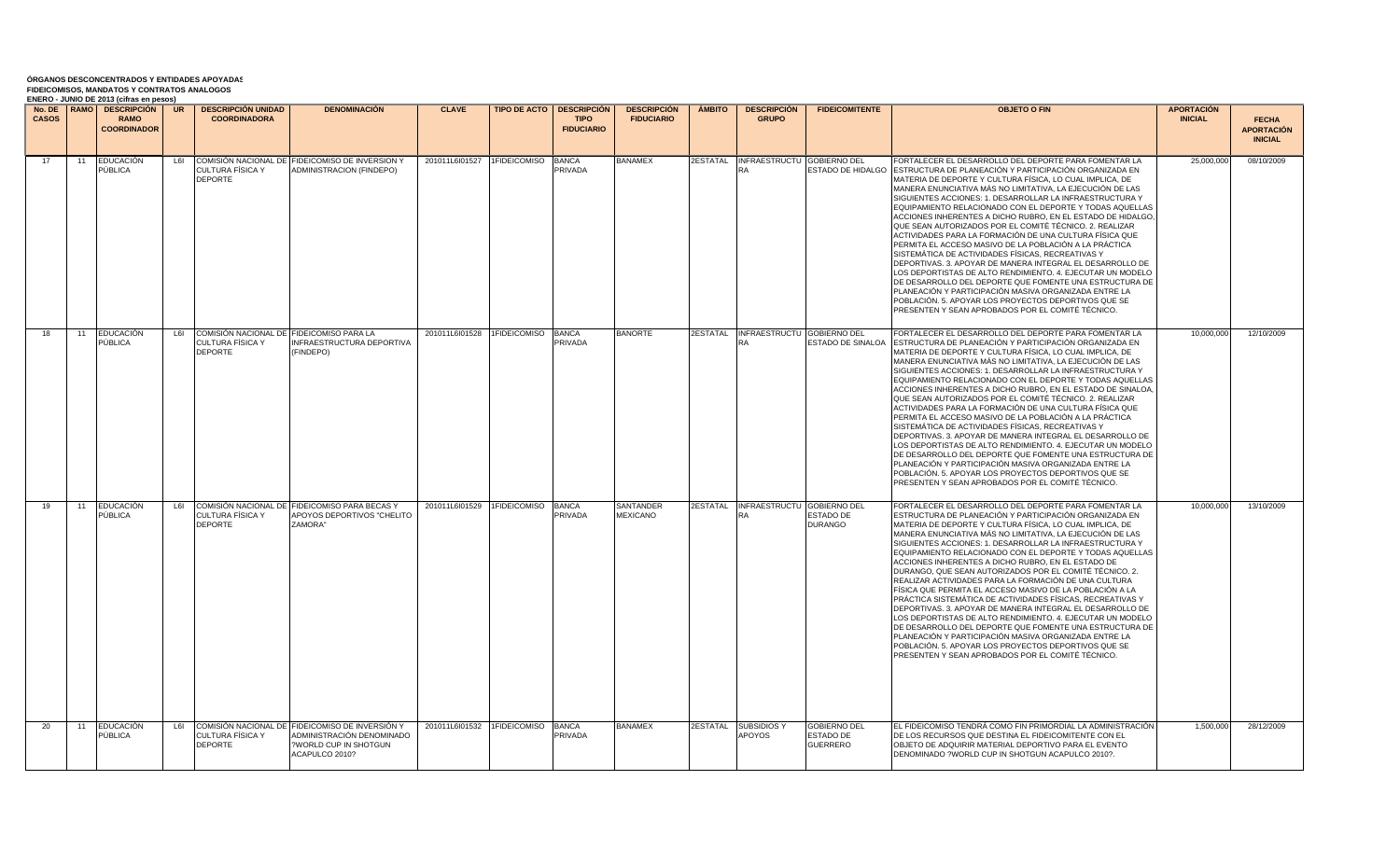|              |    | No. DE   RAMO   DESCRIPCIÓN       | UR  | <b>DESCRIPCION UNIDAD</b>                                                      | <b>DENOMINACIÓN</b>                                                                                                    | <b>CLAVE</b>                |              | <b>TIPO DE ACTO   DESCRIPCIÓN</b> | <b>DESCRIPCIÓN</b>                  | <b>AMBITO</b>   | <b>DESCRIPCIÓN</b>                  | <b>FIDEICOMITENTE</b>                                      | <b>OBJETO O FIN</b>                                                                                                                                                                                                                                                                                                                                                                                                                                                                                                                                                                                                                                                                                                                                                                                                                                                                                                                                                                                                                | <b>APORTACIÓN</b> |                                                     |
|--------------|----|-----------------------------------|-----|--------------------------------------------------------------------------------|------------------------------------------------------------------------------------------------------------------------|-----------------------------|--------------|-----------------------------------|-------------------------------------|-----------------|-------------------------------------|------------------------------------------------------------|------------------------------------------------------------------------------------------------------------------------------------------------------------------------------------------------------------------------------------------------------------------------------------------------------------------------------------------------------------------------------------------------------------------------------------------------------------------------------------------------------------------------------------------------------------------------------------------------------------------------------------------------------------------------------------------------------------------------------------------------------------------------------------------------------------------------------------------------------------------------------------------------------------------------------------------------------------------------------------------------------------------------------------|-------------------|-----------------------------------------------------|
| <b>CASOS</b> |    | <b>RAMO</b><br><b>COORDINADOR</b> |     | <b>COORDINADORA</b>                                                            |                                                                                                                        |                             |              | <b>TIPO</b><br><b>FIDUCIARIO</b>  | <b>FIDUCIARIO</b>                   |                 | <b>GRUPO</b>                        |                                                            |                                                                                                                                                                                                                                                                                                                                                                                                                                                                                                                                                                                                                                                                                                                                                                                                                                                                                                                                                                                                                                    | <b>INICIAL</b>    | <b>FECHA</b><br><b>APORTACIÓN</b><br><b>INICIAL</b> |
| 17           | 11 | <b>EDUCACIÓN</b><br>PÚBLICA       | L6I | CULTURA FÍSICA Y<br><b>DEPORTE</b>                                             | COMISIÓN NACIONAL DE FIDEICOMISO DE INVERSION Y<br><b>ADMINISTRACION (FINDEPO)</b>                                     | 201011L6l01527              | 1FIDEICOMISO | <b>BANCA</b><br>PRIVADA           | <b>BANAMEX</b>                      | <b>2ESTATAL</b> | INFRAESTRUCTU GOBIERNO DEL          | ESTADO DE HIDALGO                                          | FORTALECER EL DESARROLLO DEL DEPORTE PARA FOMENTAR LA<br>ESTRUCTURA DE PLANEACIÓN Y PARTICIPACIÓN ORGANIZADA EN<br>MATERIA DE DEPORTE Y CULTURA FÍSICA, LO CUAL IMPLICA, DE<br>MANERA ENUNCIATIVA MÁS NO LIMITATIVA. LA EJECUCIÓN DE LAS<br>SIGUIENTES ACCIONES: 1. DESARROLLAR LA INFRAESTRUCTURA Y<br>EQUIPAMIENTO RELACIONADO CON EL DEPORTE Y TODAS AQUELLAS<br>ACCIONES INHERENTES A DICHO RUBRO, EN EL ESTADO DE HIDALGO<br>QUE SEAN AUTORIZADOS POR EL COMITÉ TÉCNICO. 2. REALIZAR<br>ACTIVIDADES PARA LA FORMACIÓN DE UNA CULTURA FÍSICA QUE<br>PERMITA EL ACCESO MASIVO DE LA POBLACIÓN A LA PRÁCTICA<br>SISTEMÁTICA DE ACTIVIDADES FÍSICAS, RECREATIVAS Y<br>DEPORTIVAS. 3. APOYAR DE MANERA INTEGRAL EL DESARROLLO DE<br>LOS DEPORTISTAS DE ALTO RENDIMIENTO. 4. EJECUTAR UN MODELO<br>DE DESARROLLO DEL DEPORTE QUE FOMENTE UNA ESTRUCTURA DE<br>PLANEACIÓN Y PARTICIPACIÓN MASIVA ORGANIZADA ENTRE LA<br>POBLACIÓN. 5. APOYAR LOS PROYECTOS DEPORTIVOS QUE SE<br>PRESENTEN Y SEAN APROBADOS POR EL COMITÉ TÉCNICO.    | 25,000,000        | 08/10/2009                                          |
| 18           | 11 | <b>EDUCACIÓN</b><br>PÚBLICA       | L6I | COMISIÓN NACIONAL DE FIDEICOMISO PARA LA<br>CULTURA FÍSICA Y<br><b>DEPORTE</b> | <b>INFRAESTRUCTURA DEPORTIVA</b><br>(FINDEPO)                                                                          | 201011L6l01528 1FIDEICOMISO |              | <b>BANCA</b><br><b>PRIVADA</b>    | <b>BANORTE</b>                      |                 | 2ESTATAL INFRAESTRUCTU GOBIERNO DEL | ESTADO DE SINALOA                                          | FORTALECER EL DESARROLLO DEL DEPORTE PARA FOMENTAR LA<br>ESTRUCTURA DE PLANEACIÓN Y PARTICIPACIÓN ORGANIZADA EN I<br>MATERIA DE DEPORTE Y CULTURA FÍSICA. LO CUAL IMPLICA. DE<br>MANERA ENUNCIATIVA MÁS NO LIMITATIVA, LA EJECUCIÓN DE LAS<br>SIGUIENTES ACCIONES: 1. DESARROLLAR LA INFRAESTRUCTURA Y<br>EQUIPAMIENTO RELACIONADO CON EL DEPORTE Y TODAS AQUELLAS<br>ACCIONES INHERENTES A DICHO RUBRO. EN EL ESTADO DE SINALOA.<br>QUE SEAN AUTORIZADOS POR EL COMITÉ TÉCNICO. 2. REALIZAR<br>ACTIVIDADES PARA LA FORMACIÓN DE UNA CULTURA FÍSICA QUE<br>PERMITA EL ACCESO MASIVO DE LA POBLACIÓN A LA PRÁCTICA<br>SISTEMÁTICA DE ACTIVIDADES FÍSICAS. RECREATIVAS Y<br>DEPORTIVAS. 3. APOYAR DE MANERA INTEGRAL EL DESARROLLO DE<br>LOS DEPORTISTAS DE ALTO RENDIMIENTO. 4. EJECUTAR UN MODELO<br>DE DESARROLLO DEL DEPORTE QUE FOMENTE UNA ESTRUCTURA DE<br>PLANEACIÓN Y PARTICIPACIÓN MASIVA ORGANIZADA ENTRE LA<br>POBLACIÓN. 5. APOYAR LOS PROYECTOS DEPORTIVOS QUE SE<br>PRESENTEN Y SEAN APROBADOS POR EL COMITÉ TÉCNICO. | 10,000,000        | 12/10/2009                                          |
| 19           | 11 | <b>EDUCACIÓN</b><br>PÚBLICA       | L6I | CULTURA FÍSICA Y<br>DEPORTE                                                    | COMISIÓN NACIONAL DE FIDEICOMISO PARA BECAS Y<br>APOYOS DEPORTIVOS "CHELITO<br>ZAMORA"                                 | 201011L6l01529 1FIDEICOMISO |              | <b>BANCA</b><br><b>PRIVADA</b>    | <b>SANTANDER</b><br><b>MEXICANO</b> |                 | 2ESTATAL INFRAESTRUCTU GOBIERNO DEL | ESTADO DE<br><b>DURANGO</b>                                | FORTALECER EL DESARROLLO DEL DEPORTE PARA FOMENTAR LA<br>ESTRUCTURA DE PLANEACIÓN Y PARTICIPACIÓN ORGANIZADA EN<br>MATERIA DE DEPORTE Y CULTURA FÍSICA. LO CUAL IMPLICA, DE<br>MANERA ENUNCIATIVA MÁS NO LIMITATIVA, LA EJECUCIÓN DE LAS<br>SIGUIENTES ACCIONES: 1. DESARROLLAR LA INFRAESTRUCTURA Y<br>EQUIPAMIENTO RELACIONADO CON EL DEPORTE Y TODAS AQUELLAS<br>ACCIONES INHERENTES A DICHO RUBRO, EN EL ESTADO DE<br>DURANGO, QUE SEAN AUTORIZADOS POR EL COMITÉ TÉCNICO. 2.<br>REALIZAR ACTIVIDADES PARA LA FORMACIÓN DE UNA CULTURA<br>FÍSICA QUE PERMITA EL ACCESO MASIVO DE LA POBLACIÓN A LA<br>PRÁCTICA SISTEMÁTICA DE ACTIVIDADES FÍSICAS, RECREATIVAS Y<br>DEPORTIVAS. 3. APOYAR DE MANERA INTEGRAL EL DESARROLLO DE<br>LOS DEPORTISTAS DE ALTO RENDIMIENTO. 4. EJECUTAR UN MODELO<br>DE DESARROLLO DEL DEPORTE QUE FOMENTE UNA ESTRUCTURA DE<br>PLANEACIÓN Y PARTICIPACIÓN MASIVA ORGANIZADA ENTRE LA<br>POBLACIÓN. 5. APOYAR LOS PROYECTOS DEPORTIVOS QUE SE<br>PRESENTEN Y SEAN APROBADOS POR EL COMITÉ TÉCNICO.   | 10,000,000        | 13/10/2009                                          |
| 20           | 11 | <b>EDUCACIÓN</b><br>PÚBLICA       | L6I | CULTURA FÍSICA Y<br><b>DEPORTE</b>                                             | COMISIÓN NACIONAL DE FIDEICOMISO DE INVERSIÓN Y<br>ADMINISTRACIÓN DENOMINADO<br>WORLD CUP IN SHOTGUN<br>ACAPULCO 2010? | 201011L6l01532 1FIDEICOMISO |              | <b>BANCA</b><br>PRIVADA           | <b>BANAMEX</b>                      | <b>2ESTATAL</b> | <b>SUBSIDIOS Y</b><br><b>APOYOS</b> | <b>GOBIERNO DEL</b><br><b>ESTADO DE</b><br><b>GUERRERO</b> | EL FIDEICOMISO TENDRÁ COMO FIN PRIMORDIAL LA ADMINISTRACIÓN<br>DE LOS RECURSOS QUE DESTINA EL FIDEICOMITENTE CON EL<br>OBJETO DE ADQUIRIR MATERIAL DEPORTIVO PARA EL EVENTO<br>DENOMINADO ?WORLD CUP IN SHOTGUN ACAPULCO 2010?.                                                                                                                                                                                                                                                                                                                                                                                                                                                                                                                                                                                                                                                                                                                                                                                                    | 1,500,000         | 28/12/2009                                          |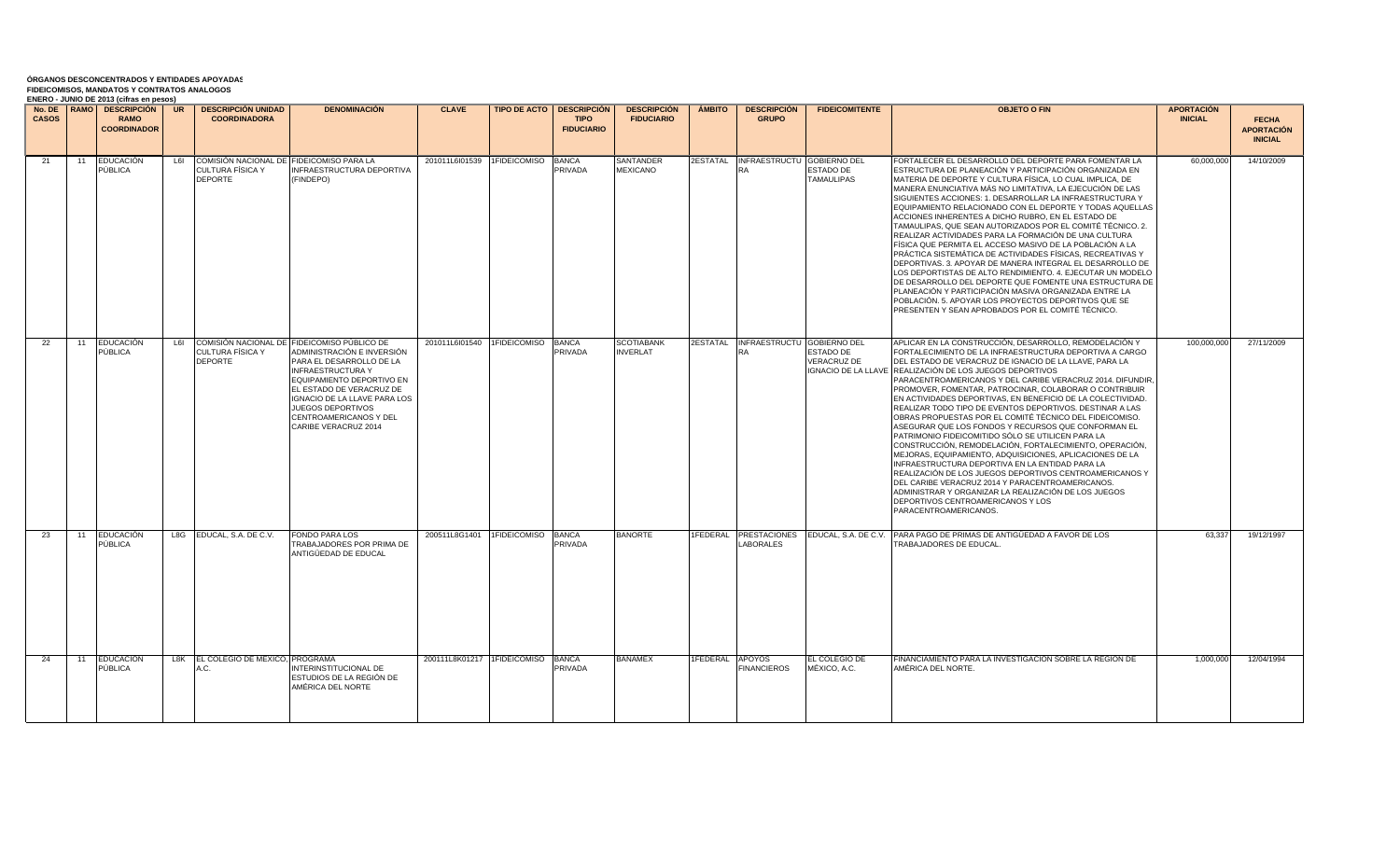| <b>CASOS</b> |    | LIVERO - JONIO DE ZUIJ (GIHAS CH DESOS)<br><b>RAMO</b><br><b>COORDINADOR</b> |     | No. DE FRAMO   DESCRIPCIÓN   UR   DESCRIPCIÓN UNIDAD<br><b>COORDINADORA</b>    | <b>DENOMINACIÓN</b>                                                                                                                                                                                                                                                                               | <b>CLAVE</b>                      |                    | <b>TIPO DE ACTO   DESCRIPCIÓN  </b><br><b>TIPO</b><br><b>FIDUCIARIO</b> | <b>DESCRIPCIÓN</b><br><b>FIDUCIARIO</b> | <b>AMBITO</b>          | <b>DESCRIPCIÓN</b><br><b>GRUPO</b>                      | <b>FIDEICOMITENTE</b>                      | <b>OBJETO O FIN</b>                                                                                                                                                                                                                                                                                                                                                                                                                                                                                                                                                                                                                                                                                                                                                                                                                                                                                                                                                                                                                                                              | <b>APORTACIÓN</b><br><b>INICIAL</b> | <b>FECHA</b><br><b>APORTACIÓN</b><br><b>INICIAL</b> |
|--------------|----|------------------------------------------------------------------------------|-----|--------------------------------------------------------------------------------|---------------------------------------------------------------------------------------------------------------------------------------------------------------------------------------------------------------------------------------------------------------------------------------------------|-----------------------------------|--------------------|-------------------------------------------------------------------------|-----------------------------------------|------------------------|---------------------------------------------------------|--------------------------------------------|----------------------------------------------------------------------------------------------------------------------------------------------------------------------------------------------------------------------------------------------------------------------------------------------------------------------------------------------------------------------------------------------------------------------------------------------------------------------------------------------------------------------------------------------------------------------------------------------------------------------------------------------------------------------------------------------------------------------------------------------------------------------------------------------------------------------------------------------------------------------------------------------------------------------------------------------------------------------------------------------------------------------------------------------------------------------------------|-------------------------------------|-----------------------------------------------------|
| 21           | 11 | <b>EDUCACIÓN</b><br>PÚBLICA                                                  | L6I | COMISIÓN NACIONAL DE FIDEICOMISO PARA LA<br>CULTURA FÍSICA Y<br><b>DEPORTE</b> | INFRAESTRUCTURA DEPORTIVA<br>(FINDEPO)                                                                                                                                                                                                                                                            | 201011L6l01539 1FIDEICOMISO       |                    | <b>BANCA</b><br>PRIVADA                                                 | SANTANDER<br><b>MEXICANO</b>            | 2ESTATAL               | INFRAESTRUCTU GOBIERNO DEL<br><b>RA</b>                 | ESTADO DE<br><b>TAMAULIPAS</b>             | FORTALECER EL DESARROLLO DEL DEPORTE PARA FOMENTAR LA<br>ESTRUCTURA DE PLANEACIÓN Y PARTICIPACIÓN ORGANIZADA EN<br>MATERIA DE DEPORTE Y CULTURA FÍSICA, LO CUAL IMPLICA, DE<br>MANERA ENUNCIATIVA MÁS NO LIMITATIVA. LA EJECUCIÓN DE LAS<br>SIGUIENTES ACCIONES: 1. DESARROLLAR LA INFRAESTRUCTURA Y<br>EQUIPAMIENTO RELACIONADO CON EL DEPORTE Y TODAS AQUELLAS<br>ACCIONES INHERENTES A DICHO RUBRO, EN EL ESTADO DE<br>TAMAULIPAS, QUE SEAN AUTORIZADOS POR EL COMITÉ TÉCNICO. 2.<br>REALIZAR ACTIVIDADES PARA LA FORMACIÓN DE UNA CULTURA<br>FÍSICA QUE PERMITA EL ACCESO MASIVO DE LA POBLACIÓN A LA<br>PRÁCTICA SISTEMÁTICA DE ACTIVIDADES FÍSICAS, RECREATIVAS Y<br>DEPORTIVAS. 3. APOYAR DE MANERA INTEGRAL EL DESARROLLO DE<br>LOS DEPORTISTAS DE ALTO RENDIMIENTO. 4. EJECUTAR UN MODELO<br>DE DESARROLLO DEL DEPORTE QUE FOMENTE UNA ESTRUCTURA DE<br>PLANEACIÓN Y PARTICIPACIÓN MASIVA ORGANIZADA ENTRE LA<br>POBLACIÓN. 5. APOYAR LOS PROYECTOS DEPORTIVOS QUE SE<br>PRESENTEN Y SEAN APROBADOS POR EL COMITÉ TÉCNICO.                                              | 60,000,000                          | 14/10/2009                                          |
| 22           | 11 | EDUCACIÓN<br>PÚBLICA                                                         | L6I | <b>CULTURA FÍSICA Y</b><br><b>DEPORTE</b>                                      | COMISIÓN NACIONAL DE FIDEICOMISO PÚBLICO DE<br>ADMINISTRACIÓN E INVERSIÓN<br>PARA EL DESARROLLO DE LA<br><b>INFRAESTRUCTURA Y</b><br>EQUIPAMIENTO DEPORTIVO EN<br>EL ESTADO DE VERACRUZ DE<br>IGNACIO DE LA LLAVE PARA LOS<br>JUEGOS DEPORTIVOS<br>CENTROAMERICANOS Y DEL<br>CARIBE VERACRUZ 2014 | 201011L6l01540 1FIDEICOMISO       |                    | <b>BANCA</b><br>PRIVADA                                                 | <b>SCOTIABANK</b><br><b>INVERLAT</b>    |                        | <b>2ESTATAL INFRAESTRUCTU GOBIERNO DEL</b><br><b>RA</b> | <b>ESTADO DE</b><br><b>VERACRUZ DE</b>     | APLICAR EN LA CONSTRUCCIÓN, DESARROLLO, REMODELACIÓN Y<br>FORTALECIMIENTO DE LA INFRAESTRUCTURA DEPORTIVA A CARGO<br>DEL ESTADO DE VERACRUZ DE IGNACIO DE LA LLAVE, PARA LA<br>IGNACIO DE LA LLAVE REALIZACIÓN DE LOS JUEGOS DEPORTIVOS<br>PARACENTROAMERICANOS Y DEL CARIBE VERACRUZ 2014. DIFUNDIR,<br>PROMOVER, FOMENTAR, PATROCINAR, COLABORAR O CONTRIBUIR<br>EN ACTIVIDADES DEPORTIVAS, EN BENEFICIO DE LA COLECTIVIDAD.<br>REALIZAR TODO TIPO DE EVENTOS DEPORTIVOS. DESTINAR A LAS<br>OBRAS PROPUESTAS POR EL COMITÉ TÉCNICO DEL FIDEICOMISO.<br>ASEGURAR QUE LOS FONDOS Y RECURSOS QUE CONFORMAN EL<br>PATRIMONIO FIDEICOMITIDO SÓLO SE UTILICEN PARA LA<br>CONSTRUCCIÓN. REMODELACIÓN. FORTALECIMIENTO. OPERACIÓN.<br>MEJORAS, EQUIPAMIENTO, ADQUISICIONES, APLICACIONES DE LA<br>INFRAESTRUCTURA DEPORTIVA EN LA ENTIDAD PARA LA<br>REALIZACIÓN DE LOS JUEGOS DEPORTIVOS CENTROAMERICANOS Y<br>DEL CARIBE VERACRUZ 2014 Y PARACENTROAMERICANOS.<br>ADMINISTRAR Y ORGANIZAR LA REALIZACIÓN DE LOS JUEGOS<br>DEPORTIVOS CENTROAMERICANOS Y LOS<br>PARACENTROAMERICANOS. | 100.000.000                         | 27/11/2009                                          |
| 23           | 11 | <b>EDUCACIÓN</b><br>PÚBLICA                                                  |     | L8G EDUCAL, S.A. DE C.V.                                                       | FONDO PARA LOS<br>TRABAJADORES POR PRIMA DE<br>ANTIGÜEDAD DE EDUCAL                                                                                                                                                                                                                               | 200511L8G1401                     | 1FIDEICOMISO BANCA | PRIVADA                                                                 | <b>BANORTE</b>                          |                        | LABORALES                                               | 1FEDERAL PRESTACIONES EDUCAL, S.A. DE C.V. | PARA PAGO DE PRIMAS DE ANTIGÜEDAD A FAVOR DE LOS<br>TRABAJADORES DE EDUCAL                                                                                                                                                                                                                                                                                                                                                                                                                                                                                                                                                                                                                                                                                                                                                                                                                                                                                                                                                                                                       | 63,337                              | 19/12/1997                                          |
| 24           | 11 | <b>EDUCACIÓN</b><br>PÚBLICA                                                  |     | L8K EL COLEGIO DE MÉXICO, PROGRAMA<br>A.C.                                     | <b>INTERINSTITUCIONAL DE</b><br>ESTUDIOS DE LA REGIÓN DE<br>AMÉRICA DEL NORTE                                                                                                                                                                                                                     | 200111L8K01217 1FIDEICOMISO BANCA |                    | PRIVADA                                                                 | <b>BANAMEX</b>                          | <b>IFEDERAL APOYOS</b> | <b>FINANCIEROS</b>                                      | EL COLEGIO DE<br>MÉXICO, A.C.              | FINANCIAMIENTO PARA LA INVESTIGACIÓN SOBRE LA REGIÓN DE<br>AMÉRICA DEL NORTE.                                                                                                                                                                                                                                                                                                                                                                                                                                                                                                                                                                                                                                                                                                                                                                                                                                                                                                                                                                                                    | 1,000,000                           | 12/04/1994                                          |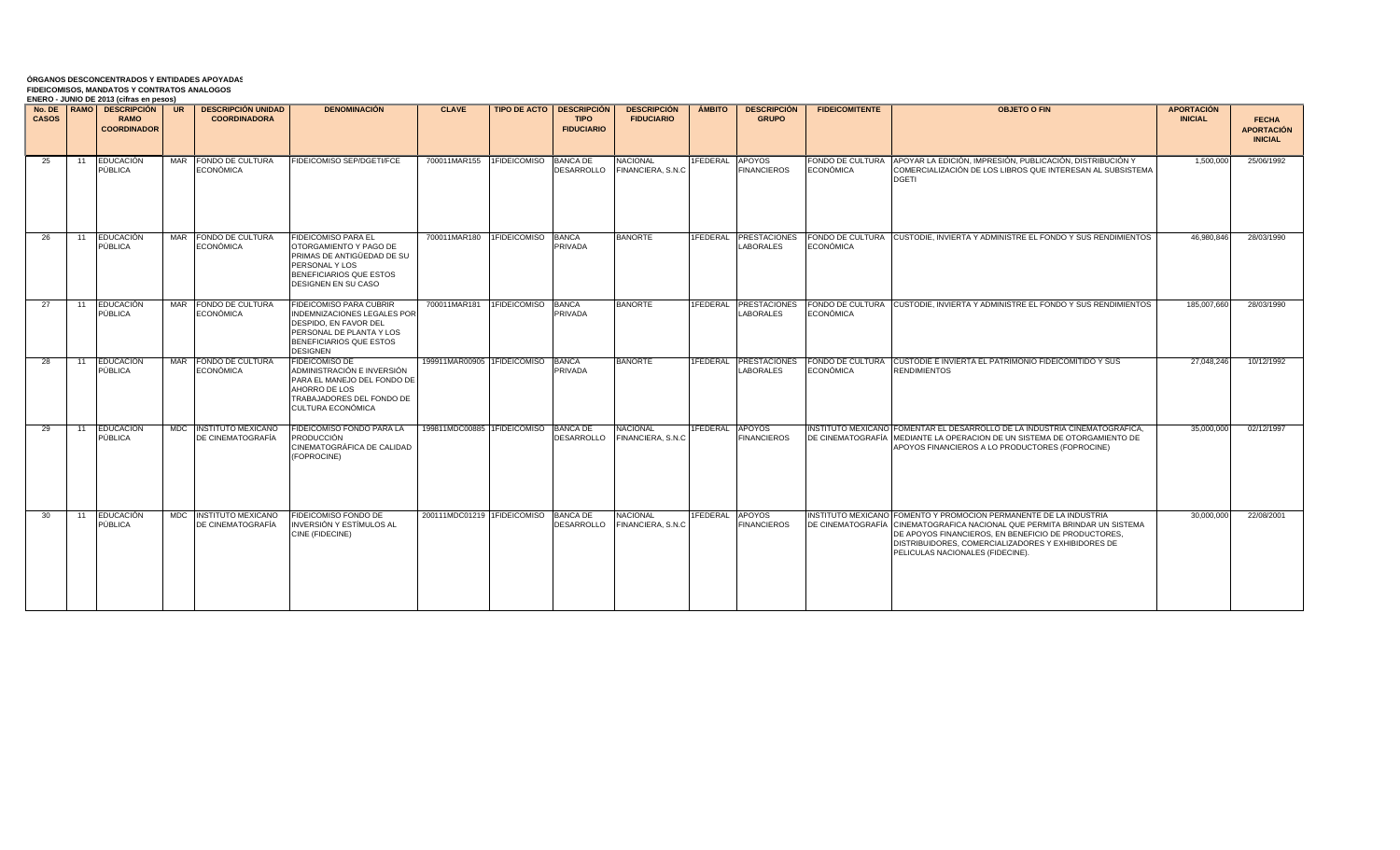| <b>CASOS</b> |    | ENERO - JUNIO DE 2013 (CITAS EN DESOS)<br>No. DE RAMO   DESCRIPCIÓN  <br><b>RAMO</b><br><b>COORDINADOR</b> | UR         | <b>DESCRIPCIÓN UNIDAD</b><br><b>COORDINADORA</b> | <b>DENOMINACIÓN</b>                                                                                                                                                     | <b>CLAVE</b>                         |                    | <b>TIPO DE ACTO   DESCRIPCIÓN</b><br><b>TIPO</b><br><b>FIDUCIARIO</b> | <b>DESCRIPCIÓN</b><br><b>FIDUCIARIO</b> | <b>AMBITO</b>   | <b>DESCRIPCIÓN</b><br><b>GRUPO</b>      | <b>FIDEICOMITENTE</b>                | <b>OBJETO O FIN</b>                                                                                                                                                                                                                                                                             | <b>APORTACIÓN</b><br><b>INICIAL</b> | <b>FECHA</b><br><b>APORTACIÓN</b><br><b>INICIAL</b> |
|--------------|----|------------------------------------------------------------------------------------------------------------|------------|--------------------------------------------------|-------------------------------------------------------------------------------------------------------------------------------------------------------------------------|--------------------------------------|--------------------|-----------------------------------------------------------------------|-----------------------------------------|-----------------|-----------------------------------------|--------------------------------------|-------------------------------------------------------------------------------------------------------------------------------------------------------------------------------------------------------------------------------------------------------------------------------------------------|-------------------------------------|-----------------------------------------------------|
| 25           | 11 | <b>EDUCACIÓN</b><br>PÚBLICA                                                                                | <b>MAR</b> | FONDO DE CULTURA<br>ECONÓMICA                    | FIDEICOMISO SEP/DGETI/FCE                                                                                                                                               | 700011MAR155 1FIDEICOMISO BANCA DE   |                    | DESARROLLO                                                            | <b>NACIONAL</b><br>FINANCIERA, S.N.C    | 1FEDERAL        | <b>APOYOS</b><br><b>FINANCIEROS</b>     | FONDO DE CULTURA<br><b>ECONÓMICA</b> | APOYAR LA EDICIÓN, IMPRESIÓN, PUBLICACIÓN, DISTRIBUCIÓN Y<br>COMERCIALIZACIÓN DE LOS LIBROS QUE INTERESAN AL SUBSISTEMA<br><b>DGETI</b>                                                                                                                                                         | 1.500.000                           | 25/06/1992                                          |
| 26           | 11 | <b>EDUCACIÓN</b><br>PÚBLICA                                                                                | MAR        | FONDO DE CULTURA<br>ECONÓMICA                    | <b>FIDEICOMISO PARA EL</b><br>OTORGAMIENTO Y PAGO DE<br>PRIMAS DE ANTIGÜEDAD DE SU<br>PERSONAL Y LOS<br>BENEFICIARIOS QUE ESTOS<br>DESIGNEN EN SU CASO                  | 700011MAR180                         | 1FIDEICOMISO       | <b>BANCA</b><br>PRIVADA                                               | <b>BANORTE</b>                          | 1FEDERAL        | <b>PRESTACIONES</b><br><b>LABORALES</b> | FONDO DE CULTURA<br><b>ECONÓMICA</b> | <b>ICUSTODIE. INVIERTA Y ADMINISTRE EL FONDO Y SUS RENDIMIENTOS</b>                                                                                                                                                                                                                             | 46.980.846                          | 28/03/1990                                          |
| 27           | 11 | <b>EDUCACIÓN</b><br>PÚBLICA                                                                                | <b>MAR</b> | FONDO DE CULTURA<br>ECONÓMICA                    | <b>FIDEICOMISO PARA CUBRIR</b><br><b>INDEMNIZACIONES LEGALES POR</b><br>DESPIDO, EN FAVOR DEL<br>PERSONAL DE PLANTA Y LOS<br>BENEFICIARIOS QUE ESTOS<br><b>DESIGNEN</b> | 700011MAR181                         | 1FIDEICOMISO BANCA | <b>PRIVADA</b>                                                        | <b>BANORTE</b>                          | <b>IFEDERAL</b> | <b>PRESTACIONES</b><br><b>LABORALES</b> | <b>ECONÓMICA</b>                     | FONDO DE CULTURA CUSTODIE, INVIERTA Y ADMINISTRE EL FONDO Y SUS RENDIMIENTOS                                                                                                                                                                                                                    | 185,007,660                         | 28/03/1990                                          |
| 28           | 11 | <b>EDUCACIÓN</b><br>PÚBLICA                                                                                |            | MAR FONDO DE CULTURA<br>ECONÓMICA                | FIDEICOMISO DE<br>ADMINISTRACIÓN E INVERSIÓN<br>PARA EL MANEJO DEL FONDO DE<br>AHORRO DE LOS<br>TRABAJADORES DEL FONDO DE<br>CULTURA ECONÓMICA                          | 199911MAR00905 1FIDEICOMISO BANCA    |                    | <b>PRIVADA</b>                                                        | <b>BANORTE</b>                          | 1FEDERAL        | <b>PRESTACIONES</b><br><b>LABORALES</b> | <b>ECONÓMICA</b>                     | FONDO DE CULTURA I CUSTODIE E INVIERTA EL PATRIMONIO FIDEICOMITIDO Y SUS<br><b>RENDIMIENTOS</b>                                                                                                                                                                                                 | 27.048.246                          | 10/12/1992                                          |
| 29           | 11 | <b>EDUCACIÓN</b><br>PÚBLICA                                                                                |            | MDC INSTITUTO MEXICANO<br>DE CINEMATOGRAFÍA      | FIDEICOMISO FONDO PARA LA<br><b>PRODUCCIÓN</b><br>CINEMATOGRÁFICA DE CALIDAD<br>(FOPROCINE)                                                                             | 199811MDC00885 1FIDEICOMISO BANCA DE |                    | DESARROLLO                                                            | <b>NACIONAL</b><br>FINANCIERA, S.N.C    | 1FEDERAL        | APOYOS<br><b>FINANCIEROS</b>            | <b>DE CINEMATOGRAFÍA</b>             | INSTITUTO MEXICANO FOMENTAR EL DESARROLLO DE LA INDUSTRIA CINEMATOGRAFICA,<br>MEDIANTE LA OPERACION DE UN SISTEMA DE OTORGAMIENTO DE<br>APOYOS FINANCIEROS A LO PRODUCTORES (FOPROCINE)                                                                                                         | 35,000,000                          | 02/12/1997                                          |
| 30           | 11 | EDUCACIÓN<br>PÚBLICA                                                                                       |            | MDC INSTITUTO MEXICANO<br>DE CINEMATOGRAFÍA      | FIDEICOMISO FONDO DE<br>INVERSIÓN Y ESTÍMULOS AL<br>CINE (FIDECINE)                                                                                                     | 200111MDC01219 1FIDEICOMISO BANCA DE |                    | DESARROLLO                                                            | <b>NACIONAL</b><br>FINANCIERA, S.N.C    | 1FEDERAL        | <b>APOYOS</b><br><b>FINANCIEROS</b>     |                                      | INSTITUTO MEXICANO FOMENTO Y PROMOCION PERMANENTE DE LA INDUSTRIA<br>DE CINEMATOGRAFÍA CINEMATOGRAFICA NACIONAL QUE PERMITA BRINDAR UN SISTEMA<br>DE APOYOS FINANCIEROS, EN BENEFICIO DE PRODUCTORES,<br>DISTRIBUIDORES, COMERCIALIZADORES Y EXHIBIDORES DE<br>PELICULAS NACIONALES (FIDECINE). | 30,000,000                          | 22/08/2001                                          |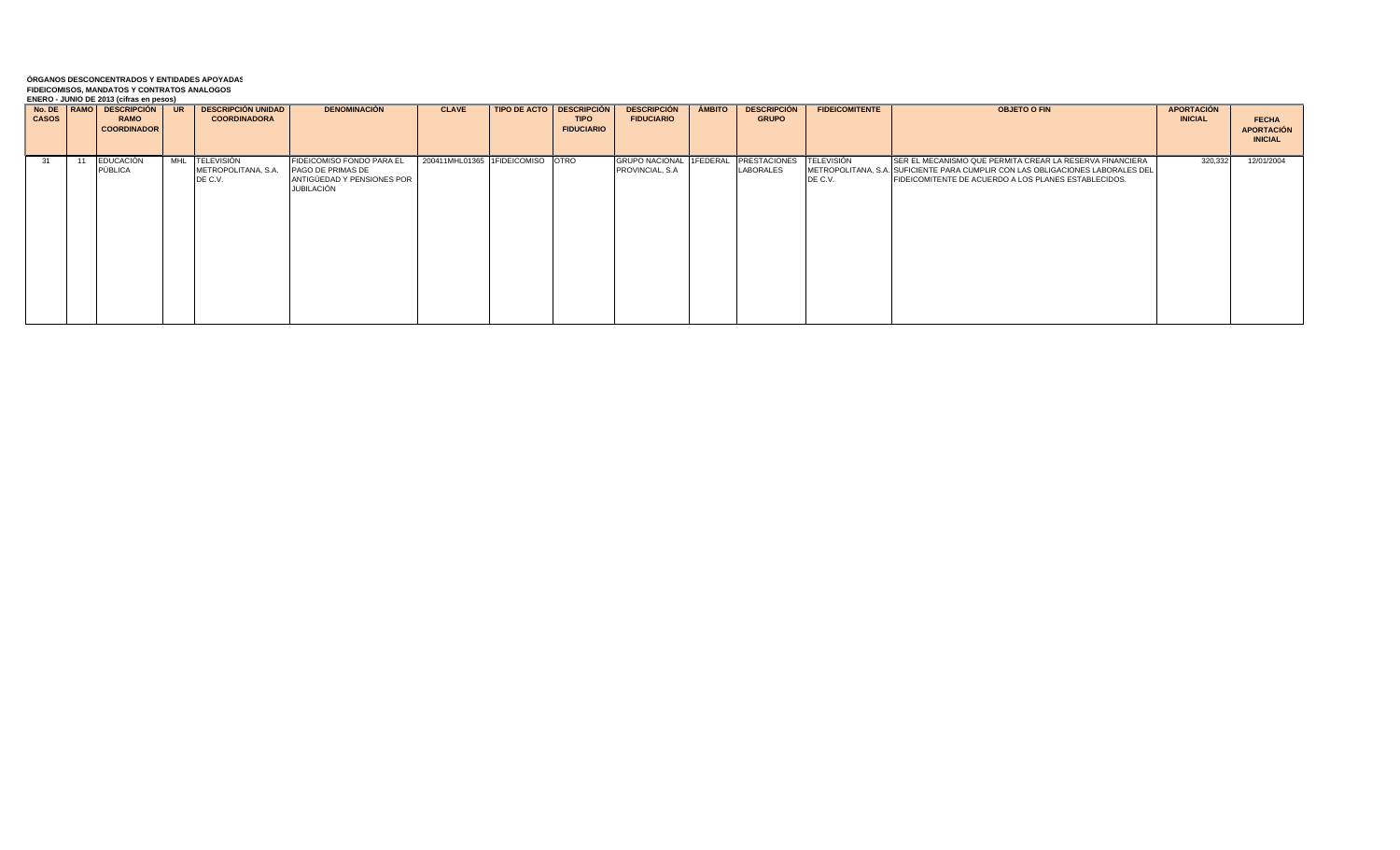|              |    | ENERO - JONIO DE 2013 (GITAS EN DESOS) |                           |                            |                                  |                                     |                       |               |                     |                       |                                                                                |                   |                   |
|--------------|----|----------------------------------------|---------------------------|----------------------------|----------------------------------|-------------------------------------|-----------------------|---------------|---------------------|-----------------------|--------------------------------------------------------------------------------|-------------------|-------------------|
|              |    | No. DE   RAMO   DESCRIPCIÓN   UR       | <b>DESCRIPCIÓN UNIDAD</b> | <b>DENOMINACIÓN</b>        | <b>CLAVE</b>                     | <b>TIPO DE ACTO   DESCRIPCIÓN  </b> | <b>DESCRIPCIÓN</b>    | <b>AMBITO</b> | <b>DESCRIPCIÓN</b>  | <b>FIDEICOMITENTE</b> | <b>OBJETO O FIN</b>                                                            | <b>APORTACIÓN</b> |                   |
| <b>CASOS</b> |    | <b>RAMO</b>                            | <b>COORDINADORA</b>       |                            |                                  | <b>TIPO</b>                         | <b>FIDUCIARIO</b>     |               | <b>GRUPO</b>        |                       |                                                                                | <b>INICIAL</b>    |                   |
|              |    |                                        |                           |                            |                                  |                                     |                       |               |                     |                       |                                                                                |                   | <b>FECHA</b>      |
|              |    | <b>COORDINADOR</b>                     |                           |                            |                                  | <b>FIDUCIARIO</b>                   |                       |               |                     |                       |                                                                                |                   | <b>APORTACIÓN</b> |
|              |    |                                        |                           |                            |                                  |                                     |                       |               |                     |                       |                                                                                |                   |                   |
|              |    |                                        |                           |                            |                                  |                                     |                       |               |                     |                       |                                                                                |                   | <b>INICIAL</b>    |
|              |    |                                        |                           |                            |                                  |                                     |                       |               |                     |                       |                                                                                |                   |                   |
|              |    |                                        |                           | FIDEICOMISO FONDO PARA EL  |                                  |                                     |                       |               |                     |                       |                                                                                |                   |                   |
| -31          | 11 | <b>EDUCACIÓN</b>                       | MHL TELEVISIÓN            |                            | 200411MHL01365 1FIDEICOMISO OTRO |                                     | <b>GRUPO NACIONAL</b> | 1FEDERAL      | <b>PRESTACIONES</b> | <b>TELEVISIÓN</b>     | SER EL MECANISMO QUE PERMITA CREAR LA RESERVA FINANCIERA                       | 320,332           | 12/01/2004        |
|              |    | PÚBLICA                                | METROPOLITANA, S.A.       | PAGO DE PRIMAS DE          |                                  |                                     | PROVINCIAL, S.A.      |               | LABORALES           |                       | METROPOLITANA, S.A. SUFICIENTE PARA CUMPLIR CON LAS OBLIGACIONES LABORALES DEL |                   |                   |
|              |    |                                        | DE C.V.                   | ANTIGÜEDAD Y PENSIONES POR |                                  |                                     |                       |               |                     | DE C.V.               | FIDEICOMITENTE DE ACUERDO A LOS PLANES ESTABLECIDOS.                           |                   |                   |
|              |    |                                        |                           |                            |                                  |                                     |                       |               |                     |                       |                                                                                |                   |                   |
|              |    |                                        |                           | JUBILACIÓN                 |                                  |                                     |                       |               |                     |                       |                                                                                |                   |                   |
|              |    |                                        |                           |                            |                                  |                                     |                       |               |                     |                       |                                                                                |                   |                   |
|              |    |                                        |                           |                            |                                  |                                     |                       |               |                     |                       |                                                                                |                   |                   |
|              |    |                                        |                           |                            |                                  |                                     |                       |               |                     |                       |                                                                                |                   |                   |
|              |    |                                        |                           |                            |                                  |                                     |                       |               |                     |                       |                                                                                |                   |                   |
|              |    |                                        |                           |                            |                                  |                                     |                       |               |                     |                       |                                                                                |                   |                   |
|              |    |                                        |                           |                            |                                  |                                     |                       |               |                     |                       |                                                                                |                   |                   |
|              |    |                                        |                           |                            |                                  |                                     |                       |               |                     |                       |                                                                                |                   |                   |
|              |    |                                        |                           |                            |                                  |                                     |                       |               |                     |                       |                                                                                |                   |                   |
|              |    |                                        |                           |                            |                                  |                                     |                       |               |                     |                       |                                                                                |                   |                   |
|              |    |                                        |                           |                            |                                  |                                     |                       |               |                     |                       |                                                                                |                   |                   |
|              |    |                                        |                           |                            |                                  |                                     |                       |               |                     |                       |                                                                                |                   |                   |
|              |    |                                        |                           |                            |                                  |                                     |                       |               |                     |                       |                                                                                |                   |                   |
|              |    |                                        |                           |                            |                                  |                                     |                       |               |                     |                       |                                                                                |                   |                   |
|              |    |                                        |                           |                            |                                  |                                     |                       |               |                     |                       |                                                                                |                   |                   |
|              |    |                                        |                           |                            |                                  |                                     |                       |               |                     |                       |                                                                                |                   |                   |
|              |    |                                        |                           |                            |                                  |                                     |                       |               |                     |                       |                                                                                |                   |                   |
|              |    |                                        |                           |                            |                                  |                                     |                       |               |                     |                       |                                                                                |                   |                   |
|              |    |                                        |                           |                            |                                  |                                     |                       |               |                     |                       |                                                                                |                   |                   |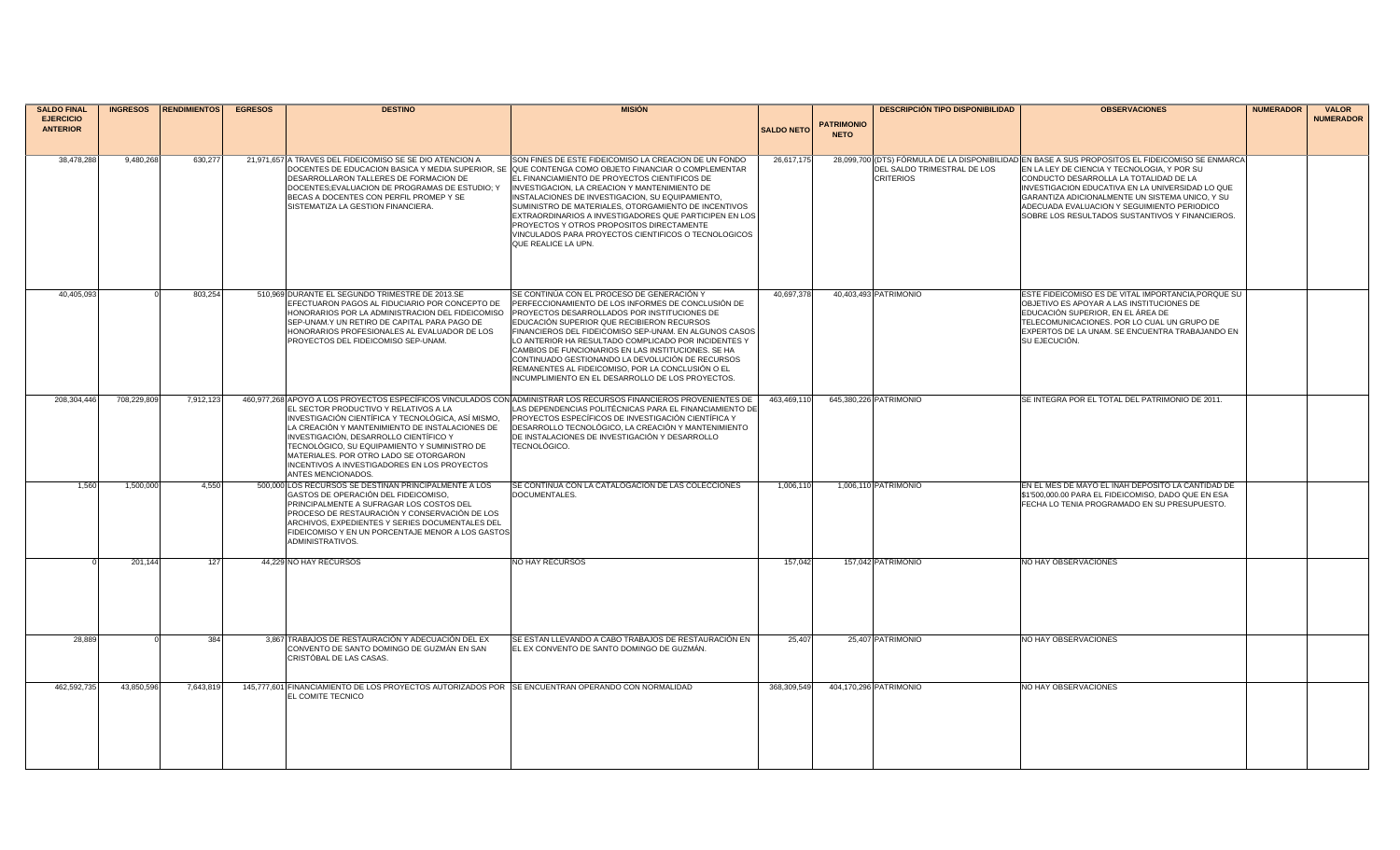| <b>SALDO FINAL</b>                  | <b>INGRESOS</b> | <b>RENDIMIENTOS</b> | <b>EGRESOS</b> | <b>DESTINO</b>                                                                                                                                                                                                                                                                                                                                           | <b>MISIÓN</b>                                                                                                                                                                                                                                                                                                                                                                                                                                                                                                                                                    |                   |                                  | <b>DESCRIPCIÓN TIPO DISPONIBILIDAD</b>          | <b>OBSERVACIONES</b>                                                                                                                                                                                                                                                                                                                                                                               | <b>NUMERADOR</b> | <b>VALOR</b>     |
|-------------------------------------|-----------------|---------------------|----------------|----------------------------------------------------------------------------------------------------------------------------------------------------------------------------------------------------------------------------------------------------------------------------------------------------------------------------------------------------------|------------------------------------------------------------------------------------------------------------------------------------------------------------------------------------------------------------------------------------------------------------------------------------------------------------------------------------------------------------------------------------------------------------------------------------------------------------------------------------------------------------------------------------------------------------------|-------------------|----------------------------------|-------------------------------------------------|----------------------------------------------------------------------------------------------------------------------------------------------------------------------------------------------------------------------------------------------------------------------------------------------------------------------------------------------------------------------------------------------------|------------------|------------------|
| <b>EJERCICIO</b><br><b>ANTERIOR</b> |                 |                     |                |                                                                                                                                                                                                                                                                                                                                                          |                                                                                                                                                                                                                                                                                                                                                                                                                                                                                                                                                                  | <b>SALDO NETO</b> | <b>PATRIMONIO</b><br><b>NETO</b> |                                                 |                                                                                                                                                                                                                                                                                                                                                                                                    |                  | <b>NUMERADOR</b> |
| 38,478,288                          | 9,480,268       | 630,277             |                | 21,971,657 A TRAVES DEL FIDEICOMISO SE SE DIO ATENCION A<br>DESARROLLARON TALLERES DE FORMACION DE<br>DOCENTES; EVALUACION DE PROGRAMAS DE ESTUDIO; Y<br>BECAS A DOCENTES CON PERFIL PROMEP Y SE<br>SISTEMATIZA LA GESTION FINANCIERA.                                                                                                                   | SON FINES DE ESTE FIDEICOMISO LA CREACION DE UN FONDO<br>OOCENTES DE EDUCACION BASICA Y MEDIA SUPERIOR, SE QUE CONTENGA COMO OBJETO FINANCIAR O COMPLEMENTAR<br>EL FINANCIAMIENTO DE PROYECTOS CIENTIFICOS DE<br>INVESTIGACION, LA CREACION Y MANTENIMIENTO DE<br>INSTALACIONES DE INVESTIGACION, SU EQUIPAMIENTO,<br>SUMINISTRO DE MATERIALES, OTORGAMIENTO DE INCENTIVOS<br>EXTRAORDINARIOS A INVESTIGADORES QUE PARTICIPEN EN LOS<br>PROYECTOS Y OTROS PROPOSITOS DIRECTAMENTE<br>VINCULADOS PARA PROYECTOS CIENTIFICOS O TECNOLOGICOS<br>QUE REALICE LA UPN. | 26,617,175        |                                  | DEL SALDO TRIMESTRAL DE LOS<br><b>CRITERIOS</b> | 28,099,700 (OTS) FORMULA DE LA DISPONIBILIDAD EN BASE A SUS PROPOSITOS EL FIDEICOMISO SE ENMARCA<br>EN LA LEY DE CIENCIA Y TECNOLOGIA, Y POR SU<br>CONDUCTO DESARROLLA LA TOTALIDAD DE LA<br>INVESTIGACION EDUCATIVA EN LA UNIVERSIDAD LO QUE<br>GARANTIZA ADICIONALMENTE UN SISTEMA UNICO, Y SU<br>ADECUADA EVALUACION Y SEGUIMIENTO PERIODICO<br>SOBRE LOS RESULTADOS SUSTANTIVOS Y FINANCIEROS. |                  |                  |
| 40,405,093                          |                 | 803,254             |                | 510,969 DURANTE EL SEGUNDO TRIMESTRE DE 2013.SE<br>EFECTUARON PAGOS AL FIDUCIARIO POR CONCEPTO DE<br>HONORARIOS POR LA ADMINISTRACION DEL FIDEICOMISO PROYECTOS DESARROLLADOS POR INSTITUCIONES DE<br>SEP-UNAM Y UN RETIRO DE CAPITAL PARA PAGO DE<br>HONORARIOS PROFESIONALES AL EVALUADOR DE LOS<br>PROYECTOS DEL FIDEICOMISO SEP-UNAM.                | SE CONTINÚA CON EL PROCESO DE GENERACIÓN Y<br>PERFECCIONAMIENTO DE LOS INFORMES DE CONCLUSIÓN DE<br>EDUCACIÓN SUPERIOR QUE RECIBIERON RECURSOS<br>FINANCIEROS DEL FIDEICOMISO SEP-UNAM. EN ALGUNOS CASOS<br>LO ANTERIOR HA RESULTADO COMPLICADO POR INCIDENTES Y<br>CAMBIOS DE FUNCIONARIOS EN LAS INSTITUCIONES. SE HA<br>CONTINUADO GESTIONANDO LA DEVOLUCIÓN DE RECURSOS<br>REMANENTES AL FIDEICOMISO, POR LA CONCLUSIÓN O EL<br>INCUMPLIMIENTO EN EL DESARROLLO DE LOS PROYECTOS.                                                                            | 40,697,378        |                                  | 40,403,493 PATRIMONIO                           | ESTE FIDEICOMISO ES DE VITAL IMPORTANCIA, PORQUE SU<br>OBJETIVO ES APOYAR A LAS INSTITUCIONES DE<br>EDUCACIÓN SUPERIOR. EN EL ÁREA DE<br>TELECOMUNICACIONES. POR LO CUAL UN GRUPO DE<br>EXPERTOS DE LA UNAM. SE ENCUENTRA TRABAJANDO EN<br>SU EJECUCIÓN.                                                                                                                                           |                  |                  |
| 208.304.446                         | 708,229,809     | 7,912,123           |                | EL SECTOR PRODUCTIVO Y RELATIVOS A LA<br>INVESTIGACIÓN CIENTÍFICA Y TECNOLÓGICA, ASÍ MISMO,<br>LA CREACIÓN Y MANTENIMIENTO DE INSTALACIONES DE<br>INVESTIGACIÓN, DESARROLLO CIENTÍFICO Y<br>TECNOLÓGICO, SU EQUIPAMIENTO Y SUMINISTRO DE<br>MATERIALES. POR OTRO LADO SE OTORGARON<br>INCENTIVOS A INVESTIGADORES EN LOS PROYECTOS<br>ANTES MENCIONADOS. | 460,977,268 APOYO A LOS PROYECTOS ESPECÍFICOS VINCULADOS CON ADMINISTRAR LOS RECURSOS FINANCIEROS PROVENIENTES DE<br>AS DEPENDENCIAS POLITÉCNICAS PARA EL FINANCIAMIENTO DE<br>PROYECTOS ESPECÍFICOS DE INVESTIGACIÓN CIENTÍFICA Y<br>DESARROLLO TECNOLÓGICO, LA CREACIÓN Y MANTENIMIENTO<br>DE INSTALACIONES DE INVESTIGACIÓN Y DESARROLLO<br>TECNOLÓGICO.                                                                                                                                                                                                      | 463.469.11        |                                  | 645,380,226 PATRIMONIO                          | SE INTEGRA POR EL TOTAL DEL PATRIMONIO DE 2011.                                                                                                                                                                                                                                                                                                                                                    |                  |                  |
| 1.560                               | 1,500,000       | 4,550               |                | 500,000 LOS RECURSOS SE DESTINAN PRINCIPALMENTE A LOS<br>GASTOS DE OPERACIÓN DEL FIDEICOMISO.<br>PRINCIPALMENTE A SUFRAGAR LOS COSTOS DEL<br>PROCESO DE RESTAURACIÓN Y CONSERVACIÓN DE LOS<br>ARCHIVOS, EXPEDIENTES Y SERIES DOCUMENTALES DEL<br>FIDEICOMISO Y EN UN PORCENTAJE MENOR A LOS GASTOS<br>ADMINISTRATIVOS.                                   | SE CONTINÚA CON LA CATALOGACIÓN DE LAS COLECCIONES<br>DOCUMENTALES.                                                                                                                                                                                                                                                                                                                                                                                                                                                                                              | 1,006,11          |                                  | 1.006.110 PATRIMONIO                            | EN EL MES DE MAYO EL INAH DEPOSITO LA CANTIDAD DE<br>\$1'500,000,00 PARA EL FIDEICOMISO, DADO QUE EN ESA<br>FECHA LO TENIA PROGRAMADO EN SU PRESUPUESTO.                                                                                                                                                                                                                                           |                  |                  |
|                                     | 201,144         | 127                 |                | 44,229 NO HAY RECURSOS                                                                                                                                                                                                                                                                                                                                   | <b>NO HAY RECURSOS</b>                                                                                                                                                                                                                                                                                                                                                                                                                                                                                                                                           | 157,042           |                                  | 157,042 PATRIMONIO                              | NO HAY OBSERVACIONES                                                                                                                                                                                                                                                                                                                                                                               |                  |                  |
| 28,889                              |                 | 384                 |                | 3,867 TRABAJOS DE RESTAURACIÓN Y ADECUACIÓN DEL EX<br>CONVENTO DE SANTO DOMINGO DE GUZMÁN EN SAN<br>CRISTÓBAL DE LAS CASAS.                                                                                                                                                                                                                              | SE ESTAN LLEVANDO A CABO TRABAJOS DE RESTAURACIÓN EN<br>EL EX CONVENTO DE SANTO DOMINGO DE GUZMÁN.                                                                                                                                                                                                                                                                                                                                                                                                                                                               | 25,407            |                                  | 25,407 PATRIMONIO                               | NO HAY OBSERVACIONES                                                                                                                                                                                                                                                                                                                                                                               |                  |                  |
| 462,592,735                         | 43,850,596      | 7,643,819           |                | 145,777,601 FINANCIAMIENTO DE LOS PROYECTOS AUTORIZADOS POR SE ENCUENTRAN OPERANDO CON NORMALIDAD<br><b>EL COMITE TECNICO</b>                                                                                                                                                                                                                            |                                                                                                                                                                                                                                                                                                                                                                                                                                                                                                                                                                  | 368,309,549       |                                  | 404,170,296 PATRIMONIO                          | NO HAY OBSERVACIONES                                                                                                                                                                                                                                                                                                                                                                               |                  |                  |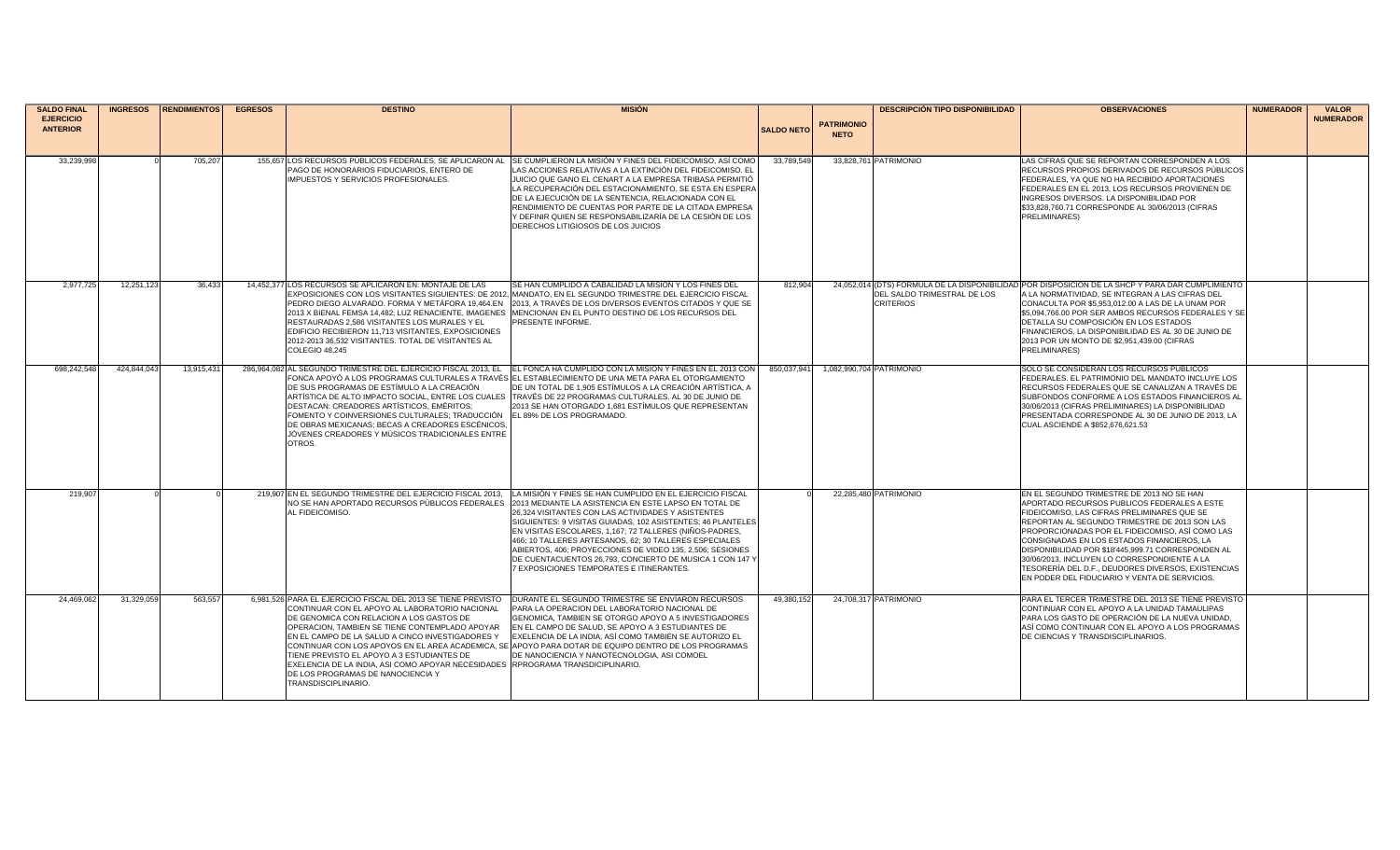| <b>SALDO FINAL</b> | <b>INGRESOS</b> | <b>RENDIMIENTOS</b> | <b>EGRESOS</b> | <b>DESTINO</b>                                                                                                                                                                                                                                                                                                                                                                                                                                                 | <b>MISIÓN</b>                                                                                                                                                                                                                                                                                                                                                                                                                                                                                                                    |                   |                   | <b>DESCRIPCIÓN TIPO DISPONIBILIDAD</b>          | <b>OBSERVACIONES</b>                                                                                                                                                                                                                                                                                                                                                                                                                                                                                   | <b>NUMERADOR</b> | <b>VALOR</b>     |
|--------------------|-----------------|---------------------|----------------|----------------------------------------------------------------------------------------------------------------------------------------------------------------------------------------------------------------------------------------------------------------------------------------------------------------------------------------------------------------------------------------------------------------------------------------------------------------|----------------------------------------------------------------------------------------------------------------------------------------------------------------------------------------------------------------------------------------------------------------------------------------------------------------------------------------------------------------------------------------------------------------------------------------------------------------------------------------------------------------------------------|-------------------|-------------------|-------------------------------------------------|--------------------------------------------------------------------------------------------------------------------------------------------------------------------------------------------------------------------------------------------------------------------------------------------------------------------------------------------------------------------------------------------------------------------------------------------------------------------------------------------------------|------------------|------------------|
| <b>EJERCICIO</b>   |                 |                     |                |                                                                                                                                                                                                                                                                                                                                                                                                                                                                |                                                                                                                                                                                                                                                                                                                                                                                                                                                                                                                                  |                   | <b>PATRIMONIO</b> |                                                 |                                                                                                                                                                                                                                                                                                                                                                                                                                                                                                        |                  | <b>NUMERADOR</b> |
| <b>ANTERIOR</b>    |                 |                     |                |                                                                                                                                                                                                                                                                                                                                                                                                                                                                |                                                                                                                                                                                                                                                                                                                                                                                                                                                                                                                                  | <b>SALDO NETO</b> | <b>NETO</b>       |                                                 |                                                                                                                                                                                                                                                                                                                                                                                                                                                                                                        |                  |                  |
|                    |                 |                     |                |                                                                                                                                                                                                                                                                                                                                                                                                                                                                |                                                                                                                                                                                                                                                                                                                                                                                                                                                                                                                                  |                   |                   |                                                 |                                                                                                                                                                                                                                                                                                                                                                                                                                                                                                        |                  |                  |
| 33,239,998         |                 | 705,207             |                | PAGO DE HONORARIOS FIDUCIARIOS, ENTERO DE<br>IMPUESTOS Y SERVICIOS PROFESIONALES.                                                                                                                                                                                                                                                                                                                                                                              | 155,657 LOS RECURSOS PÚBLICOS FEDERALES, SE APLICARON AL SE CUMPLIERON LA MISIÓN Y FINES DEL FIDEICOMISO, ASÍ COMO<br>LAS ACCIONES RELATIVAS A LA EXTINCIÓN DEL FIDEICOMISO. EL<br>JUICIO QUE GANO EL CENART A LA EMPRESA TRIBASA PERMITIÓ<br>LA RECUPERACIÓN DEL ESTACIONAMIENTO. SE ESTA EN ESPERA<br>DE LA EJECUCIÓN DE LA SENTENCIA, RELACIONADA CON EL<br>RENDIMIENTO DE CUENTAS POR PARTE DE LA CITADA EMPRESA<br>Y DEFINIR QUIEN SE RESPONSABILIZARÍA DE LA CESIÓN DE LOS<br>DERECHOS LITIGIOSOS DE LOS JUICIOS           | 33,789,549        |                   | 33,828,761 PATRIMONIO                           | LAS CIFRAS QUE SE REPORTAN CORRESPONDEN A LOS<br>RECURSOS PROPIOS DERIVADOS DE RECURSOS PÚBLICOS<br>FEDERALES. YA QUE NO HA RECIBIDO APORTACIONES<br>FEDERALES EN EL 2013, LOS RECURSOS PROVIENEN DE<br>INGRESOS DIVERSOS. LA DISPONIBILIDAD POR<br>\$33.828.760.71 CORRESPONDE AL 30/06/2013 (CIFRAS<br><b>PRELIMINARES)</b>                                                                                                                                                                          |                  |                  |
| 2,977,725          | 12,251,123      | 36,433              |                | 14,452,377 LOS RECURSOS SE APLICARON EN: MONTAJE DE LAS<br>PEDRO DIEGO ALVARADO. FORMA Y METÁFORA 19,464.EN<br>RESTAURADAS 2,586 VISITANTES LOS MURALES Y EL<br>EDIFICIO RECIBIERON 11,713 VISITANTES, EXPOSICIONES<br>2012-2013 36,532 VISITANTES. TOTAL DE VISITANTES AL<br>COLEGIO 48,245                                                                                                                                                                   | SE HAN CUMPLIDO A CABALIDAD LA MISIÓN Y LOS FINES DEL<br>LEXPOSICIONES CON LOS VISITANTES SIGUIENTES: DE 2012. MANDATO. EN EL SEGUNDO TRIMESTRE DEL EJERCICIO FISCAL<br>2013, A TRAVÉS DE LOS DIVERSOS EVENTOS CITADOS Y QUE SE<br>2013 X BIENAL FEMSA 14,482; LUZ RENACIENTE, IMAGENES   MENCIONAN EN EL PUNTO DESTINO DE LOS RECURSOS DEL<br>PRESENTE INFORME.                                                                                                                                                                 | 812,904           |                   | DEL SALDO TRIMESTRAL DE LOS<br><b>CRITERIOS</b> | 24,052,014 (DTS) FÓRMULA DE LA DISPONIBILIDAD POR DISPOSICIÓN DE LA SHCP Y PARA DAR CUMPLIMIENTO<br>A LA NORMATIVIDAD. SE INTEGRAN A LAS CIFRAS DEL<br>CONACULTA POR \$5,953,012.00 A LAS DE LA UNAM POR<br>\$5,094,766.00 POR SER AMBOS RECURSOS FEDERALES Y SE<br>DETALLA SU COMPOSICIÓN EN LOS ESTADOS<br>FINANCIEROS. LA DISPONIBILIDAD ES AL 30 DE JUNIO DE<br>2013 POR UN MONTO DE \$2,951,439.00 (CIFRAS<br><b>PRELIMINARES)</b>                                                                |                  |                  |
| 698.242.548        | 424,844,043     | 13,915,431          |                | DE SUS PROGRAMAS DE ESTÍMULO A LA CREACIÓN<br>DESTACAN: CREADORES ARTÍSTICOS, EMÉRITOS;<br>FOMENTO Y COINVERSIONES CULTURALES; TRADUCCIÓN EL 89% DE LOS PROGRAMADO.<br>DE OBRAS MEXICANAS; BECAS A CREADORES ESCÉNICOS.<br>JÓVENES CREADORES Y MÚSICOS TRADICIONALES ENTRE<br>OTROS.                                                                                                                                                                           | 286,964,082 AL SEGUNDO TRIMESTRE DEL EJERCICIO FISCAL 2013, EL EL FONCA HA CUMPLIDO CON LA MISIÓN Y FINES EN EL 2013 CON<br>FONCA APOYÓ A LOS PROGRAMAS CULTURALES A TRAVÉS IEL ESTABLECIMIENTO DE UNA META PARA EL OTORGAMIENTO<br>DE UN TOTAL DE 1.905 ESTÍMULOS A LA CREACIÓN ARTÍSTICA. A<br>ARTÍSTICA DE ALTO IMPACTO SOCIAL. ENTRE LOS CUALES TRAVÉS DE 22 PROGRAMAS CULTURALES. AL 30 DE JUNIO DE<br>2013 SE HAN OTORGADO 1,681 ESTÍMULOS QUE REPRESENTAN                                                                 | 850.037.941       |                   | 1,082,990,704 PATRIMONIO                        | SOLO SE CONSIDERAN LOS RECURSOS PÚBLICOS<br>FEDERALES. EL PATRIMONIO DEL MANDATO INCLUYE LOS<br>RECURSOS FEDERALES QUE SE CANALIZAN A TRAVÉS DE<br>SUBFONDOS CONFORME A LOS ESTADOS FINANCIEROS AL<br>30/06/2013 (CIFRAS PRELIMINARES) LA DISPONIBILIDAD<br>PRESENTADA CORRESPONDE AL 30 DE JUNIO DE 2013, LA<br>CUAL ASCIENDE A \$852,676,621.53                                                                                                                                                      |                  |                  |
| 219.90             |                 |                     |                | 219.907 EN EL SEGUNDO TRIMESTRE DEL EJERCICIO FISCAL 2013.<br>NO SE HAN APORTADO RECURSOS PÚBLICOS FEDERALES<br>AL FIDEICOMISO.                                                                                                                                                                                                                                                                                                                                | LA MISIÓN Y FINES SE HAN CUMPLIDO EN EL EJERCICIO FISCAL<br>2013 MEDIANTE LA ASISTENCIA EN ESTE LAPSO EN TOTAL DE<br>26,324 VISITANTES CON LAS ACTIVIDADES Y ASISTENTES<br>SIGUIENTES: 9 VISITAS GUIADAS, 102 ASISTENTES; 46 PLANTELES<br>EN VISITAS ESCOLARES, 1,167; 72 TALLERES (NIÑOS-PADRES,<br>466: 10 TALLERES ARTESANOS, 62: 30 TALLERES ESPECIALES<br>ABIERTOS, 406; PROYECCIONES DE VIDEO 135, 2,506; SESIONES<br>DE CUENTACUENTOS 26,793, CONCIERTO DE MUSICA 1 CON 147 Y<br>7 EXPOSICIONES TEMPORATES E ITINERANTES. |                   |                   | 22.285.480 PATRIMONIO                           | EN EL SEGUNDO TRIMESTRE DE 2013 NO SE HAN<br>APORTADO RECURSOS PUBLICOS FEDERALES A ESTE<br>FIDEICOMISO, LAS CIFRAS PRELIMINARES QUE SE<br>REPORTAN AL SEGUNDO TRIMESTRE DE 2013 SON LAS<br>PROPORCIONADAS POR EL FIDEICOMISO, ASÍ COMO LAS<br>CONSIGNADAS EN LOS ESTADOS FINANCIEROS, LA<br>DISPONIBILIDAD POR \$18'445,999.71 CORRESPONDEN AL<br>30/06/2013, INCLUYEN LO CORRESPONDIENTE A LA<br>TESORERÍA DEL D.F., DEUDORES DIVERSOS, EXISTENCIAS<br>EN PODER DEL FIDUCIARIO Y VENTA DE SERVICIOS. |                  |                  |
| 24.469.062         | 31.329.05       | 563.557             |                | 6,981,526 PARA EL EJERCICIO FISCAL DEL 2013 SE TIENE PREVISTO<br>CONTINUAR CON EL APOYO AL LABORATORIO NACIONAL<br>DE GENOMICA CON RELACION A LOS GASTOS DE<br>OPERACION, TAMBIEN SE TIENE CONTEMPLADO APOYAR<br>EN EL CAMPO DE LA SALUD A CINCO INVESTIGADORES Y<br>TIENE PREVISTO EL APOYO A 3 ESTUDIANTES DE<br>EXELENCIA DE LA INDIA, ASI COMO APOYAR NECESIDADES RPROGRAMA TRANSDICIPLINARIO.<br>DE LOS PROGRAMAS DE NANOCIENCIA Y<br>TRANSDISCIPLINARIO. | DURANTE EL SEGUNDO TRIMESTRE SE ENVIARON RECURSOS<br>PARA LA OPERACION DEL LABORATORIO NACIONAL DE<br>GENOMICA, TAMBIEN SE OTORGO APOYO A 5 INVESTIGADORES<br>EN EL CAMPO DE SALUD, SE APOYO A 3 ESTUDIANTES DE<br>EXELENCIA DE LA INDIA, ASÍ COMO TAMBIEN SE AUTORIZO EL<br>CONTINUAR CON LOS APOYOS EN EL AREA ACADEMICA, SE APOYO PARA DOTAR DE EQUIPO DENTRO DE LOS PROGRAMAS<br>DE NANOCIENCIA Y NANOTECNOLOGIA, ASI COMOEL                                                                                                 | 49.380.152        |                   | 24.708.317 PATRIMONIO                           | PARA EL TERCER TRIMESTRE DEL 2013 SE TIENE PREVISTO<br>CONTINUAR CON EL APOYO A LA UNIDAD TAMAULIPAS<br>PARA LOS GASTO DE OPERACIÓN DE LA NUEVA UNIDAD,<br>ASÍ COMO CONTINUAR CON EL APOYO A LOS PROGRAMAS<br>DE CIENCIAS Y TRANSDISCIPLINARIOS.                                                                                                                                                                                                                                                       |                  |                  |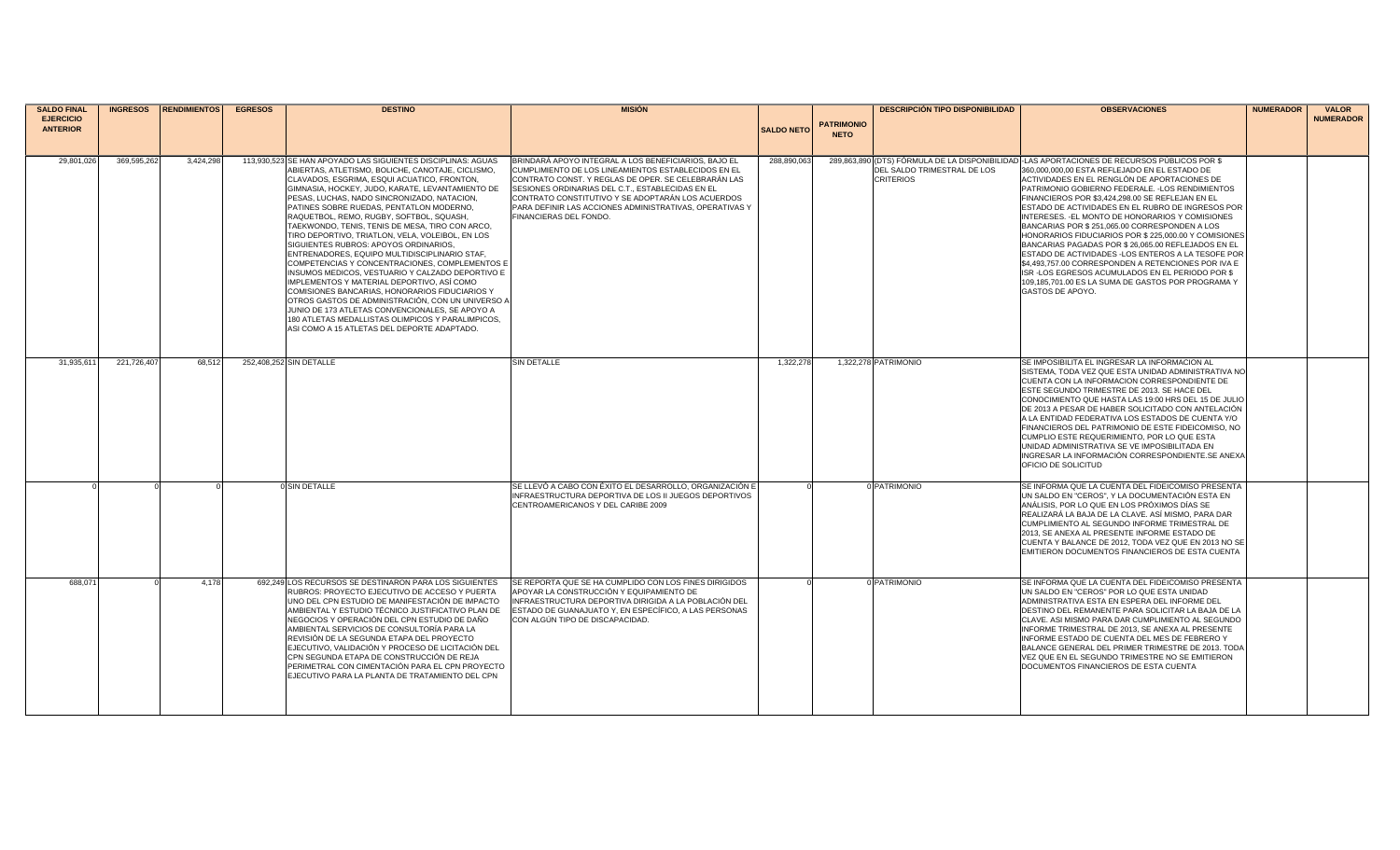| <b>SALDO FINAL</b>                  | <b>INGRESOS</b> | <b>RENDIMIENTOS</b> | <b>EGRESOS</b> | <b>DESTINO</b>                                                                                                                                                                                                                                                                                                                                                                                                                                                                                                                                                                                                                                                                                                                                                                                                                                                                                                                                                                 | <b>MISIÓN</b>                                                                                                                                                                                                                                                                                                                                                    |                   |                   | <b>DESCRIPCIÓN TIPO DISPONIBILIDAD</b>          | <b>OBSERVACIONES</b>                                                                                                                                                                                                                                                                                                                                                                                                                                                                                                                                                                                                                                                                                                                                                                                                       | <b>NUMERADOR</b> | <b>VALOR</b>     |
|-------------------------------------|-----------------|---------------------|----------------|--------------------------------------------------------------------------------------------------------------------------------------------------------------------------------------------------------------------------------------------------------------------------------------------------------------------------------------------------------------------------------------------------------------------------------------------------------------------------------------------------------------------------------------------------------------------------------------------------------------------------------------------------------------------------------------------------------------------------------------------------------------------------------------------------------------------------------------------------------------------------------------------------------------------------------------------------------------------------------|------------------------------------------------------------------------------------------------------------------------------------------------------------------------------------------------------------------------------------------------------------------------------------------------------------------------------------------------------------------|-------------------|-------------------|-------------------------------------------------|----------------------------------------------------------------------------------------------------------------------------------------------------------------------------------------------------------------------------------------------------------------------------------------------------------------------------------------------------------------------------------------------------------------------------------------------------------------------------------------------------------------------------------------------------------------------------------------------------------------------------------------------------------------------------------------------------------------------------------------------------------------------------------------------------------------------------|------------------|------------------|
| <b>EJERCICIO</b><br><b>ANTERIOR</b> |                 |                     |                |                                                                                                                                                                                                                                                                                                                                                                                                                                                                                                                                                                                                                                                                                                                                                                                                                                                                                                                                                                                |                                                                                                                                                                                                                                                                                                                                                                  | <b>SALDO NETO</b> | <b>PATRIMONIO</b> |                                                 |                                                                                                                                                                                                                                                                                                                                                                                                                                                                                                                                                                                                                                                                                                                                                                                                                            |                  | <b>NUMERADOR</b> |
|                                     |                 |                     |                |                                                                                                                                                                                                                                                                                                                                                                                                                                                                                                                                                                                                                                                                                                                                                                                                                                                                                                                                                                                |                                                                                                                                                                                                                                                                                                                                                                  |                   | <b>NETO</b>       |                                                 |                                                                                                                                                                                                                                                                                                                                                                                                                                                                                                                                                                                                                                                                                                                                                                                                                            |                  |                  |
|                                     |                 |                     |                |                                                                                                                                                                                                                                                                                                                                                                                                                                                                                                                                                                                                                                                                                                                                                                                                                                                                                                                                                                                |                                                                                                                                                                                                                                                                                                                                                                  |                   |                   |                                                 |                                                                                                                                                                                                                                                                                                                                                                                                                                                                                                                                                                                                                                                                                                                                                                                                                            |                  |                  |
| 29.801.026                          | 369.595.262     | 3.424.298           |                | 113,930,523 SE HAN APOYADO LAS SIGUIENTES DISCIPLINAS: AGUAS<br>ABIERTAS, ATLETISMO, BOLICHE, CANOTAJE, CICLISMO,<br>CLAVADOS, ESGRIMA, ESQUI ACUATICO, FRONTON,<br>GIMNASIA, HOCKEY, JUDO, KARATE, LEVANTAMIENTO DE<br>PESAS, LUCHAS, NADO SINCRONIZADO, NATACION,<br>PATINES SOBRE RUEDAS, PENTATLON MODERNO,<br>RAQUETBOL, REMO, RUGBY, SOFTBOL, SQUASH,<br>TAEKWONDO, TENIS, TENIS DE MESA, TIRO CON ARCO,<br>TIRO DEPORTIVO, TRIATLON, VELA, VOLEIBOL, EN LOS<br>SIGUIENTES RUBROS: APOYOS ORDINARIOS,<br>ENTRENADORES, EQUIPO MULTIDISCIPLINARIO STAF,<br>COMPETENCIAS Y CONCENTRACIONES, COMPLEMENTOS E<br>INSUMOS MEDICOS, VESTUARIO Y CALZADO DEPORTIVO E<br>IMPLEMENTOS Y MATERIAL DEPORTIVO, ASÍ COMO<br>COMISIONES BANCARIAS, HONORARIOS FIDUCIARIOS Y<br>OTROS GASTOS DE ADMINISTRACIÓN, CON UN UNIVERSO A<br>JUNIO DE 173 ATLETAS CONVENCIONALES, SE APOYO A<br>180 ATLETAS MEDALLISTAS OLIMPICOS Y PARALIMPICOS,<br>ASI COMO A 15 ATLETAS DEL DEPORTE ADAPTADO. | BRINDARÁ APOYO INTEGRAL A LOS BENEFICIARIOS, BAJO EL<br>CUMPLIMIENTO DE LOS LINEAMIENTOS ESTABLECIDOS EN EL<br>CONTRATO CONST. Y REGLAS DE OPER. SE CELEBRARÁN LAS<br>SESIONES ORDINARIAS DEL C.T., ESTABLECIDAS EN EL<br>CONTRATO CONSTITUTIVO Y SE ADOPTARÁN LOS ACUERDOS<br>PARA DEFINIR LAS ACCIONES ADMINISTRATIVAS, OPERATIVAS Y<br>FINANCIERAS DEL FONDO. | 288.890.063       |                   | DEL SALDO TRIMESTRAL DE LOS<br><b>CRITERIOS</b> | 289.863.890 (DTS) FÓRMULA DE LA DISPONIBILIDADI-LAS APORTACIONES DE RECURSOS PÚBLICOS POR \$<br>360,000,000,00 ESTA REFLEJADO EN EL ESTADO DE<br>ACTIVIDADES EN EL RENGLÓN DE APORTACIONES DE<br>PATRIMONIO GOBIERNO FEDERALE. - LOS RENDIMIENTOS<br>FINANCIEROS POR \$3,424,298.00 SE REFLEJAN EN EL<br>ESTADO DE ACTIVIDADES EN EL RUBRO DE INGRESOS POR<br>INTERESES. - EL MONTO DE HONORARIOS Y COMISIONES<br>BANCARIAS POR \$251,065.00 CORRESPONDEN A LOS<br>HONORARIOS FIDUCIARIOS POR \$ 225,000.00 Y COMISIONES<br>BANCARIAS PAGADAS POR \$ 26,065.00 REFLEJADOS EN EL<br>ESTADO DE ACTIVIDADES - LOS ENTEROS A LA TESOFE POR<br>\$4,493,757.00 CORRESPONDEN A RETENCIONES POR IVA E<br>ISR-LOS EGRESOS ACUMULADOS EN EL PERIODO POR \$<br>109.185.701.00 ES LA SUMA DE GASTOS POR PROGRAMA Y<br>GASTOS DE APOYO. |                  |                  |
| 31,935,611                          | 221,726,40      | 68.512              |                | 252.408.252 SIN DETALLE                                                                                                                                                                                                                                                                                                                                                                                                                                                                                                                                                                                                                                                                                                                                                                                                                                                                                                                                                        | SIN DETALLE                                                                                                                                                                                                                                                                                                                                                      | 1,322,278         |                   | 1.322.278 PATRIMONIO                            | SE IMPOSIBILITA EL INGRESAR LA INFORMACION AL<br>SISTEMA, TODA VEZ QUE ESTA UNIDAD ADMINISTRATIVA NO<br>CUENTA CON LA INFORMACION CORRESPONDIENTE DE<br>ESTE SEGUNDO TRIMESTRE DE 2013. SE HACE DEL<br>CONOCIMIENTO QUE HASTA LAS 19:00 HRS DEL 15 DE JULIO<br>DE 2013 A PESAR DE HABER SOLICITADO CON ANTELACIÓN<br>A LA ENTIDAD FEDERATIVA LOS ESTADOS DE CUENTA Y/O<br>FINANCIEROS DEL PATRIMONIO DE ESTE FIDEICOMISO, NO<br>CUMPLIO ESTE REQUERIMIENTO, POR LO QUE ESTA<br>UNIDAD ADMINISTRATIVA SE VE IMPOSIBILITADA EN<br>INGRESAR LA INFORMACIÓN CORRESPONDIENTE.SE ANEXA<br>OFICIO DE SOLICITUD                                                                                                                                                                                                                    |                  |                  |
|                                     |                 |                     |                | <b>O SIN DETALLE</b>                                                                                                                                                                                                                                                                                                                                                                                                                                                                                                                                                                                                                                                                                                                                                                                                                                                                                                                                                           | SE LLEVÓ A CABO CON ÉXITO EL DESARROLLO, ORGANIZACIÓN E<br>INFRAESTRUCTURA DEPORTIVA DE LOS II JUEGOS DEPORTIVOS<br>CENTROAMERICANOS Y DEL CARIBE 2009                                                                                                                                                                                                           |                   |                   | 0 PATRIMONIO                                    | SE INFORMA QUE LA CUENTA DEL FIDEICOMISO PRESENTA<br>UN SALDO EN "CEROS", Y LA DOCUMENTACIÓN ESTA EN<br>ANÁLISIS, POR LO QUE EN LOS PRÓXIMOS DÍAS SE<br>REALIZARÁ LA BAJA DE LA CLAVE. ASÍ MISMO, PARA DAR<br>CUMPLIMIENTO AL SEGUNDO INFORME TRIMESTRAL DE<br>2013. SE ANEXA AL PRESENTE INFORME ESTADO DE<br>CUENTA Y BALANCE DE 2012, TODA VEZ QUE EN 2013 NO SE<br>EMITIERON DOCUMENTOS FINANCIEROS DE ESTA CUENTA                                                                                                                                                                                                                                                                                                                                                                                                     |                  |                  |
| 688.07                              |                 | 4.178               |                | 692.249 LOS RECURSOS SE DESTINARON PARA LOS SIGUIENTES<br>RUBROS: PROYECTO EJECUTIVO DE ACCESO Y PUERTA<br>UNO DEL CPN ESTUDIO DE MANIFESTACIÓN DE IMPACTO<br>AMBIENTAL Y ESTUDIO TÉCNICO JUSTIFICATIVO PLAN DE<br>NEGOCIOS Y OPERACIÓN DEL CPN ESTUDIO DE DAÑO<br>AMBIENTAL SERVICIOS DE CONSULTORÍA PARA LA<br>REVISIÓN DE LA SEGUNDA ETAPA DEL PROYECTO<br>EJECUTIVO, VALIDACIÓN Y PROCESO DE LICITACIÓN DEL<br>CPN SEGUNDA ETAPA DE CONSTRUCCIÓN DE REJA<br>PERIMETRAL CON CIMENTACIÓN PARA EL CPN PROYECTO<br>EJECUTIVO PARA LA PLANTA DE TRATAMIENTO DEL CPN                                                                                                                                                                                                                                                                                                                                                                                                             | SE REPORTA QUE SE HA CUMPLIDO CON LOS FINES DIRIGIDOS<br>APOYAR LA CONSTRUCCIÓN Y EQUIPAMIENTO DE<br>INFRAESTRUCTURA DEPORTIVA DIRIGIDA A LA POBLACIÓN DEL<br>ESTADO DE GUANAJUATO Y, EN ESPECÍFICO, A LAS PERSONAS<br>CON ALGÚN TIPO DE DISCAPACIDAD.                                                                                                           |                   |                   | <b>PATRIMONIO</b>                               | SE INFORMA QUE LA CUENTA DEL FIDEICOMISO PRESENTA<br>UN SALDO EN "CEROS" POR LO QUE ESTA UNIDAD<br>ADMINISTRATIVA ESTA EN ESPERA DEL INFORME DEL<br>DESTINO DEL REMANENTE PARA SOLICITAR LA BAJA DE LA<br>CLAVE. ASI MISMO PARA DAR CUMPLIMIENTO AL SEGUNDO<br>INFORME TRIMESTRAL DE 2013. SE ANEXA AL PRESENTE<br>INFORME ESTADO DE CUENTA DEL MES DE FEBRERO Y<br>BALANCE GENERAL DEL PRIMER TRIMESTRE DE 2013. TODA<br>VEZ QUE EN EL SEGUNDO TRIMESTRE NO SE EMITIERON<br>DOCUMENTOS FINANCIEROS DE ESTA CUENTA                                                                                                                                                                                                                                                                                                         |                  |                  |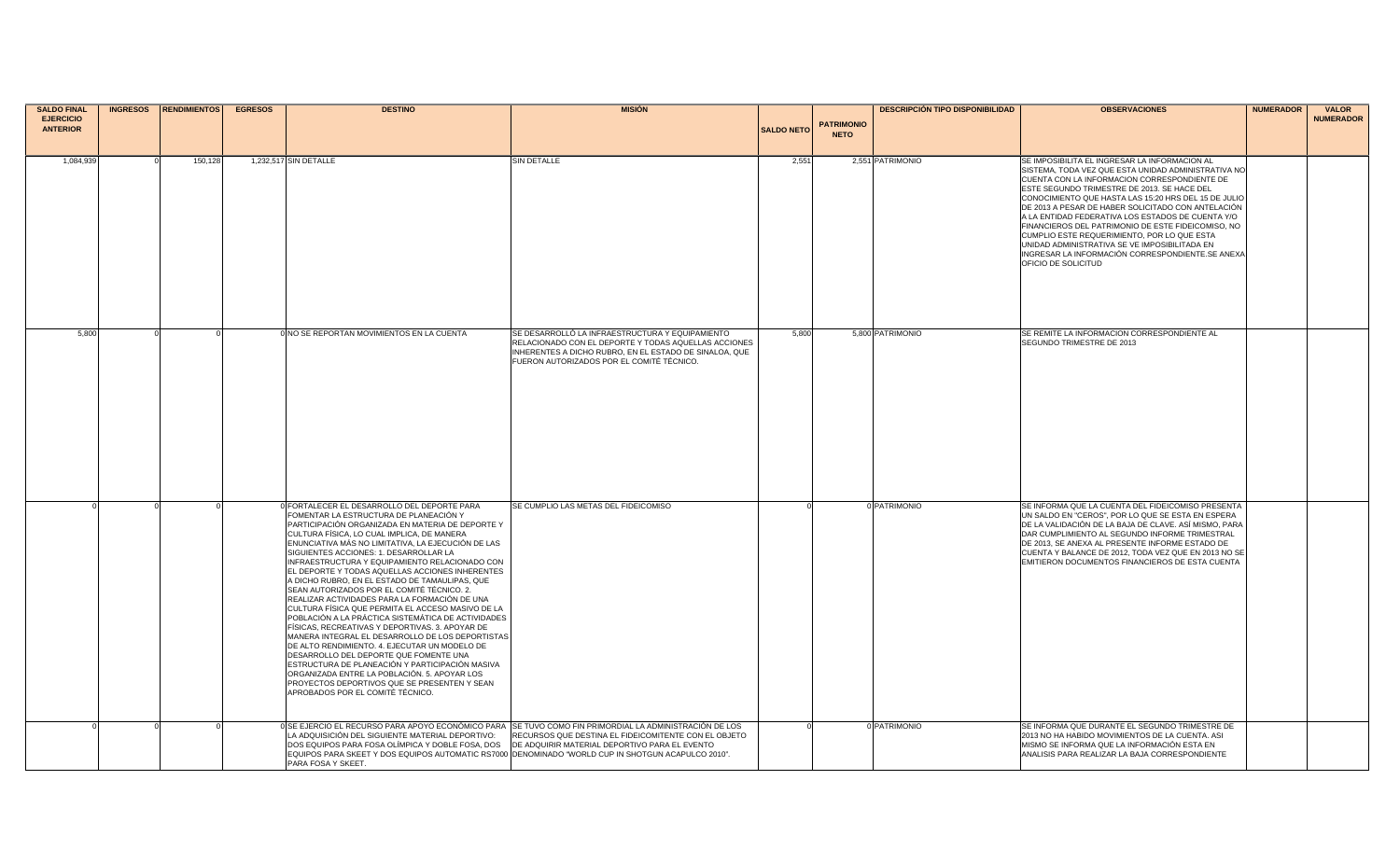| <b>SALDO FINAL</b>                  | <b>INGRESOS</b> | <b>RENDIMIENTOS</b> | <b>EGRESOS</b> | <b>DESTINO</b>                                                                                                                                                                                                                                                                                                                                                                                                                                                                                                                                                                                                                                                                                                                                                                                                                                                                                                                                                                                                                                    | <b>MISIÓN</b>                                                                                                                                                                                                   |                   |                                  | <b>DESCRIPCIÓN TIPO DISPONIBILIDAD</b> | <b>OBSERVACIONES</b>                                                                                                                                                                                                                                                                                                                                                                                                                                                                                                                                                                                    | <b>NUMERADOR</b> | <b>VALOR</b>     |
|-------------------------------------|-----------------|---------------------|----------------|---------------------------------------------------------------------------------------------------------------------------------------------------------------------------------------------------------------------------------------------------------------------------------------------------------------------------------------------------------------------------------------------------------------------------------------------------------------------------------------------------------------------------------------------------------------------------------------------------------------------------------------------------------------------------------------------------------------------------------------------------------------------------------------------------------------------------------------------------------------------------------------------------------------------------------------------------------------------------------------------------------------------------------------------------|-----------------------------------------------------------------------------------------------------------------------------------------------------------------------------------------------------------------|-------------------|----------------------------------|----------------------------------------|---------------------------------------------------------------------------------------------------------------------------------------------------------------------------------------------------------------------------------------------------------------------------------------------------------------------------------------------------------------------------------------------------------------------------------------------------------------------------------------------------------------------------------------------------------------------------------------------------------|------------------|------------------|
| <b>EJERCICIO</b><br><b>ANTERIOR</b> |                 |                     |                |                                                                                                                                                                                                                                                                                                                                                                                                                                                                                                                                                                                                                                                                                                                                                                                                                                                                                                                                                                                                                                                   |                                                                                                                                                                                                                 | <b>SALDO NETO</b> | <b>PATRIMONIO</b><br><b>NETO</b> |                                        |                                                                                                                                                                                                                                                                                                                                                                                                                                                                                                                                                                                                         |                  | <b>NUMERADOR</b> |
| 1,084,939                           |                 | 150,128             |                | 1,232,517 SIN DETALLE                                                                                                                                                                                                                                                                                                                                                                                                                                                                                                                                                                                                                                                                                                                                                                                                                                                                                                                                                                                                                             | SIN DETALLE                                                                                                                                                                                                     | 2,551             |                                  | 2,551 PATRIMONIO                       | SE IMPOSIBILITA EL INGRESAR LA INFORMACION AL<br>SISTEMA, TODA VEZ QUE ESTA UNIDAD ADMINISTRATIVA NO<br>CUENTA CON LA INFORMACION CORRESPONDIENTE DE<br>ESTE SEGUNDO TRIMESTRE DE 2013. SE HACE DEL<br>CONOCIMIENTO QUE HASTA LAS 15:20 HRS DEL 15 DE JULIO<br>DE 2013 A PESAR DE HABER SOLICITADO CON ANTELACIÓN<br>A LA ENTIDAD FEDERATIVA LOS ESTADOS DE CUENTA Y/O<br>FINANCIEROS DEL PATRIMONIO DE ESTE FIDEICOMISO, NO<br>CUMPLIO ESTE REQUERIMIENTO, POR LO QUE ESTA<br>UNIDAD ADMINISTRATIVA SE VE IMPOSIBILITADA EN<br>INGRESAR LA INFORMACIÓN CORRESPONDIENTE.SE ANEXA<br>OFICIO DE SOLICITUD |                  |                  |
| 5,800                               |                 |                     |                | 0 NO SE REPORTAN MOVIMIENTOS EN LA CUENTA                                                                                                                                                                                                                                                                                                                                                                                                                                                                                                                                                                                                                                                                                                                                                                                                                                                                                                                                                                                                         | SE DESARROLLÓ LA INFRAESTRUCTURA Y EQUIPAMIENTO<br>RELACIONADO CON EL DEPORTE Y TODAS AQUELLAS ACCIONES<br>INHERENTES A DICHO RUBRO, EN EL ESTADO DE SINALOA, QUE<br>FUERON AUTORIZADOS POR EL COMITÉ TÉCNICO.  | 5,800             |                                  | 5,800 PATRIMONIO                       | SE REMITE LA INFORMACION CORRESPONDIENTE AL<br>SEGUNDO TRIMESTRE DE 2013                                                                                                                                                                                                                                                                                                                                                                                                                                                                                                                                |                  |                  |
|                                     |                 |                     |                | 0 FORTALECER EL DESARROLLO DEL DEPORTE PARA<br>FOMENTAR LA ESTRUCTURA DE PLANEACIÓN Y<br>PARTICIPACIÓN ORGANIZADA EN MATERIA DE DEPORTE Y<br>CULTURA FÍSICA, LO CUAL IMPLICA, DE MANERA<br>ENUNCIATIVA MÁS NO LIMITATIVA, LA EJECUCIÓN DE LAS<br>SIGUIENTES ACCIONES: 1. DESARROLLAR LA<br>INFRAESTRUCTURA Y EQUIPAMIENTO RELACIONADO CON<br>EL DEPORTE Y TODAS AQUELLAS ACCIONES INHERENTES<br>A DICHO RUBRO, EN EL ESTADO DE TAMAULIPAS, QUE<br>SEAN AUTORIZADOS POR EL COMITÉ TÉCNICO. 2.<br>REALIZAR ACTIVIDADES PARA LA FORMACIÓN DE UNA<br>CULTURA FÍSICA QUE PERMITA EL ACCESO MASIVO DE LA<br>POBLACIÓN A LA PRÁCTICA SISTEMÁTICA DE ACTIVIDADES<br>FÍSICAS, RECREATIVAS Y DEPORTIVAS. 3. APOYAR DE<br>MANERA INTEGRAL EL DESARROLLO DE LOS DEPORTISTAS<br>DE ALTO RENDIMIENTO. 4. EJECUTAR UN MODELO DE<br>DESARROLLO DEL DEPORTE QUE FOMENTE UNA<br>ESTRUCTURA DE PLANEACIÓN Y PARTICIPACIÓN MASIVA<br>ORGANIZADA ENTRE LA POBLACIÓN. 5. APOYAR LOS<br>PROYECTOS DEPORTIVOS QUE SE PRESENTEN Y SEAN<br>APROBADOS POR EL COMITÉ TÉCNICO. | <b>ISE CUMPLIO LAS METAS DEL FIDEICOMISO</b>                                                                                                                                                                    |                   |                                  | 0 PATRIMONIO                           | SE INFORMA QUE LA CUENTA DEL FIDEICOMISO PRESENTA<br>UN SALDO EN "CEROS", POR LO QUE SE ESTA EN ESPERA<br>DE LA VALIDACIÓN DE LA BAJA DE CLAVE. ASÍ MISMO, PARA<br>DAR CUMPLIMIENTO AL SEGUNDO INFORME TRIMESTRAL<br>DE 2013, SE ANEXA AL PRESENTE INFORME ESTADO DE<br>CUENTA Y BALANCE DE 2012, TODA VEZ QUE EN 2013 NO SE<br>EMITIERON DOCUMENTOS FINANCIEROS DE ESTA CUENTA                                                                                                                                                                                                                         |                  |                  |
|                                     |                 |                     |                | LA ADQUISICIÓN DEL SIGUIENTE MATERIAL DEPORTIVO:<br>DOS EQUIPOS PARA FOSA OLÍMPICA Y DOBLE FOSA, DOS<br>EQUIPOS PARA SKEET Y DOS EQUIPOS AUTOMATIC RS7000 DENOMINADO "WORLD CUP IN SHOTGUN ACAPULCO 2010".<br>PARA FOSA Y SKEET.                                                                                                                                                                                                                                                                                                                                                                                                                                                                                                                                                                                                                                                                                                                                                                                                                  | 0 SE EJERCIO EL RECURSO PARA APOYO ECONÓMICO PARA SE TUVO COMO FIN PRIMORDIAL LA ADMINISTRACIÓN DE LOS<br>RECURSOS QUE DESTINA EL FIDEICOMITENTE CON EL OBJETO<br>DE ADQUIRIR MATERIAL DEPORTIVO PARA EL EVENTO |                   |                                  | 0 PATRIMONIO                           | SE INFORMA QUE DURANTE EL SEGUNDO TRIMESTRE DE<br>2013 NO HA HABIDO MOVIMIENTOS DE LA CUENTA. ASI<br>MISMO SE INFORMA QUE LA INFORMACIÓN ESTA EN<br>ANALISIS PARA REALIZAR LA BAJA CORRESPONDIENTE                                                                                                                                                                                                                                                                                                                                                                                                      |                  |                  |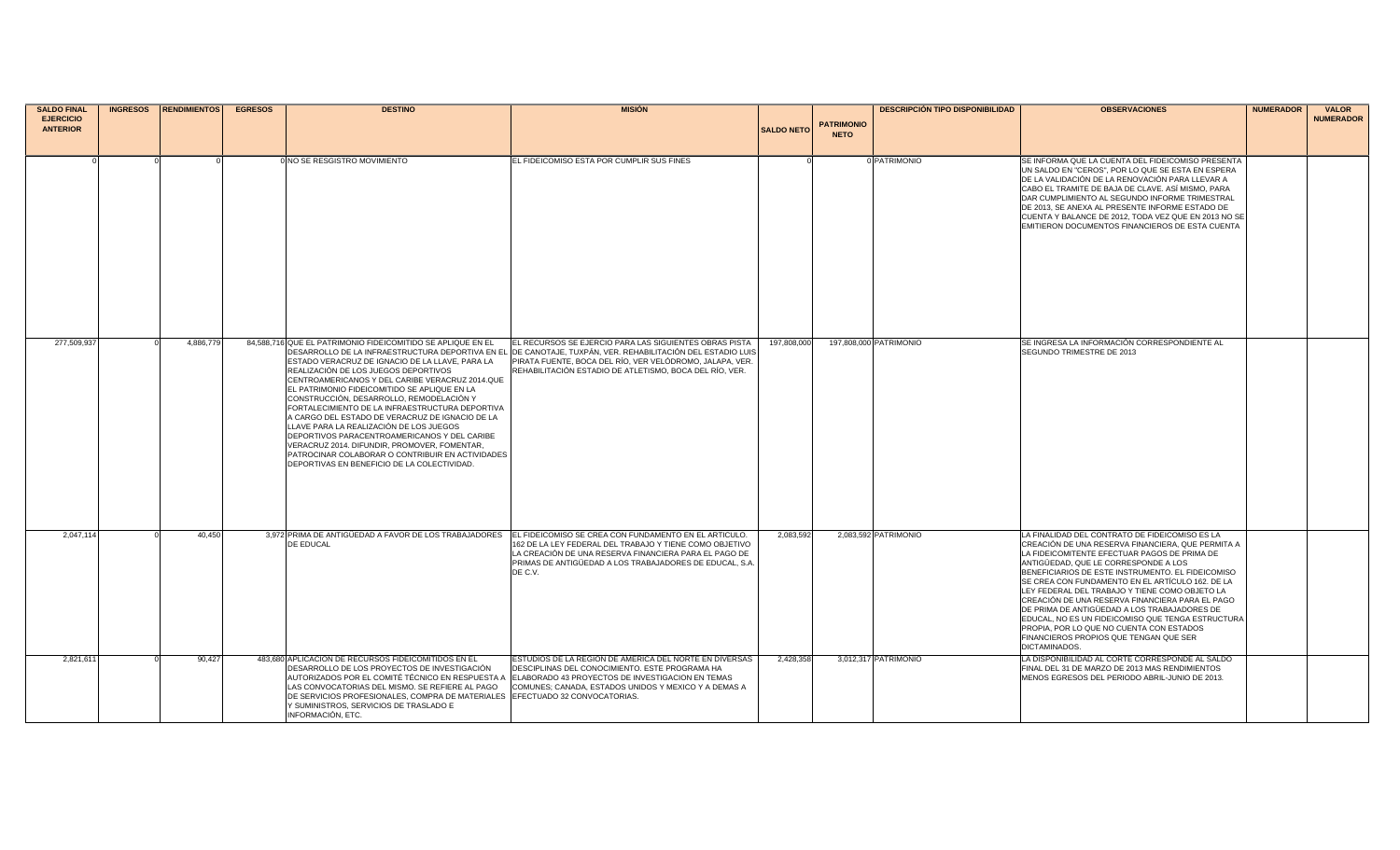| <b>SALDO FINAL</b> | <b>INGRESOS</b> | <b>RENDIMIENTOS</b> | <b>EGRESOS</b> | <b>DESTINO</b>                                                                                   | <b>MISIÓN</b>                                                                                                                                         |                   |                   | <b>DESCRIPCIÓN TIPO DISPONIBILIDAD</b> | <b>OBSERVACIONES</b>                                                                                    | <b>NUMERADOR</b> | <b>VALOR</b>     |
|--------------------|-----------------|---------------------|----------------|--------------------------------------------------------------------------------------------------|-------------------------------------------------------------------------------------------------------------------------------------------------------|-------------------|-------------------|----------------------------------------|---------------------------------------------------------------------------------------------------------|------------------|------------------|
| <b>EJERCICIO</b>   |                 |                     |                |                                                                                                  |                                                                                                                                                       |                   | <b>PATRIMONIO</b> |                                        |                                                                                                         |                  | <b>NUMERADOR</b> |
| <b>ANTERIOR</b>    |                 |                     |                |                                                                                                  |                                                                                                                                                       | <b>SALDO NETO</b> | <b>NETO</b>       |                                        |                                                                                                         |                  |                  |
|                    |                 |                     |                |                                                                                                  |                                                                                                                                                       |                   |                   |                                        |                                                                                                         |                  |                  |
|                    |                 |                     |                | 0 NO SE RESGISTRO MOVIMIENTO                                                                     | EL FIDEICOMISO ESTA POR CUMPLIR SUS FINES                                                                                                             |                   |                   | 0 PATRIMONIO                           | SE INFORMA QUE LA CUENTA DEL FIDEICOMISO PRESENTA                                                       |                  |                  |
|                    |                 |                     |                |                                                                                                  |                                                                                                                                                       |                   |                   |                                        | UN SALDO EN "CEROS", POR LO QUE SE ESTA EN ESPERA                                                       |                  |                  |
|                    |                 |                     |                |                                                                                                  |                                                                                                                                                       |                   |                   |                                        | DE LA VALIDACIÓN DE LA RENOVACIÓN PARA LLEVAR A<br>CABO EL TRAMITE DE BAJA DE CLAVE. ASÍ MISMO, PARA    |                  |                  |
|                    |                 |                     |                |                                                                                                  |                                                                                                                                                       |                   |                   |                                        | DAR CUMPLIMIENTO AL SEGUNDO INFORME TRIMESTRAL                                                          |                  |                  |
|                    |                 |                     |                |                                                                                                  |                                                                                                                                                       |                   |                   |                                        | DE 2013. SE ANEXA AL PRESENTE INFORME ESTADO DE                                                         |                  |                  |
|                    |                 |                     |                |                                                                                                  |                                                                                                                                                       |                   |                   |                                        | CUENTA Y BALANCE DE 2012, TODA VEZ QUE EN 2013 NO SE<br>EMITIERON DOCUMENTOS FINANCIEROS DE ESTA CUENTA |                  |                  |
|                    |                 |                     |                |                                                                                                  |                                                                                                                                                       |                   |                   |                                        |                                                                                                         |                  |                  |
|                    |                 |                     |                |                                                                                                  |                                                                                                                                                       |                   |                   |                                        |                                                                                                         |                  |                  |
|                    |                 |                     |                |                                                                                                  |                                                                                                                                                       |                   |                   |                                        |                                                                                                         |                  |                  |
|                    |                 |                     |                |                                                                                                  |                                                                                                                                                       |                   |                   |                                        |                                                                                                         |                  |                  |
|                    |                 |                     |                |                                                                                                  |                                                                                                                                                       |                   |                   |                                        |                                                                                                         |                  |                  |
|                    |                 |                     |                |                                                                                                  |                                                                                                                                                       |                   |                   |                                        |                                                                                                         |                  |                  |
|                    |                 |                     |                |                                                                                                  |                                                                                                                                                       |                   |                   |                                        |                                                                                                         |                  |                  |
|                    |                 |                     |                |                                                                                                  |                                                                                                                                                       |                   |                   |                                        |                                                                                                         |                  |                  |
| 277,509,937        |                 | 4,886,779           |                | 84,588,716 QUE EL PATRIMONIO FIDEICOMITIDO SE APLIQUE EN EL                                      | EL RECURSOS SE EJERCIO PARA LAS SIGUIENTES OBRAS PISTA                                                                                                | 197,808,000       |                   | 197,808,000 PATRIMONIO                 | SE INGRESA LA INFORMACIÓN CORRESPONDIENTE AL                                                            |                  |                  |
|                    |                 |                     |                |                                                                                                  | DESARROLLO DE LA INFRAESTRUCTURA DEPORTIVA EN EL DE CANOTAJE, TUXPÁN, VER. REHABILITACIÓN DEL ESTADIO LUIS                                            |                   |                   |                                        | SEGUNDO TRIMESTRE DE 2013                                                                               |                  |                  |
|                    |                 |                     |                | ESTADO VERACRUZ DE IGNACIO DE LA LLAVE, PARA LA                                                  | PIRATA FUENTE, BOCA DEL RÍO, VER VELÓDROMO, JALAPA, VER.                                                                                              |                   |                   |                                        |                                                                                                         |                  |                  |
|                    |                 |                     |                | REALIZACIÓN DE LOS JUEGOS DEPORTIVOS<br>CENTROAMERICANOS Y DEL CARIBE VERACRUZ 2014.QUE          | REHABILITACIÓN ESTADIO DE ATLETISMO, BOCA DEL RÍO, VER.                                                                                               |                   |                   |                                        |                                                                                                         |                  |                  |
|                    |                 |                     |                | EL PATRIMONIO FIDEICOMITIDO SE APLIQUE EN LA                                                     |                                                                                                                                                       |                   |                   |                                        |                                                                                                         |                  |                  |
|                    |                 |                     |                | CONSTRUCCIÓN, DESARROLLO, REMODELACIÓN Y                                                         |                                                                                                                                                       |                   |                   |                                        |                                                                                                         |                  |                  |
|                    |                 |                     |                | FORTALECIMIENTO DE LA INFRAESTRUCTURA DEPORTIVA<br>CARGO DEL ESTADO DE VERACRUZ DE IGNACIO DE LA |                                                                                                                                                       |                   |                   |                                        |                                                                                                         |                  |                  |
|                    |                 |                     |                | LLAVE PARA LA REALIZACIÓN DE LOS JUEGOS                                                          |                                                                                                                                                       |                   |                   |                                        |                                                                                                         |                  |                  |
|                    |                 |                     |                | DEPORTIVOS PARACENTROAMERICANOS Y DEL CARIBE<br>VERACRUZ 2014. DIFUNDIR, PROMOVER, FOMENTAR,     |                                                                                                                                                       |                   |                   |                                        |                                                                                                         |                  |                  |
|                    |                 |                     |                | PATROCINAR COLABORAR O CONTRIBUIR EN ACTIVIDADES                                                 |                                                                                                                                                       |                   |                   |                                        |                                                                                                         |                  |                  |
|                    |                 |                     |                | DEPORTIVAS EN BENEFICIO DE LA COLECTIVIDAD.                                                      |                                                                                                                                                       |                   |                   |                                        |                                                                                                         |                  |                  |
|                    |                 |                     |                |                                                                                                  |                                                                                                                                                       |                   |                   |                                        |                                                                                                         |                  |                  |
|                    |                 |                     |                |                                                                                                  |                                                                                                                                                       |                   |                   |                                        |                                                                                                         |                  |                  |
|                    |                 |                     |                |                                                                                                  |                                                                                                                                                       |                   |                   |                                        |                                                                                                         |                  |                  |
|                    |                 |                     |                |                                                                                                  |                                                                                                                                                       |                   |                   |                                        |                                                                                                         |                  |                  |
| 2,047,114          |                 | 40,450              |                |                                                                                                  | 3.972 PRIMA DE ANTIGÜEDAD A FAVOR DE LOS TRABAJADORES EL FIDEICOMISO SE CREA CON FUNDAMENTO EN EL ARTICULO.                                           | 2,083,592         |                   | 2,083,592 PATRIMONIO                   | LA FINALIDAD DEL CONTRATO DE FIDEICOMISO ES LA                                                          |                  |                  |
|                    |                 |                     |                | DE EDUCAL                                                                                        | 162 DE LA LEY FEDERAL DEL TRABAJO Y TIENE COMO OBJETIVO                                                                                               |                   |                   |                                        | CREACIÓN DE UNA RESERVA FINANCIERA, QUE PERMITA A                                                       |                  |                  |
|                    |                 |                     |                |                                                                                                  | LA CREACIÓN DE UNA RESERVA FINANCIERA PARA EL PAGO DE<br>PRIMAS DE ANTIGÜEDAD A LOS TRABAJADORES DE EDUCAL, S.A                                       |                   |                   |                                        | LA FIDEICOMITENTE EFECTUAR PAGOS DE PRIMA DE<br>ANTIGÜEDAD, QUE LE CORRESPONDE A LOS                    |                  |                  |
|                    |                 |                     |                |                                                                                                  | DE C.V.                                                                                                                                               |                   |                   |                                        | BENEFICIARIOS DE ESTE INSTRUMENTO. EL FIDEICOMISO                                                       |                  |                  |
|                    |                 |                     |                |                                                                                                  |                                                                                                                                                       |                   |                   |                                        | SE CREA CON FUNDAMENTO EN EL ARTÍCULO 162. DE LA                                                        |                  |                  |
|                    |                 |                     |                |                                                                                                  |                                                                                                                                                       |                   |                   |                                        | LEY FEDERAL DEL TRABAJO Y TIENE COMO OBJETO LA<br>CREACIÓN DE UNA RESERVA FINANCIERA PARA EL PAGO       |                  |                  |
|                    |                 |                     |                |                                                                                                  |                                                                                                                                                       |                   |                   |                                        | DE PRIMA DE ANTIGÜEDAD A LOS TRABAJADORES DE                                                            |                  |                  |
|                    |                 |                     |                |                                                                                                  |                                                                                                                                                       |                   |                   |                                        | EDUCAL, NO ES UN FIDEICOMISO QUE TENGA ESTRUCTURA                                                       |                  |                  |
|                    |                 |                     |                |                                                                                                  |                                                                                                                                                       |                   |                   |                                        | PROPIA, POR LO QUE NO CUENTA CON ESTADOS<br>FINANCIEROS PROPIOS QUE TENGAN QUE SER                      |                  |                  |
|                    |                 |                     |                |                                                                                                  |                                                                                                                                                       |                   |                   |                                        | DICTAMINADOS.                                                                                           |                  |                  |
| 2,821,611          |                 | 90,427              |                | 483,680 APLICACIÓN DE RECURSOS FIDEICOMITIDOS EN EL                                              | ESTUDIOS DE LA REGION DE AMERICA DEL NORTE EN DIVERSAS                                                                                                | 2,428,358         |                   | 3,012,317 PATRIMONIO                   | LA DISPONIBILIDAD AL CORTE CORRESPONDE AL SALDO                                                         |                  |                  |
|                    |                 |                     |                | DESARROLLO DE LOS PROYECTOS DE INVESTIGACIÓN                                                     | DESCIPLINAS DEL CONOCIMIENTO. ESTE PROGRAMA HA<br>AUTORIZADOS POR EL COMITÉ TÉCNICO EN RESPUESTA A   ELABORADO 43 PROYECTOS DE INVESTIGACION EN TEMAS |                   |                   |                                        | FINAL DEL 31 DE MARZO DE 2013 MAS RENDIMIENTOS<br>MENOS EGRESOS DEL PERIODO ABRIL-JUNIO DE 2013.        |                  |                  |
|                    |                 |                     |                | LAS CONVOCATORIAS DEL MISMO. SE REFIERE AL PAGO                                                  | COMUNES; CANADA, ESTADOS UNIDOS Y MEXICO Y A DEMAS A                                                                                                  |                   |                   |                                        |                                                                                                         |                  |                  |
|                    |                 |                     |                | DE SERVICIOS PROFESIONALES, COMPRA DE MATERIALES EFECTUADO 32 CONVOCATORIAS.                     |                                                                                                                                                       |                   |                   |                                        |                                                                                                         |                  |                  |
|                    |                 |                     |                | Y SUMINISTROS, SERVICIOS DE TRASLADO E<br>INFORMACIÓN, ETC.                                      |                                                                                                                                                       |                   |                   |                                        |                                                                                                         |                  |                  |
|                    |                 |                     |                |                                                                                                  |                                                                                                                                                       |                   |                   |                                        |                                                                                                         |                  |                  |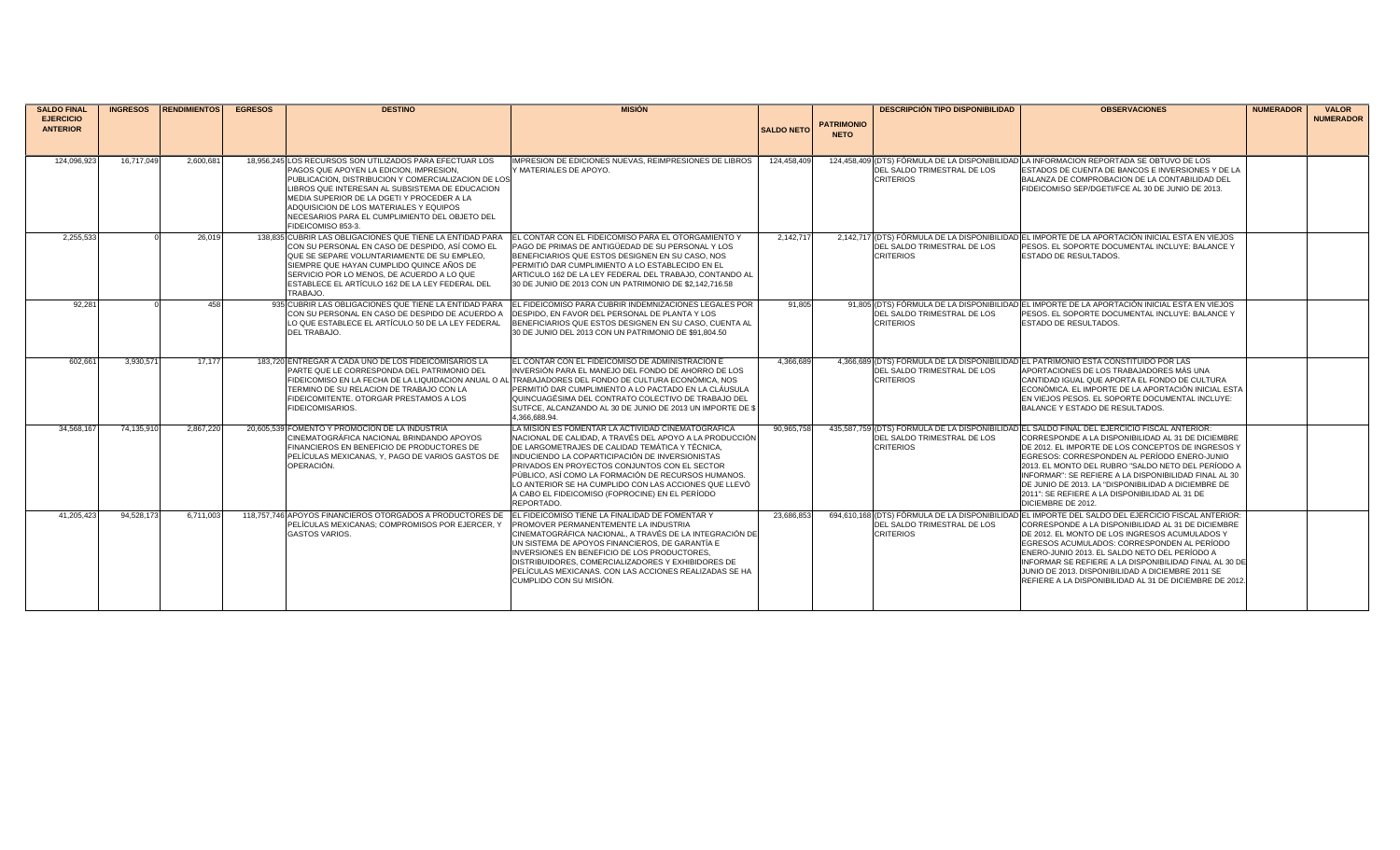| <b>SALDO FINAL</b><br><b>EJERCICIO</b> | <b>INGRESOS</b> | <b>RENDIMIENTOS</b> | <b>EGRESOS</b> | <b>DESTINO</b>                                                                                                                                                                                                                                                                                                                                                                         | <b>MISION</b>                                                                                                                                                                                                                                                                                                                                                                                                                                         |                   | <b>DESCRIPCIÓN TIPO DISPONIBILIDAD</b> |                                                 | <b>OBSERVACIONES</b>                                                                                                                                                                                                                                                                                                                                                                                                                                                                                   | <b>NUMERADOR</b> | <b>VALOR</b><br><b>NUMERADOR</b> |
|----------------------------------------|-----------------|---------------------|----------------|----------------------------------------------------------------------------------------------------------------------------------------------------------------------------------------------------------------------------------------------------------------------------------------------------------------------------------------------------------------------------------------|-------------------------------------------------------------------------------------------------------------------------------------------------------------------------------------------------------------------------------------------------------------------------------------------------------------------------------------------------------------------------------------------------------------------------------------------------------|-------------------|----------------------------------------|-------------------------------------------------|--------------------------------------------------------------------------------------------------------------------------------------------------------------------------------------------------------------------------------------------------------------------------------------------------------------------------------------------------------------------------------------------------------------------------------------------------------------------------------------------------------|------------------|----------------------------------|
| <b>ANTERIOR</b>                        |                 |                     |                |                                                                                                                                                                                                                                                                                                                                                                                        |                                                                                                                                                                                                                                                                                                                                                                                                                                                       | <b>SALDO NETO</b> | <b>PATRIMONIO</b><br><b>NETO</b>       |                                                 |                                                                                                                                                                                                                                                                                                                                                                                                                                                                                                        |                  |                                  |
|                                        |                 |                     |                |                                                                                                                                                                                                                                                                                                                                                                                        |                                                                                                                                                                                                                                                                                                                                                                                                                                                       |                   |                                        |                                                 |                                                                                                                                                                                                                                                                                                                                                                                                                                                                                                        |                  |                                  |
| 124,096,923                            | 16,717,049      | 2,600,681           |                | 18,956,245 LOS RECURSOS SON UTILIZADOS PARA EFECTUAR LOS<br>PAGOS QUE APOYEN LA EDICION, IMPRESION,<br>PUBLICACION, DISTRIBUCION Y COMERCIALIZACION DE LOS<br>LIBROS QUE INTERESAN AL SUBSISTEMA DE EDUCACION<br>MEDIA SUPERIOR DE LA DGETI Y PROCEDER A LA<br>ADQUISICION DE LOS MATERIALES Y EQUIPOS<br><b>INECESARIOS PARA EL CUMPLIMIENTO DEL OBJETO DEL</b><br>FIDEICOMISO 853-3. | IMPRESION DE EDICIONES NUEVAS. REIMPRESIONES DE LIBROS<br><b>MATERIALES DE APOYO</b>                                                                                                                                                                                                                                                                                                                                                                  | 124,458,409       |                                        | DEL SALDO TRIMESTRAL DE LOS<br><b>CRITERIOS</b> | 124.458.409 (DTS) FÓRMULA DE LA DISPONIBILIDAD LA INFORMACION REPORTADA SE OBTUVO DE LOS<br>ESTADOS DE CUENTA DE BANCOS E INVERSIONES Y DE LA<br>BALANZA DE COMPROBACION DE LA CONTABILIDAD DEL<br>FIDEICOMISO SEP/DGETI/FCE AL 30 DE JUNIO DE 2013.                                                                                                                                                                                                                                                   |                  |                                  |
| 2,255,533                              |                 | 26,019              |                | 138,835 CUBRIR LAS OBLIGACIONES QUE TIENE LA ENTIDAD PARA<br>ICON SU PERSONAL EN CASO DE DESPIDO. ASÍ COMO EL<br>QUE SE SEPARE VOLUNTARIAMENTE DE SU EMPLEO,<br>SIEMPRE QUE HAYAN CUMPLIDO QUINCE AÑOS DE<br>SERVICIO POR LO MENOS, DE ACUERDO A LO QUE<br>ESTABLECE EL ARTÍCULO 162 DE LA LEY FEDERAL DEL<br>TRABAJO.                                                                 | EL CONTAR CON EL FIDEICOMISO PARA EL OTORGAMIENTO Y<br>PAGO DE PRIMAS DE ANTIGÜEDAD DE SU PERSONAL Y LOS<br>BENEFICIARIOS QUE ESTOS DESIGNEN EN SU CASO, NOS<br><b>PERMITIÓ DAR CUMPLIMIENTO A LO ESTABLECIDO EN EL</b><br>ARTICULO 162 DE LA LEY FEDERAL DEL TRABAJO, CONTANDO AL<br>30 DE JUNIO DE 2013 CON UN PATRIMONIO DE \$2,142,716,58                                                                                                         | 2,142,717         |                                        | DEL SALDO TRIMESTRAL DE LOS<br><b>CRITERIOS</b> | 2,142,717 (DTS) FÓRMULA DE LA DISPONIBILIDAD EL IMPORTE DE LA APORTACIÓN INICIAL ESTA EN VIEJOS<br>PESOS. EL SOPORTE DOCUMENTAL INCLUYE: BALANCE Y<br><b>ESTADO DE RESULTADOS.</b>                                                                                                                                                                                                                                                                                                                     |                  |                                  |
| 92,281                                 |                 | 458                 |                | 935 CUBRIR LAS OBLIGACIONES QUE TIENE LA ENTIDAD PARA<br>CON SU PERSONAL EN CASO DE DESPIDO DE ACUERDO A<br>LO QUE ESTABLECE EL ARTÍCULO 50 DE LA LEY FEDERAL<br>DEL TRABAJO.                                                                                                                                                                                                          | EL FIDEICOMISO PARA CUBRIR INDEMNIZACIONES LEGALES POR<br>DESPIDO, EN FAVOR DEL PERSONAL DE PLANTA Y LOS<br>BENEFICIARIOS QUE ESTOS DESIGNEN EN SU CASO, CUENTA AL<br>30 DE JUNIO DEL 2013 CON UN PATRIMONIO DE \$91.804.50                                                                                                                                                                                                                           | 91,805            |                                        | DEL SALDO TRIMESTRAL DE LOS<br><b>CRITERIOS</b> | 91.805 (DTS) FÓRMULA DE LA DISPONIBILIDAD EL IMPORTE DE LA APORTACIÓN INICIAL ESTA EN VIEJOS<br>PESOS. EL SOPORTE DOCUMENTAL INCLUYE: BALANCE Y<br>ESTADO DE RESULTADOS.                                                                                                                                                                                                                                                                                                                               |                  |                                  |
| 602.661                                | 3,930,57        | 17.177              |                | 183,720 ENTREGAR A CADA UNO DE LOS FIDEICOMISARIOS LA<br>PARTE QUE LE CORRESPONDA DEL PATRIMONIO DEL<br><b>TERMINO DE SU RELACION DE TRABAJO CON LA</b><br>FIDEICOMITENTE. OTORGAR PRESTAMOS A LOS<br><b>FIDEICOMISARIOS.</b>                                                                                                                                                          | EL CONTAR CON EL FIDEICOMISO DE ADMINISTRACIÓN E<br>INVERSIÓN PARA EL MANEJO DEL FONDO DE AHORRO DE LOS<br>FIDEICOMISO EN LA FECHA DE LA LIQUIDACION ANUAL O AL TRABAJADORES DEL FONDO DE CULTURA ECONÓMICA. NOS<br>PERMITIÓ DAR CUMPLIMIENTO A LO PACTADO EN LA CLÁUSULA<br>QUINCUAGÉSIMA DEL CONTRATO COLECTIVO DE TRABAJO DEL<br>SUTFCE, ALCANZANDO AL 30 DE JUNIO DE 2013 UN IMPORTE DE \$<br>4.366.688.94.                                       | 4.366.689         |                                        | DEL SALDO TRIMESTRAL DE LOS<br><b>CRITERIOS</b> | 4.366.689 (DTS) FORMULA DE LA DISPONIBILIDAD EL PATRIMONIO ESTA CONSTITUIDO POR LAS<br>APORTACIONES DE LOS TRABAJADORES MÁS UNA<br>CANTIDAD IGUAL QUE APORTA EL FONDO DE CULTURA<br>ECONÓMICA. EL IMPORTE DE LA APORTACIÓN INICIAL ESTA<br>EN VIEJOS PESOS. EL SOPORTE DOCUMENTAL INCLUYE:<br>BALANCE Y ESTADO DE RESULTADOS.                                                                                                                                                                          |                  |                                  |
| 34.568.167                             | 74.135.91       | 2,867,220           |                | 20.605.539 FOMENTO Y PROMOCIÓN DE LA INDUSTRIA<br>CINEMATOGRÁFICA NACIONAL BRINDANDO APOYOS<br>FINANCIEROS EN BENEFICIO DE PRODUCTORES DE<br>PELÍCULAS MEXICANAS, Y, PAGO DE VARIOS GASTOS DE<br>OPERACIÓN.                                                                                                                                                                            | LA MISIÓN ES FOMENTAR LA ACTIVIDAD CINEMATOGRÁFICA<br>NACIONAL DE CALIDAD, A TRAVÉS DEL APOYO A LA PRODUCCIÓN<br>DE LARGOMETRAJES DE CALIDAD TEMÁTICA Y TÉCNICA.<br>INDUCIENDO LA COPARTICIPACIÓN DE INVERSIONISTAS<br>PRIVADOS EN PROYECTOS CONJUNTOS CON EL SECTOR<br>PÚBLICO, ASÍ COMO LA FORMACIÓN DE RECURSOS HUMANOS.<br>LO ANTERIOR SE HA CUMPLIDO CON LAS ACCIONES QUE LLEVO<br>A CABO EL FIDEICOMISO (FOPROCINE) EN EL PERÍODO<br>REPORTADO. | 90.965.758        |                                        | DEL SALDO TRIMESTRAL DE LOS<br><b>CRITERIOS</b> | 435.587.759 (DTS) FORMULA DE LA DISPONIBILIDADIEL SALDO FINAL DEL EJERCICIO FISCAL ANTERIOR:<br>CORRESPONDE A LA DISPONIBILIDAD AL 31 DE DICIEMBRE<br>DE 2012. EL IMPORTE DE LOS CONCEPTOS DE INGRESOS Y<br>EGRESOS: CORRESPONDEN AL PERÍODO ENERO-JUNIO<br>2013. EL MONTO DEL RUBRO "SALDO NETO DEL PERÍODO A<br>INFORMAR": SE REFIERE A LA DISPONIBILIDAD FINAL AL 30<br>DE JUNIO DE 2013. LA "DISPONIBILIDAD A DICIEMBRE DE<br>2011": SE REFIERE A LA DISPONIBILIDAD AL 31 DE<br>DICIEMBRE DE 2012. |                  |                                  |
| 41.205.423                             | 94,528,173      | 6.711.003           |                | 118.757.746 APOYOS FINANCIEROS OTORGADOS A PRODUCTORES DE EL FIDEICOMISO TIENE LA FINALIDAD DE FOMENTAR Y<br>PELÍCULAS MEXICANAS: COMPROMISOS POR EJERCER. Y<br><b>GASTOS VARIOS.</b>                                                                                                                                                                                                  | PROMOVER PERMANENTEMENTE LA INDUSTRIA<br>CINEMATOGRÁFICA NACIONAL, A TRAVÉS DE LA INTEGRACIÓN DE<br>UN SISTEMA DE APOYOS FINANCIEROS, DE GARANTÍA E<br>INVERSIONES EN BENEFICIO DE LOS PRODUCTORES,<br>DISTRIBUIDORES, COMERCIALIZADORES Y EXHIBIDORES DE<br><b>PELÍCULAS MEXICANAS, CON LAS ACCIONES REALIZADAS SE HA</b><br>CUMPLIDO CON SU MISIÓN.                                                                                                 | 23.686.853        |                                        | DEL SALDO TRIMESTRAL DE LOS<br><b>CRITERIOS</b> | 694.610.168 (DTS) FÓRMULA DE LA DISPONIBILIDAD EL IMPORTE DEL SALDO DEL EJERCICIO FISCAL ANTERIOR:<br>CORRESPONDE A LA DISPONIBILIDAD AL 31 DE DICIEMBRE<br>DE 2012. EL MONTO DE LOS INGRESOS ACUMULADOS Y<br>EGRESOS ACUMULADOS: CORRESPONDEN AL PERÍODO<br>ENERO-JUNIO 2013. EL SALDO NETO DEL PERÍODO A<br>INFORMAR SE REFIERE A LA DISPONIBILIDAD FINAL AL 30 DE<br>JUNIO DE 2013, DISPONIBILIDAD A DICIEMBRE 2011 SE<br>REFIERE A LA DISPONIBILIDAD AL 31 DE DICIEMBRE DE 2012.                   |                  |                                  |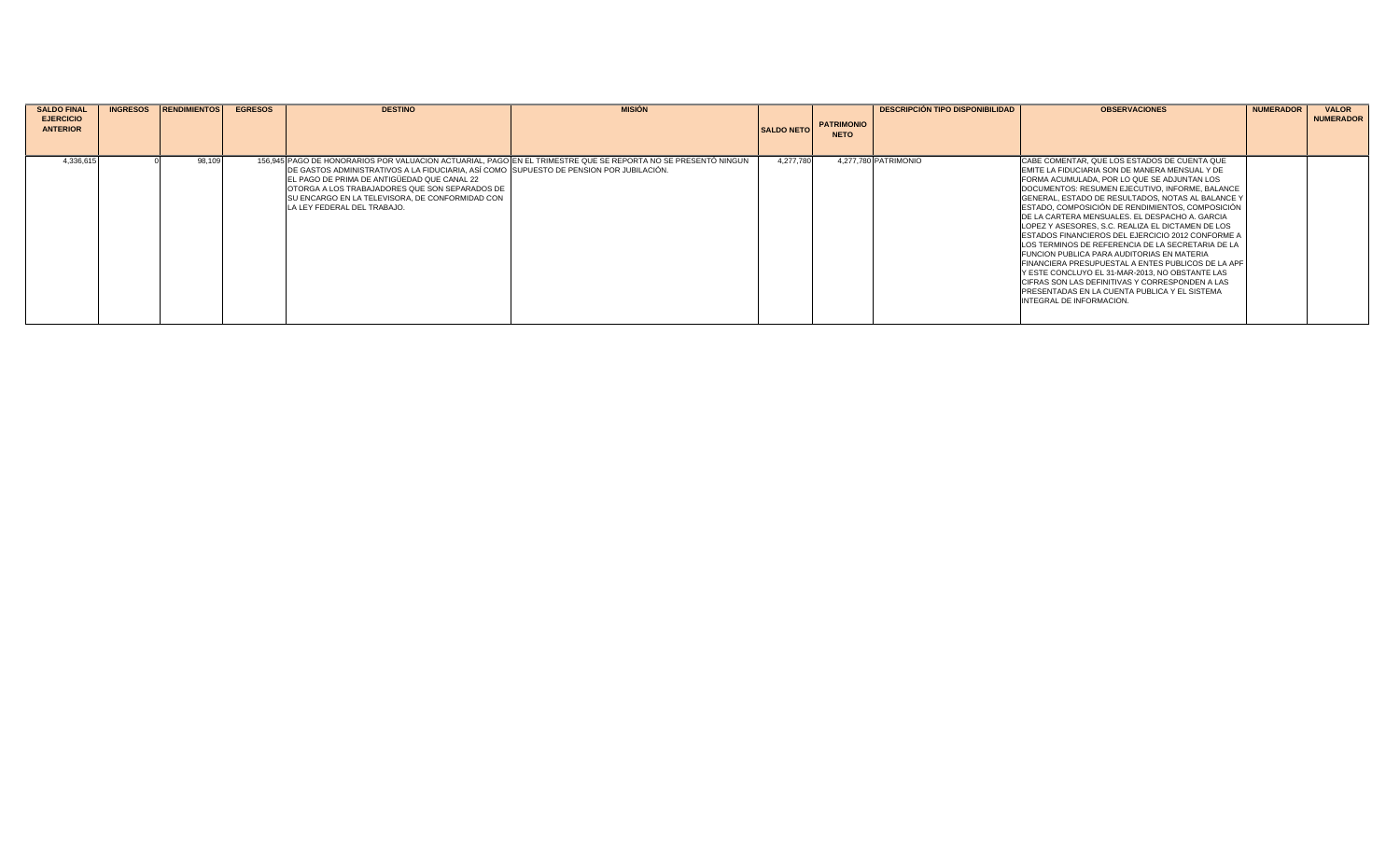| <b>SALDO FINAL</b><br><b>EJERCICIO</b><br><b>ANTERIOR</b> | <b>INGRESOS</b> | <b>RENDIMIENTOS</b> | <b>EGRESOS</b> | <b>DESTINO</b>                                                                                                                                                                                                                                                               | <b>MISION</b>                                                                                                 | <b>SALDO NETO</b> | <b>PATRIMONIO</b><br><b>NETO</b> | <b>DESCRIPCIÓN TIPO DISPONIBILIDAD</b> | <b>OBSERVACIONES</b>                                                                                                                                                                                                                                                                                                                                                                                                                                                                                                                                                                                                                                                                                                                                                                                                                   | <b>NUMERADOR</b> | <b>VALOR</b><br><b>NUMERADOR</b> |
|-----------------------------------------------------------|-----------------|---------------------|----------------|------------------------------------------------------------------------------------------------------------------------------------------------------------------------------------------------------------------------------------------------------------------------------|---------------------------------------------------------------------------------------------------------------|-------------------|----------------------------------|----------------------------------------|----------------------------------------------------------------------------------------------------------------------------------------------------------------------------------------------------------------------------------------------------------------------------------------------------------------------------------------------------------------------------------------------------------------------------------------------------------------------------------------------------------------------------------------------------------------------------------------------------------------------------------------------------------------------------------------------------------------------------------------------------------------------------------------------------------------------------------------|------------------|----------------------------------|
| 4.336.615                                                 |                 | 98.109              |                | DE GASTOS ADMINISTRATIVOS A LA FIDUCIARIA. ASÍ COMO ISUPUESTO DE PENSION POR JUBILACIÓN.<br>EL PAGO DE PRIMA DE ANTIGÜEDAD QUE CANAL 22<br>OTORGA A LOS TRABAJADORES QUE SON SEPARADOS DE<br>ISU ENCARGO EN LA TELEVISORA, DE CONFORMIDAD CON<br>LA LEY FEDERAL DEL TRABAJO. | 156,945 PAGO DE HONORARIOS POR VALUACION ACTUARIAL, PAGO EN EL TRIMESTRE QUE SE REPORTA NO SE PRESENTÓ NINGUN | 4.277.780         |                                  | 4.277.780 PATRIMONIO                   | CABE COMENTAR, QUE LOS ESTADOS DE CUENTA QUE<br>EMITE LA FIDUCIARIA SON DE MANERA MENSUAL Y DE<br>FORMA ACUMULADA, POR LO QUE SE ADJUNTAN LOS<br>DOCUMENTOS: RESUMEN EJECUTIVO, INFORME, BALANCE<br>GENERAL, ESTADO DE RESULTADOS, NOTAS AL BALANCE Y<br>ESTADO, COMPOSICIÓN DE RENDIMIENTOS, COMPOSICIÓN<br>DE LA CARTERA MENSUALES. EL DESPACHO A. GARCIA<br>LOPEZ Y ASESORES, S.C. REALIZA EL DICTAMEN DE LOS<br><b>ESTADOS FINANCIEROS DEL EJERCICIO 2012 CONFORME A</b><br>LOS TERMINOS DE REFERENCIA DE LA SECRETARIA DE LA<br><b>FUNCION PUBLICA PARA AUDITORIAS EN MATERIA</b><br>FINANCIERA PRESUPUESTAL A ENTES PUBLICOS DE LA APF<br>Y ESTE CONCLUYO EL 31-MAR-2013. NO OBSTANTE LAS<br>CIFRAS SON LAS DEFINITIVAS Y CORRESPONDEN A LAS<br><b>PRESENTADAS EN LA CUENTA PUBLICA Y EL SISTEMA</b><br>INTEGRAL DE INFORMACION. |                  |                                  |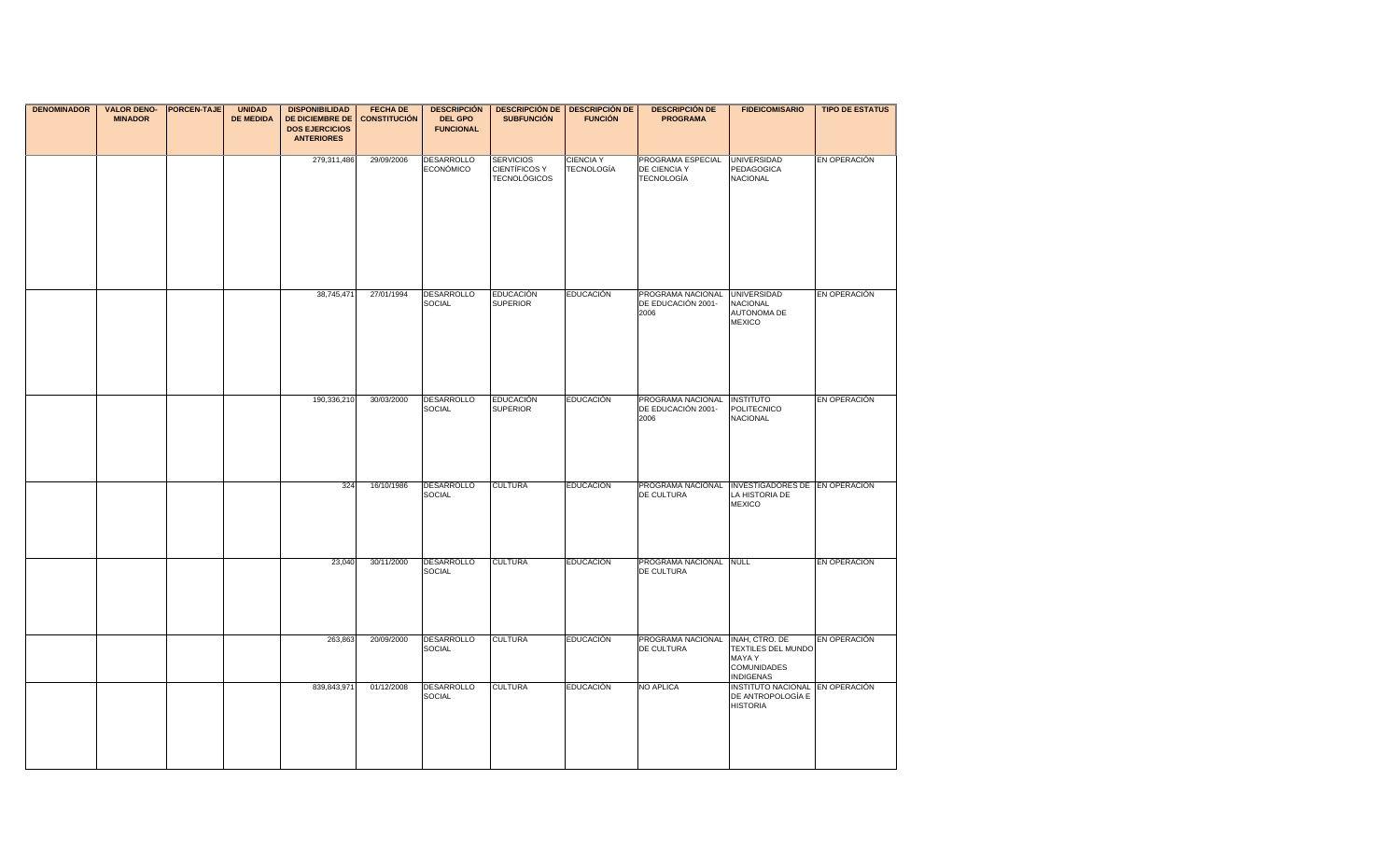| <b>DENOMINADOR</b> | <b>VALOR DENO-</b><br><b>MINADOR</b> | <b>PORCEN-TAJE</b> | <b>UNIDAD</b><br><b>DE MEDIDA</b> | <b>DISPONIBILIDAD</b><br><b>DE DICIEMBRE DE</b><br><b>DOS EJERCICIOS</b><br><b>ANTERIORES</b> | <b>FECHA DE</b><br><b>CONSTITUCIÓN</b> | <b>DESCRIPCIÓN</b><br><b>DEL GPO</b><br><b>FUNCIONAL</b> | <b>SUBFUNCIÓN</b>                                        | <b>DESCRIPCIÓN DE   DESCRIPCIÓN DE</b><br><b>FUNCIÓN</b> | <b>DESCRIPCIÓN DE</b><br><b>PROGRAMA</b>                       | <b>FIDEICOMISARIO</b>                                                                    | <b>TIPO DE ESTATUS</b> |
|--------------------|--------------------------------------|--------------------|-----------------------------------|-----------------------------------------------------------------------------------------------|----------------------------------------|----------------------------------------------------------|----------------------------------------------------------|----------------------------------------------------------|----------------------------------------------------------------|------------------------------------------------------------------------------------------|------------------------|
|                    |                                      |                    |                                   | 279,311,486                                                                                   | 29/09/2006                             | <b>DESARROLLO</b><br>ECONÓMICO                           | <b>SERVICIOS</b><br>CIENTÍFICOS Y<br><b>TECNOLÓGICOS</b> | <b>CIENCIA Y</b><br>TECNOLOGÍA                           | PROGRAMA ESPECIAL<br>DE CIENCIA Y<br><b>TECNOLOGÍA</b>         | <b>UNIVERSIDAD</b><br>PEDAGOGICA<br><b>NACIONAL</b>                                      | <b>EN OPERACIÓN</b>    |
|                    |                                      |                    |                                   | 38,745,471                                                                                    | 27/01/1994                             | <b>DESARROLLO</b><br><b>SOCIAL</b>                       | <b>EDUCACIÓN</b><br><b>SUPERIOR</b>                      | <b>EDUCACIÓN</b>                                         | PROGRAMA NACIONAL UNIVERSIDAD<br>DE EDUCACIÓN 2001-<br>2006    | NACIONAL<br>AUTONOMA DE<br><b>MEXICO</b>                                                 | EN OPERACIÓN           |
|                    |                                      |                    |                                   | 190,336,210                                                                                   | 30/03/2000                             | <b>DESARROLLO</b><br><b>SOCIAL</b>                       | <b>EDUCACIÓN</b><br><b>SUPERIOR</b>                      | <b>EDUCACIÓN</b>                                         | PROGRAMA NACIONAL<br>DE EDUCACIÓN 2001-<br>2006                | <b>INSTITUTO</b><br><b>POLITECNICO</b><br><b>NACIONAL</b>                                | EN OPERACIÓN           |
|                    |                                      |                    |                                   | 324                                                                                           | 16/10/1986                             | <b>DESARROLLO</b><br><b>SOCIAL</b>                       | <b>CULTURA</b>                                           | <b>EDUCACIÓN</b>                                         | PROGRAMA NACIONAL INVESTIGADORES DE EN OPERACIÓN<br>DE CULTURA | LA HISTORIA DE<br><b>MEXICO</b>                                                          |                        |
|                    |                                      |                    |                                   | 23,040                                                                                        | 30/11/2000                             | <b>DESARROLLO</b><br><b>SOCIAL</b>                       | <b>CULTURA</b>                                           | <b>EDUCACIÓN</b>                                         | PROGRAMA NACIONAL NULL<br>DE CULTURA                           |                                                                                          | EN OPERACIÓN           |
|                    |                                      |                    |                                   | 263,863                                                                                       | 20/09/2000                             | <b>DESARROLLO</b><br><b>SOCIAL</b>                       | <b>CULTURA</b>                                           | <b>EDUCACIÓN</b>                                         | PROGRAMA NACIONAL<br><b>DE CULTURA</b>                         | INAH, CTRO. DE<br>TEXTILES DEL MUNDO<br>MAYA Y<br><b>COMUNIDADES</b><br><b>INDIGENAS</b> | EN OPERACIÓN           |
|                    |                                      |                    |                                   | 839,843,971                                                                                   | 01/12/2008                             | <b>DESARROLLO</b><br><b>SOCIAL</b>                       | <b>CULTURA</b>                                           | <b>EDUCACIÓN</b>                                         | <b>NO APLICA</b>                                               | INSTITUTO NACIONAL EN OPERACIÓN<br>DE ANTROPOLOGÍA E<br><b>HISTORIA</b>                  |                        |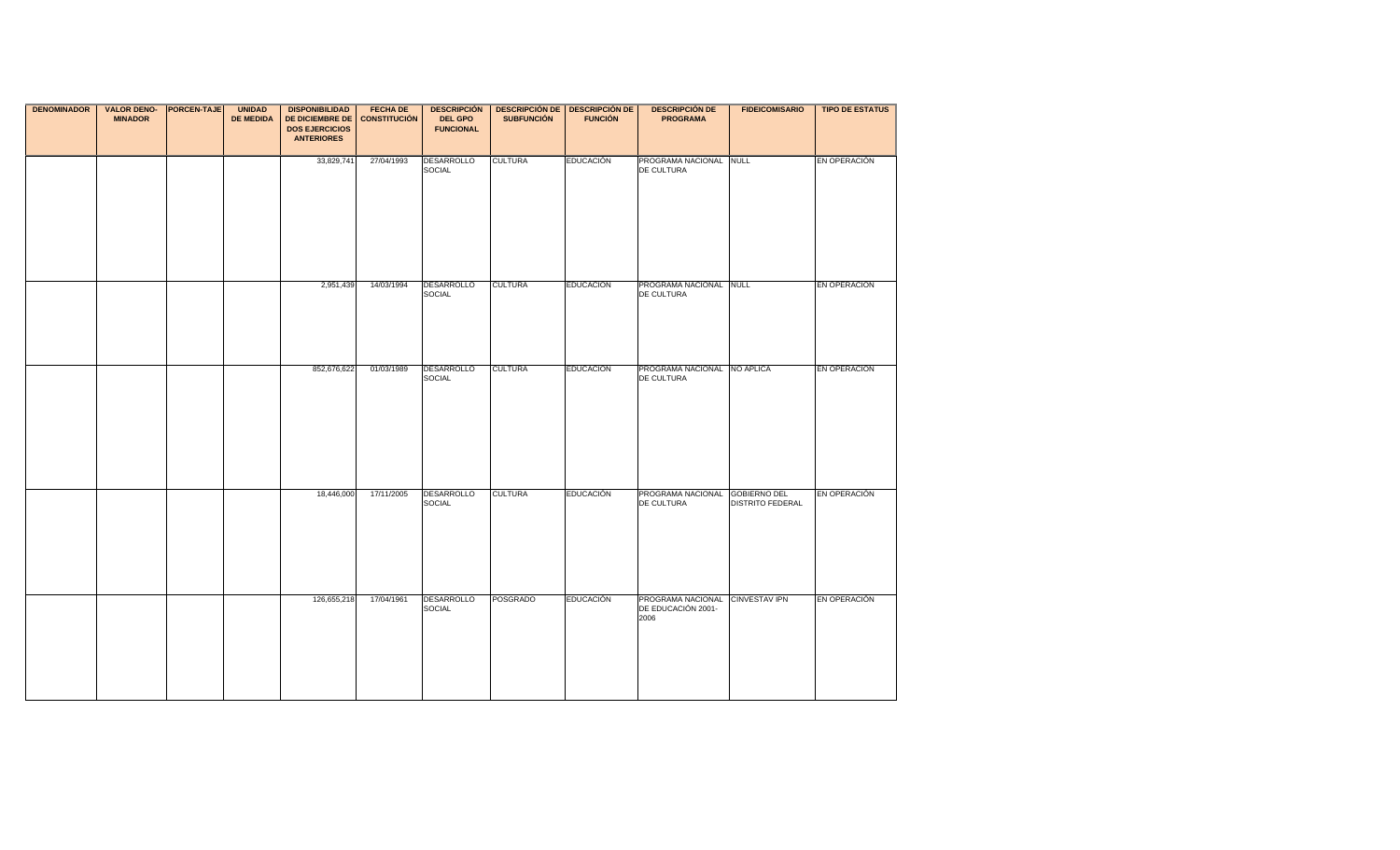| <b>DENOMINADOR</b> | <b>VALOR DENO- PORCEN-TAJE</b><br><b>MINADOR</b> | <b>UNIDAD</b><br><b>DE MEDIDA</b> | <b>DISPONIBILIDAD</b><br><b>DE DICIEMBRE DE</b> | <b>FECHA DE</b><br><b>CONSTITUCIÓN</b> | <b>DEL GPO</b>                     | DESCRIPCIÓN   DESCRIPCIÓN DE   DESCRIPCIÓN DE  <br><b>SUBFUNCIÓN</b> | <b>FUNCIÓN</b>   | <b>DESCRIPCIÓN DE</b><br><b>PROGRAMA</b>                      | <b>FIDEICOMISARIO</b>   | <b>TIPO DE ESTATUS</b> |
|--------------------|--------------------------------------------------|-----------------------------------|-------------------------------------------------|----------------------------------------|------------------------------------|----------------------------------------------------------------------|------------------|---------------------------------------------------------------|-------------------------|------------------------|
|                    |                                                  |                                   | <b>DOS EJERCICIOS</b><br><b>ANTERIORES</b>      |                                        | <b>FUNCIONAL</b>                   |                                                                      |                  |                                                               |                         |                        |
|                    |                                                  |                                   | 33,829,741                                      | 27/04/1993                             | <b>DESARROLLO</b><br><b>SOCIAL</b> | <b>CULTURA</b>                                                       | <b>EDUCACIÓN</b> | PROGRAMA NACIONAL NULL<br>DE CULTURA                          |                         | EN OPERACIÓN           |
|                    |                                                  |                                   |                                                 |                                        |                                    |                                                                      |                  |                                                               |                         |                        |
|                    |                                                  |                                   |                                                 |                                        |                                    |                                                                      |                  |                                                               |                         |                        |
|                    |                                                  |                                   | 2,951,439                                       | 14/03/1994                             | DESARROLLO<br>SOCIAL               | <b>CULTURA</b>                                                       | <b>EDUCACIÓN</b> | PROGRAMA NACIONAL NULL<br>DE CULTURA                          |                         | EN OPERACIÓN           |
|                    |                                                  |                                   | 852,676,622                                     | 01/03/1989                             | <b>DESARROLLO</b><br><b>SOCIAL</b> | <b>CULTURA</b>                                                       | <b>EDUCACIÓN</b> | PROGRAMA NACIONAL NO APLICA<br>DE CULTURA                     |                         | EN OPERACIÓN           |
|                    |                                                  |                                   |                                                 |                                        |                                    |                                                                      |                  |                                                               |                         |                        |
|                    |                                                  |                                   | 18,446,000                                      | 17/11/2005                             | <b>DESARROLLO</b><br><b>SOCIAL</b> | <b>CULTURA</b>                                                       | <b>EDUCACIÓN</b> | PROGRAMA NACIONAL GOBIERNO DEL<br>DE CULTURA                  | <b>DISTRITO FEDERAL</b> | EN OPERACIÓN           |
|                    |                                                  |                                   |                                                 |                                        |                                    |                                                                      |                  |                                                               |                         |                        |
|                    |                                                  |                                   | 126,655,218                                     | 17/04/1961                             | <b>DESARROLLO</b><br>SOCIAL        | <b>POSGRADO</b>                                                      | <b>EDUCACIÓN</b> | PROGRAMA NACIONAL CINVESTAV IPN<br>DE EDUCACIÓN 2001-<br>2006 |                         | EN OPERACIÓN           |
|                    |                                                  |                                   |                                                 |                                        |                                    |                                                                      |                  |                                                               |                         |                        |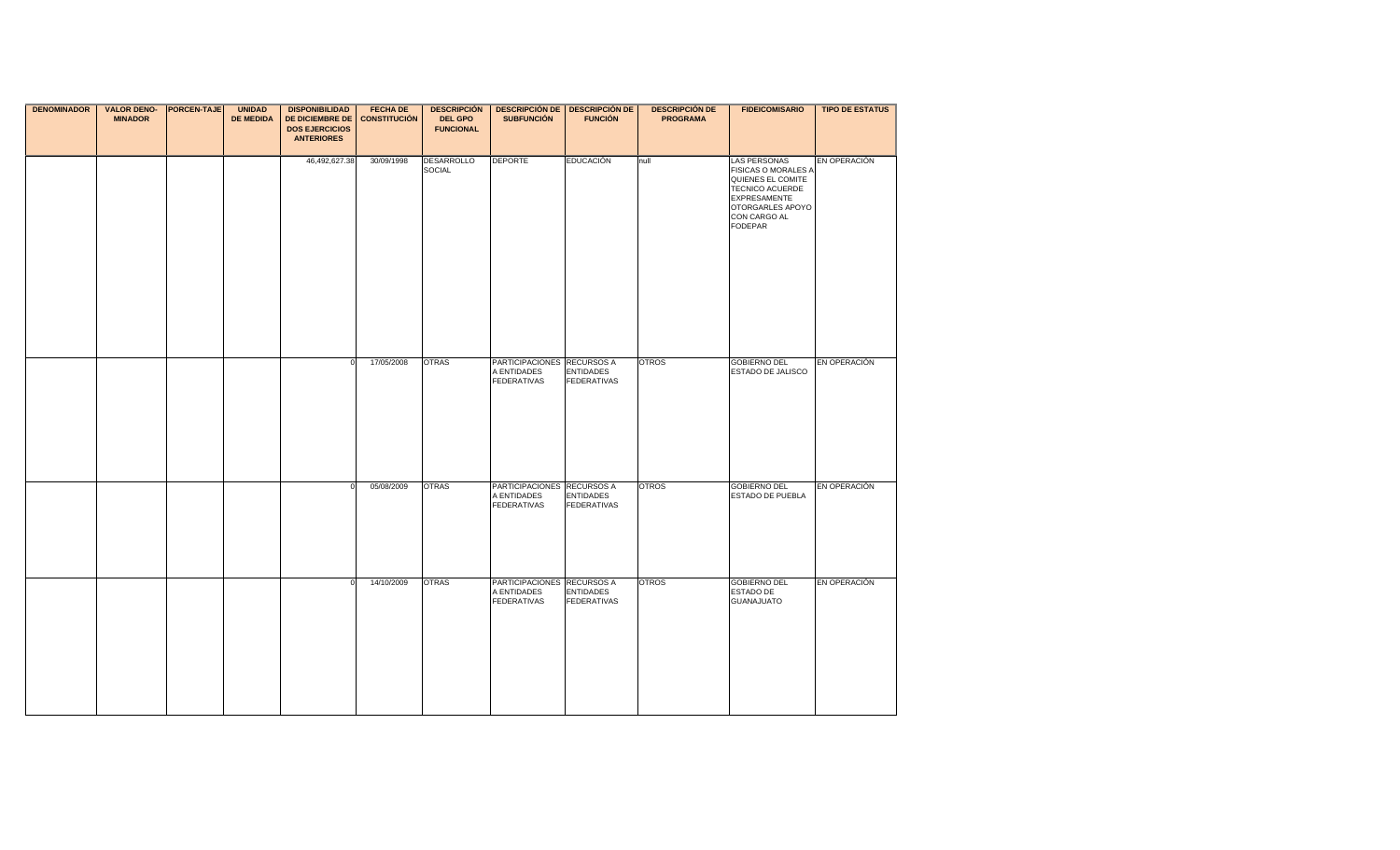| <b>DENOMINADOR</b> | <b>VALOR DENO- PORCEN-TAJE</b><br><b>MINADOR</b> | <b>UNIDAD</b><br><b>DE MEDIDA</b> | <b>DISPONIBILIDAD</b><br>DE DICIEMBRE DE<br><b>DOS EJERCICIOS</b><br><b>ANTERIORES</b> | <b>FECHA DE</b><br><b>CONSTITUCIÓN</b> | <b>DEL GPO</b><br><b>FUNCIONAL</b> | DESCRIPCIÓN   DESCRIPCIÓN DE   DESCRIPCIÓN DE  <br><b>SUBFUNCIÓN</b> | <b>FUNCIÓN</b>                         | <b>DESCRIPCIÓN DE</b><br><b>PROGRAMA</b> | <b>FIDEICOMISARIO</b>                                                                                                                                           | <b>TIPO DE ESTATUS</b> |
|--------------------|--------------------------------------------------|-----------------------------------|----------------------------------------------------------------------------------------|----------------------------------------|------------------------------------|----------------------------------------------------------------------|----------------------------------------|------------------------------------------|-----------------------------------------------------------------------------------------------------------------------------------------------------------------|------------------------|
|                    |                                                  |                                   | 46,492,627.38                                                                          | 30/09/1998                             | <b>DESARROLLO</b><br>SOCIAL        | <b>DEPORTE</b>                                                       | <b>EDUCACIÓN</b>                       | null                                     | <b>LAS PERSONAS</b><br>FISICAS O MORALES A<br>QUIENES EL COMITE<br>TECNICO ACUERDE<br><b>EXPRESAMENTE</b><br>OTORGARLES APOYO<br>CON CARGO AL<br><b>FODEPAR</b> | EN OPERACIÓN           |
|                    |                                                  |                                   | $\Omega$                                                                               | 17/05/2008                             | <b>OTRAS</b>                       | PARTICIPACIONES RECURSOS A<br>A ENTIDADES<br><b>FEDERATIVAS</b>      | <b>ENTIDADES</b><br><b>FEDERATIVAS</b> | <b>OTROS</b>                             | <b>GOBIERNO DEL</b><br>ESTADO DE JALISCO                                                                                                                        | EN OPERACIÓN           |
|                    |                                                  |                                   | $\mathbf 0$                                                                            | 05/08/2009                             | <b>OTRAS</b>                       | PARTICIPACIONES RECURSOS A<br>A ENTIDADES<br><b>FEDERATIVAS</b>      | <b>ENTIDADES</b><br><b>FEDERATIVAS</b> | <b>OTROS</b>                             | <b>GOBIERNO DEL</b><br>ESTADO DE PUEBLA                                                                                                                         | EN OPERACIÓN           |
|                    |                                                  |                                   | $\Omega$                                                                               | 14/10/2009                             | <b>OTRAS</b>                       | PARTICIPACIONES RECURSOS A<br>A ENTIDADES<br><b>FEDERATIVAS</b>      | <b>ENTIDADES</b><br><b>FEDERATIVAS</b> | <b>OTROS</b>                             | <b>GOBIERNO DEL</b><br>ESTADO DE<br><b>GUANAJUATO</b>                                                                                                           | EN OPERACIÓN           |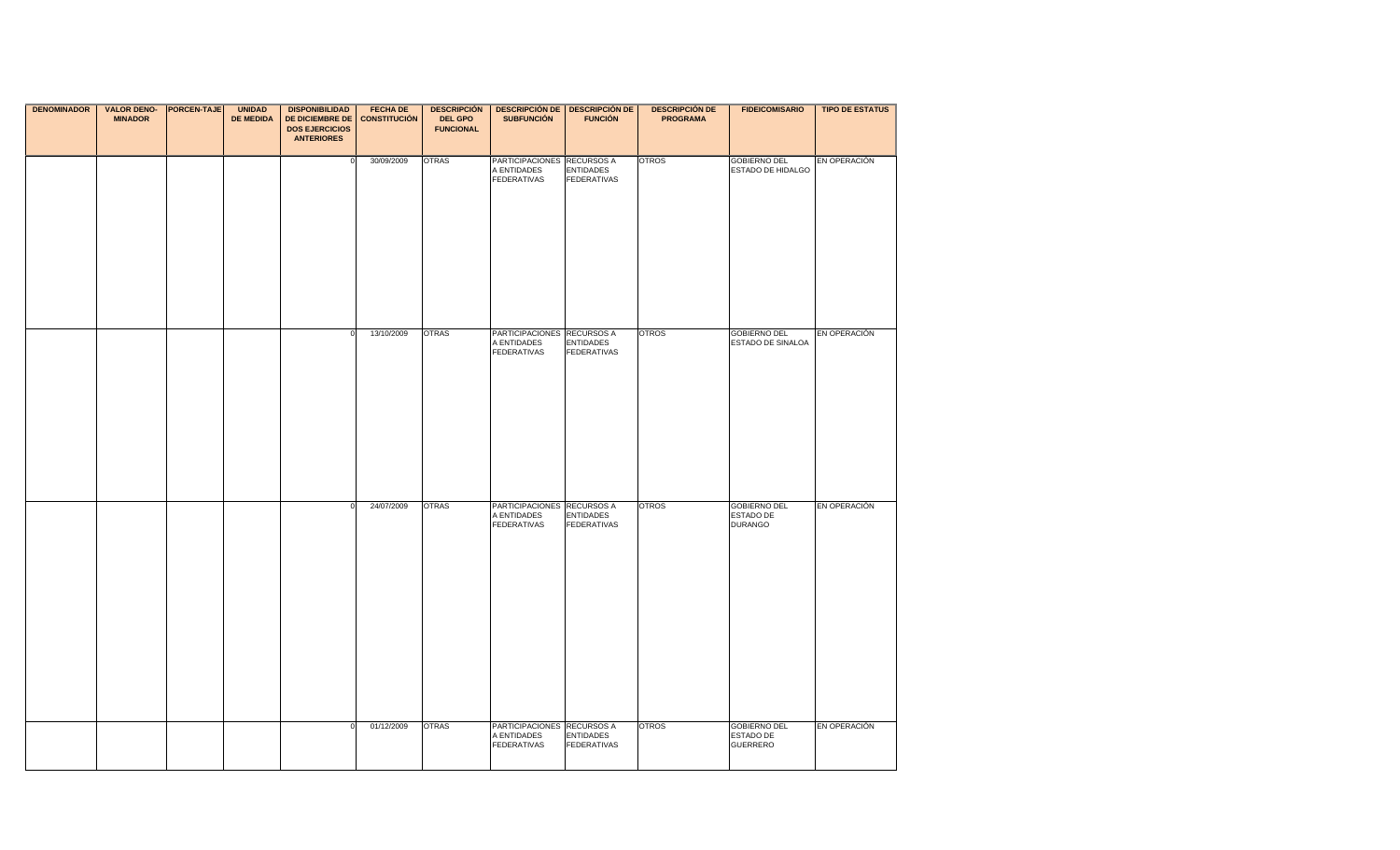| <b>DENOMINADOR</b> | <b>VALOR DENO- PORCEN-TAJE</b><br><b>MINADOR</b> | <b>UNIDAD</b><br><b>DE MEDIDA</b> | <b>DISPONIBILIDAD</b><br><b>DE DICIEMBRE DE</b><br><b>DOS EJERCICIOS</b> | <b>FECHA DE</b><br><b>CONSTITUCIÓN</b> | <b>DEL GPO</b><br><b>FUNCIONAL</b> | DESCRIPCIÓN   DESCRIPCIÓN DE   DESCRIPCIÓN DE  <br><b>SUBFUNCIÓN</b> | <b>FUNCIÓN</b>                         | <b>DESCRIPCIÓN DE</b><br><b>PROGRAMA</b> | <b>FIDEICOMISARIO</b>                               | <b>TIPO DE ESTATUS</b> |
|--------------------|--------------------------------------------------|-----------------------------------|--------------------------------------------------------------------------|----------------------------------------|------------------------------------|----------------------------------------------------------------------|----------------------------------------|------------------------------------------|-----------------------------------------------------|------------------------|
|                    |                                                  |                                   | <b>ANTERIORES</b>                                                        |                                        |                                    |                                                                      |                                        |                                          |                                                     |                        |
|                    |                                                  |                                   | $\mathbf 0$                                                              | 30/09/2009                             | <b>OTRAS</b>                       | PARTICIPACIONES RECURSOS A<br>A ENTIDADES<br><b>FEDERATIVAS</b>      | <b>ENTIDADES</b><br><b>FEDERATIVAS</b> | <b>OTROS</b>                             | <b>GOBIERNO DEL</b><br>ESTADO DE HIDALGO            | EN OPERACIÓN           |
|                    |                                                  |                                   |                                                                          |                                        |                                    |                                                                      |                                        |                                          |                                                     |                        |
|                    |                                                  |                                   |                                                                          | 13/10/2009                             | <b>OTRAS</b>                       | PARTICIPACIONES RECURSOS A<br>A ENTIDADES<br><b>FEDERATIVAS</b>      | <b>ENTIDADES</b><br><b>FEDERATIVAS</b> | <b>OTROS</b>                             | <b>GOBIERNO DEL</b><br>ESTADO DE SINALOA            | EN OPERACIÓN           |
|                    |                                                  |                                   |                                                                          | 24/07/2009                             | <b>OTRAS</b>                       | PARTICIPACIONES RECURSOS A<br>A ENTIDADES<br><b>FEDERATIVAS</b>      | <b>ENTIDADES</b><br><b>FEDERATIVAS</b> | <b>OTROS</b>                             | <b>GOBIERNO DEL</b><br>ESTADO DE<br><b>DURANGO</b>  | EN OPERACIÓN           |
|                    |                                                  |                                   | $\Omega$                                                                 | 01/12/2009                             | <b>OTRAS</b>                       | PARTICIPACIONES RECURSOS A<br>A ENTIDADES<br><b>FEDERATIVAS</b>      | <b>ENTIDADES</b><br><b>FEDERATIVAS</b> | <b>OTROS</b>                             | <b>GOBIERNO DEL</b><br>ESTADO DE<br><b>GUERRERO</b> | EN OPERACIÓN           |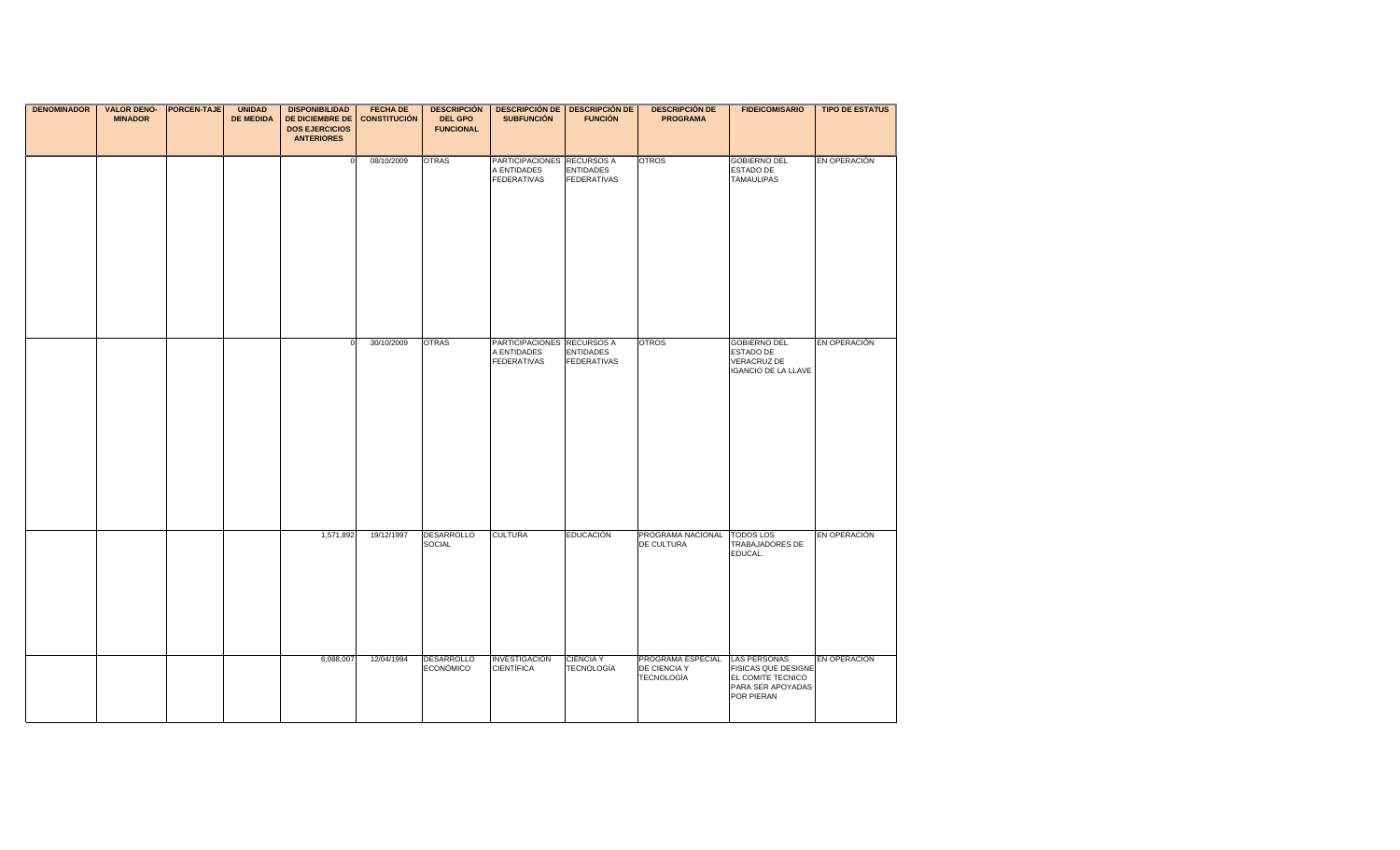| <b>DENOMINADOR</b> | <b>VALOR DENO- PORCEN-TAJE</b><br><b>MINADOR</b> | <b>UNIDAD</b><br><b>DE MEDIDA</b> | <b>DISPONIBILIDAD</b><br><b>DE DICIEMBRE DE</b><br><b>DOS EJERCICIOS</b><br><b>ANTERIORES</b> | <b>FECHA DE</b><br><b>CONSTITUCIÓN</b> | <b>DESCRIPCIÓN</b><br><b>DEL GPO</b><br><b>FUNCIONAL</b> | <b>DESCRIPCIÓN DE   DESCRIPCIÓN DE</b><br><b>SUBFUNCIÓN</b>     | <b>FUNCIÓN</b>                         | <b>DESCRIPCIÓN DE</b><br><b>PROGRAMA</b>               | <b>FIDEICOMISARIO</b>                                                                                     | <b>TIPO DE ESTATUS</b> |
|--------------------|--------------------------------------------------|-----------------------------------|-----------------------------------------------------------------------------------------------|----------------------------------------|----------------------------------------------------------|-----------------------------------------------------------------|----------------------------------------|--------------------------------------------------------|-----------------------------------------------------------------------------------------------------------|------------------------|
|                    |                                                  |                                   | $\Omega$                                                                                      | 08/10/2009                             | <b>OTRAS</b>                                             | PARTICIPACIONES RECURSOS A<br>A ENTIDADES<br><b>FEDERATIVAS</b> | <b>ENTIDADES</b><br><b>FEDERATIVAS</b> | <b>OTROS</b>                                           | <b>GOBIERNO DEL</b><br>ESTADO DE<br><b>TAMAULIPAS</b>                                                     | EN OPERACIÓN           |
|                    |                                                  |                                   | $\Omega$                                                                                      | 30/10/2009                             | <b>OTRAS</b>                                             | PARTICIPACIONES RECURSOS A<br>A ENTIDADES<br><b>FEDERATIVAS</b> | <b>ENTIDADES</b><br><b>FEDERATIVAS</b> | <b>OTROS</b>                                           | <b>GOBIERNO DEL</b><br>ESTADO DE<br>VERACRUZ DE<br><b>IGANCIO DE LA LLAVE</b>                             | EN OPERACIÓN           |
|                    |                                                  |                                   | 1,571,892                                                                                     | 19/12/1997                             | <b>DESARROLLO</b><br>SOCIAL                              | <b>CULTURA</b>                                                  | <b>EDUCACIÓN</b>                       | PROGRAMA NACIONAL TODOS LOS<br>DE CULTURA              | TRABAJADORES DE<br>EDUCAL.                                                                                | EN OPERACIÓN           |
|                    |                                                  |                                   | 6,088,007                                                                                     | 12/04/1994                             | <b>DESARROLLO</b><br><b>ECONÓMICO</b>                    | INVESTIGACIÓN<br><b>CIENTÍFICA</b>                              | <b>CIENCIA Y</b><br><b>TECNOLOGÍA</b>  | PROGRAMA ESPECIAL<br>DE CIENCIA Y<br><b>TECNOLOGÍA</b> | <b>LAS PERSONAS</b><br><b>FISICAS QUE DESIGNE</b><br>EL COMITE TECNICO<br>PARA SER APOYADAS<br>POR PIERAN | EN OPERACIÓN           |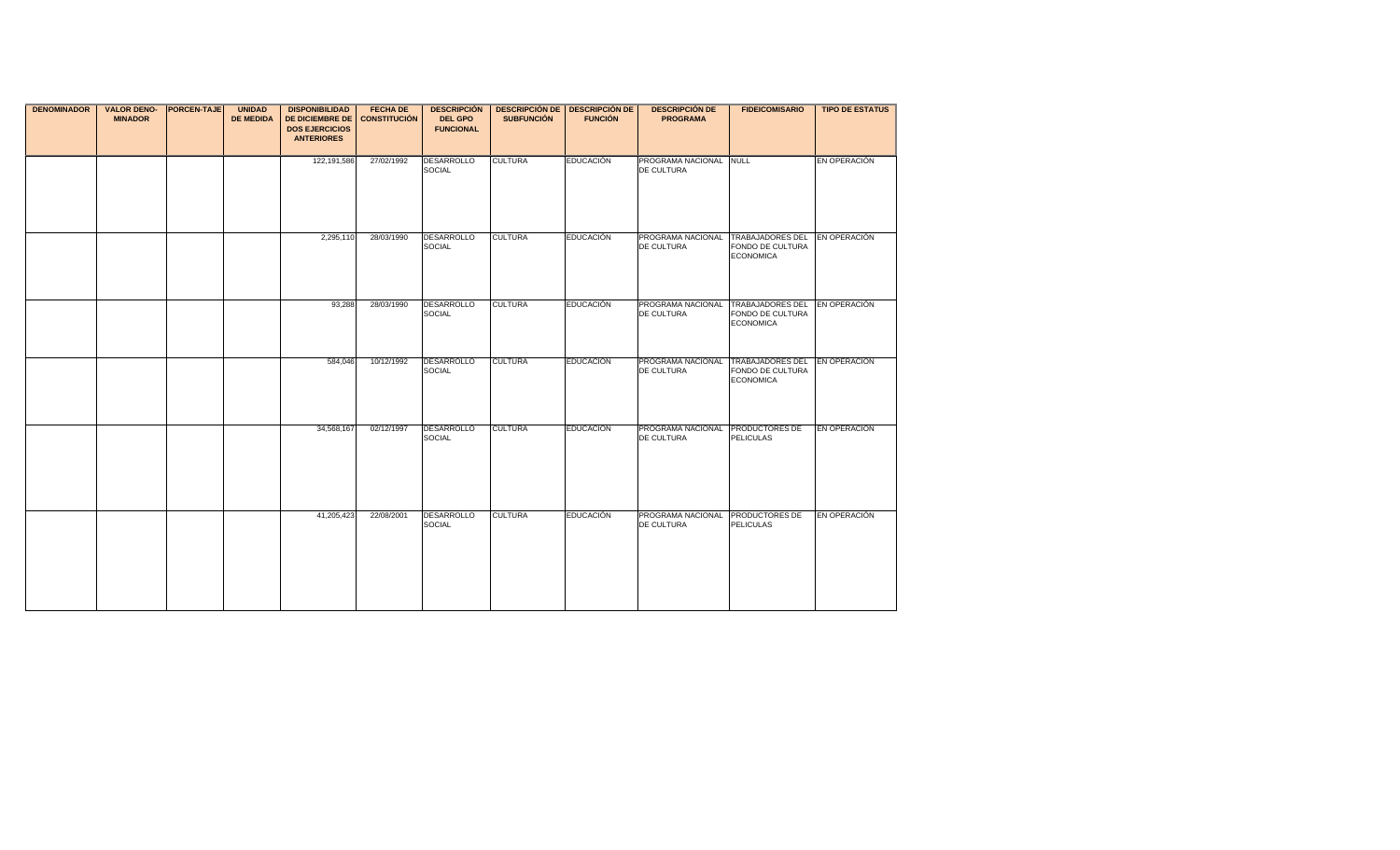| <b>DENOMINADOR</b> | <b>VALOR DENO-</b><br><b>MINADOR</b> | <b>PORCEN-TAJE</b> | <b>UNIDAD</b><br><b>DE MEDIDA</b> | <b>DISPONIBILIDAD</b><br><b>DE DICIEMBRE DE</b><br><b>DOS EJERCICIOS</b><br><b>ANTERIORES</b> | <b>FECHA DE</b><br><b>CONSTITUCIÓN</b> | <b>DESCRIPCIÓN</b><br><b>DEL GPO</b><br><b>FUNCIONAL</b> | <b>SUBFUNCIÓN</b> | <b>DESCRIPCIÓN DE   DESCRIPCIÓN DE</b><br><b>FUNCIÓN</b> | <b>DESCRIPCIÓN DE</b><br><b>PROGRAMA</b>         | <b>FIDEICOMISARIO</b>                                           | <b>TIPO DE ESTATUS</b> |
|--------------------|--------------------------------------|--------------------|-----------------------------------|-----------------------------------------------------------------------------------------------|----------------------------------------|----------------------------------------------------------|-------------------|----------------------------------------------------------|--------------------------------------------------|-----------------------------------------------------------------|------------------------|
|                    |                                      |                    |                                   | 122,191,586                                                                                   | 27/02/1992                             | DESARROLLO<br>SOCIAL                                     | <b>CULTURA</b>    | <b>EDUCACIÓN</b>                                         | PROGRAMA NACIONAL NULL<br>DE CULTURA             |                                                                 | EN OPERACIÓN           |
|                    |                                      |                    |                                   | 2,295,110                                                                                     | 28/03/1990                             | DESARROLLO<br><b>SOCIAL</b>                              | <b>CULTURA</b>    | <b>EDUCACIÓN</b>                                         | PROGRAMA NACIONAL TRABAJADORES DEL<br>DE CULTURA | FONDO DE CULTURA<br><b>ECONOMICA</b>                            | EN OPERACIÓN           |
|                    |                                      |                    |                                   | 93,288                                                                                        | 28/03/1990                             | DESARROLLO<br><b>SOCIAL</b>                              | <b>CULTURA</b>    | <b>EDUCACIÓN</b>                                         | PROGRAMA NACIONAL<br>DE CULTURA                  | <b>TRABAJADORES DEL</b><br>FONDO DE CULTURA<br><b>ECONOMICA</b> | EN OPERACIÓN           |
|                    |                                      |                    |                                   | 584,046                                                                                       | 10/12/1992                             | <b>DESARROLLO</b><br><b>SOCIAL</b>                       | <b>CULTURA</b>    | <b>EDUCACIÓN</b>                                         | PROGRAMA NACIONAL TRABAJADORES DEL<br>DE CULTURA | FONDO DE CULTURA<br><b>ECONOMICA</b>                            | <b>EN OPERACION</b>    |
|                    |                                      |                    |                                   | 34,568,167                                                                                    | 02/12/1997                             | <b>DESARROLLO</b><br>SOCIAL                              | <b>CULTURA</b>    | <b>EDUCACIÓN</b>                                         | PROGRAMA NACIONAL PRODUCTORES DE<br>DE CULTURA   | <b>PELICULAS</b>                                                | EN OPERACIÓN           |
|                    |                                      |                    |                                   | 41,205,423                                                                                    | 22/08/2001                             | DESARROLLO<br><b>SOCIAL</b>                              | <b>CULTURA</b>    | <b>EDUCACIÓN</b>                                         | PROGRAMA NACIONAL PRODUCTORES DE<br>DE CULTURA   | <b>PELICULAS</b>                                                | EN OPERACIÓN           |